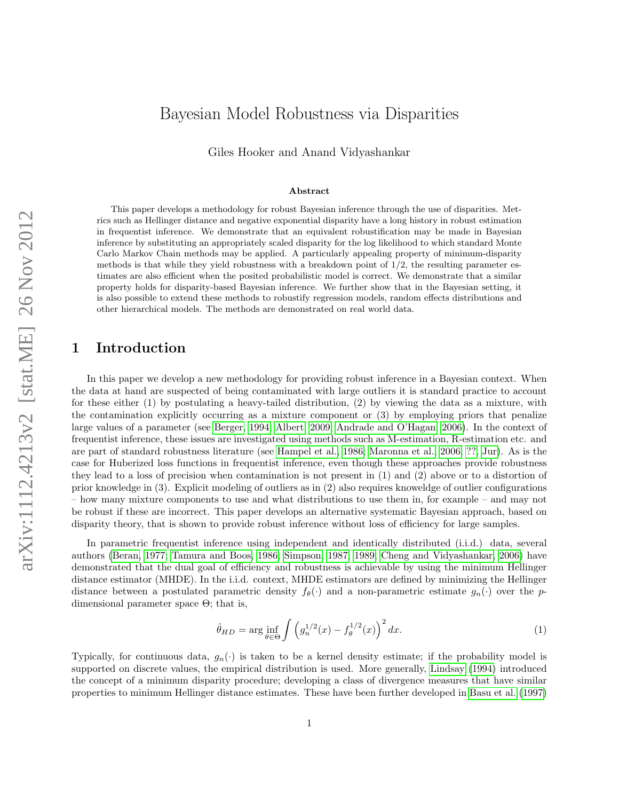# Bayesian Model Robustness via Disparities

Giles Hooker and Anand Vidyashankar

#### Abstract

This paper develops a methodology for robust Bayesian inference through the use of disparities. Metrics such as Hellinger distance and negative exponential disparity have a long history in robust estimation in frequentist inference. We demonstrate that an equivalent robustification may be made in Bayesian inference by substituting an appropriately scaled disparity for the log likelihood to which standard Monte Carlo Markov Chain methods may be applied. A particularly appealing property of minimum-disparity methods is that while they yield robustness with a breakdown point of  $1/2$ , the resulting parameter estimates are also efficient when the posited probabilistic model is correct. We demonstrate that a similar property holds for disparity-based Bayesian inference. We further show that in the Bayesian setting, it is also possible to extend these methods to robustify regression models, random effects distributions and other hierarchical models. The methods are demonstrated on real world data.

## 1 Introduction

In this paper we develop a new methodology for providing robust inference in a Bayesian context. When the data at hand are suspected of being contaminated with large outliers it is standard practice to account for these either (1) by postulating a heavy-tailed distribution, (2) by viewing the data as a mixture, with the contamination explicitly occurring as a mixture component or (3) by employing priors that penalize large values of a parameter (see [Berger, 1994;](#page-21-0) [Albert, 2009;](#page-21-1) [Andrade and O'Hagan, 2006\)](#page-21-2). In the context of frequentist inference, these issues are investigated using methods such as M-estimation, R-estimation etc. and are part of standard robustness literature (see [Hampel et al., 1986;](#page-22-0) [Maronna et al., 2006;](#page-22-1) [??, Jur\)](#page-21-3). As is the case for Huberized loss functions in frequentist inference, even though these approaches provide robustness they lead to a loss of precision when contamination is not present in (1) and (2) above or to a distortion of prior knowledge in (3). Explicit modeling of outliers as in (2) also requires knoweldge of outlier configurations – how many mixture components to use and what distributions to use them in, for example – and may not be robust if these are incorrect. This paper develops an alternative systematic Bayesian approach, based on disparity theory, that is shown to provide robust inference without loss of efficiency for large samples.

In parametric frequentist inference using independent and identically distributed (i.i.d.) data, several authors [\(Beran, 1977;](#page-21-4) [Tamura and Boos, 1986;](#page-23-0) [Simpson, 1987,](#page-23-1) [1989;](#page-23-2) [Cheng and Vidyashankar, 2006\)](#page-21-5) have demonstrated that the dual goal of efficiency and robustness is achievable by using the minimum Hellinger distance estimator (MHDE). In the i.i.d. context, MHDE estimators are defined by minimizing the Hellinger distance between a postulated parametric density  $f_{\theta}(\cdot)$  and a non-parametric estimate  $g_n(\cdot)$  over the pdimensional parameter space Θ; that is,

$$
\hat{\theta}_{HD} = \arg\inf_{\theta \in \Theta} \int \left( g_n^{1/2}(x) - f_\theta^{1/2}(x) \right)^2 dx.
$$
 (1)

Typically, for continuous data,  $g_n(\cdot)$  is taken to be a kernel density estimate; if the probability model is supported on discrete values, the empirical distribution is used. More generally, [Lindsay \(1994\)](#page-22-2) introduced the concept of a minimum disparity procedure; developing a class of divergence measures that have similar properties to minimum Hellinger distance estimates. These have been further developed in [Basu et al. \(1997\)](#page-21-6)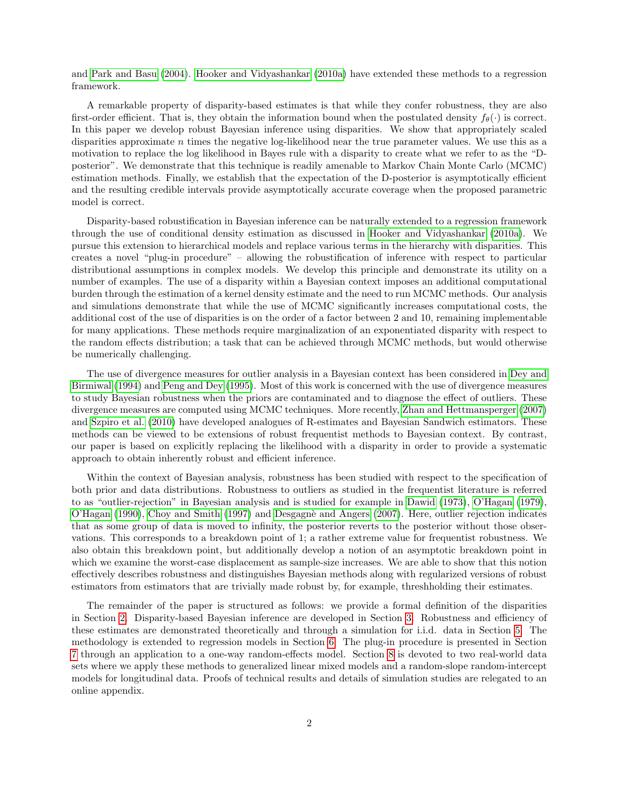and [Park and Basu \(2004\)](#page-22-3). [Hooker and Vidyashankar \(2010a\)](#page-22-4) have extended these methods to a regression framework.

A remarkable property of disparity-based estimates is that while they confer robustness, they are also first-order efficient. That is, they obtain the information bound when the postulated density  $f_{\theta}(\cdot)$  is correct. In this paper we develop robust Bayesian inference using disparities. We show that appropriately scaled disparities approximate n times the negative log-likelihood near the true parameter values. We use this as a motivation to replace the log likelihood in Bayes rule with a disparity to create what we refer to as the "Dposterior". We demonstrate that this technique is readily amenable to Markov Chain Monte Carlo (MCMC) estimation methods. Finally, we establish that the expectation of the D-posterior is asymptotically efficient and the resulting credible intervals provide asymptotically accurate coverage when the proposed parametric model is correct.

Disparity-based robustification in Bayesian inference can be naturally extended to a regression framework through the use of conditional density estimation as discussed in [Hooker and Vidyashankar \(2010a\)](#page-22-4). We pursue this extension to hierarchical models and replace various terms in the hierarchy with disparities. This creates a novel "plug-in procedure" – allowing the robustification of inference with respect to particular distributional assumptions in complex models. We develop this principle and demonstrate its utility on a number of examples. The use of a disparity within a Bayesian context imposes an additional computational burden through the estimation of a kernel density estimate and the need to run MCMC methods. Our analysis and simulations demonstrate that while the use of MCMC significantly increases computational costs, the additional cost of the use of disparities is on the order of a factor between 2 and 10, remaining implementable for many applications. These methods require marginalization of an exponentiated disparity with respect to the random effects distribution; a task that can be achieved through MCMC methods, but would otherwise be numerically challenging.

The use of divergence measures for outlier analysis in a Bayesian context has been considered in [Dey and](#page-22-5) [Birmiwal \(1994\)](#page-22-5) and [Peng and Dey \(1995\)](#page-23-3). Most of this work is concerned with the use of divergence measures to study Bayesian robustness when the priors are contaminated and to diagnose the effect of outliers. These divergence measures are computed using MCMC techniques. More recently, [Zhan and Hettmansperger \(2007\)](#page-23-4) and [Szpiro et al. \(2010\)](#page-23-5) have developed analogues of R-estimates and Bayesian Sandwich estimators. These methods can be viewed to be extensions of robust frequentist methods to Bayesian context. By contrast, our paper is based on explicitly replacing the likelihood with a disparity in order to provide a systematic approach to obtain inherently robust and efficient inference.

Within the context of Bayesian analysis, robustness has been studied with respect to the specification of both prior and data distributions. Robustness to outliers as studied in the frequentist literature is referred to as "outlier-rejection" in Bayesian analysis and is studied for example in [Dawid \(1973\)](#page-21-7), [O'Hagan \(1979\)](#page-22-6), [O'Hagan \(1990\)](#page-22-7), [Choy and Smith \(1997\)](#page-21-8) and Desgagnè and Angers (2007). Here, outlier rejection indicates that as some group of data is moved to infinity, the posterior reverts to the posterior without those observations. This corresponds to a breakdown point of 1; a rather extreme value for frequentist robustness. We also obtain this breakdown point, but additionally develop a notion of an asymptotic breakdown point in which we examine the worst-case displacement as sample-size increases. We are able to show that this notion effectively describes robustness and distinguishes Bayesian methods along with regularized versions of robust estimators from estimators that are trivially made robust by, for example, threshholding their estimates.

The remainder of the paper is structured as follows: we provide a formal definition of the disparities in Section [2.](#page-2-0) Disparity-based Bayesian inference are developed in Section [3.](#page-3-0) Robustness and efficiency of these estimates are demonstrated theoretically and through a simulation for i.i.d. data in Section [5.](#page-10-0) The methodology is extended to regression models in Section [6.](#page-12-0) The plug-in procedure is presented in Section [7](#page-14-0) through an application to a one-way random-effects model. Section [8](#page-16-0) is devoted to two real-world data sets where we apply these methods to generalized linear mixed models and a random-slope random-intercept models for longitudinal data. Proofs of technical results and details of simulation studies are relegated to an online appendix.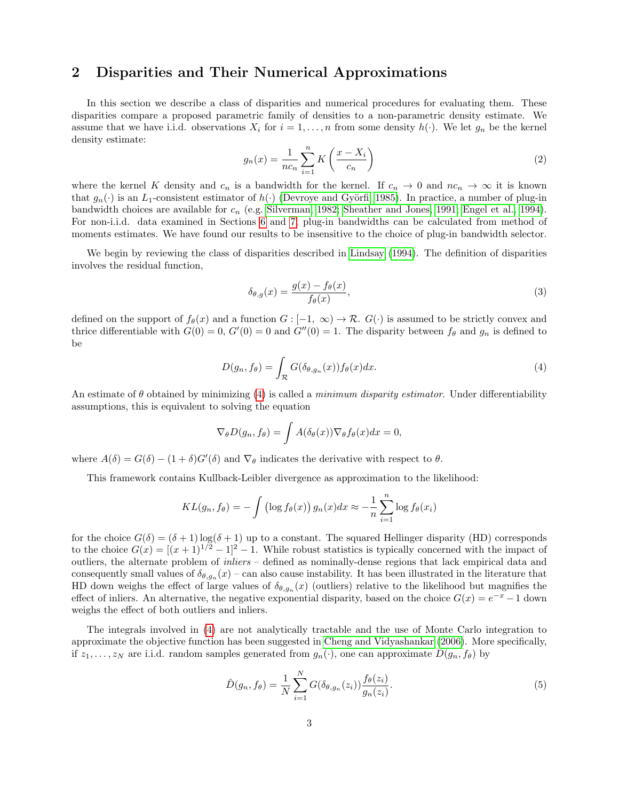## <span id="page-2-0"></span>2 Disparities and Their Numerical Approximations

In this section we describe a class of disparities and numerical procedures for evaluating them. These disparities compare a proposed parametric family of densities to a non-parametric density estimate. We assume that we have i.i.d. observations  $X_i$  for  $i = 1, \ldots, n$  from some density  $h(\cdot)$ . We let  $g_n$  be the kernel density estimate:

$$
g_n(x) = \frac{1}{nc_n} \sum_{i=1}^n K\left(\frac{x - X_i}{c_n}\right)
$$
\n<sup>(2)</sup>

where the kernel K density and  $c_n$  is a bandwidth for the kernel. If  $c_n \to 0$  and  $nc_n \to \infty$  it is known that  $g_n(\cdot)$  is an  $L_1$ -consistent estimator of  $h(\cdot)$  (Devroye and Györfi, 1985). In practice, a number of plug-in bandwidth choices are available for  $c_n$  (e.g. [Silverman, 1982;](#page-23-6) [Sheather and Jones, 1991;](#page-23-7) [Engel et al., 1994\)](#page-22-10). For non-i.i.d. data examined in Sections [6](#page-12-0) and [7,](#page-14-0) plug-in bandwidths can be calculated from method of moments estimates. We have found our results to be insensitive to the choice of plug-in bandwidth selector.

We begin by reviewing the class of disparities described in [Lindsay \(1994\)](#page-22-2). The definition of disparities involves the residual function,

$$
\delta_{\theta,g}(x) = \frac{g(x) - f_{\theta}(x)}{f_{\theta}(x)},\tag{3}
$$

defined on the support of  $f_{\theta}(x)$  and a function  $G : [-1, \infty) \to \mathcal{R}$ .  $G(\cdot)$  is assumed to be strictly convex and thrice differentiable with  $G(0) = 0$ ,  $G'(0) = 0$  and  $G''(0) = 1$ . The disparity between  $f_{\theta}$  and  $g_n$  is defined to be

<span id="page-2-1"></span>
$$
D(g_n, f_\theta) = \int_{\mathcal{R}} G(\delta_{\theta, g_n}(x)) f_\theta(x) dx.
$$
\n(4)

An estimate of  $\theta$  obtained by minimizing [\(4\)](#page-2-1) is called a *minimum disparity estimator*. Under differentiability assumptions, this is equivalent to solving the equation

$$
\nabla_{\theta} D(g_n, f_{\theta}) = \int A(\delta_{\theta}(x)) \nabla_{\theta} f_{\theta}(x) dx = 0,
$$

where  $A(\delta) = G(\delta) - (1 + \delta)G'(\delta)$  and  $\nabla_{\theta}$  indicates the derivative with respect to  $\theta$ .

This framework contains Kullback-Leibler divergence as approximation to the likelihood:

$$
KL(g_n, f_{\theta}) = -\int \left(\log f_{\theta}(x)\right) g_n(x) dx \approx -\frac{1}{n} \sum_{i=1}^n \log f_{\theta}(x_i)
$$

for the choice  $G(\delta) = (\delta + 1) \log(\delta + 1)$  up to a constant. The squared Hellinger disparity (HD) corresponds to the choice  $G(x) = [(x + 1)^{1/2} - 1]^2 - 1$ . While robust statistics is typically concerned with the impact of outliers, the alternate problem of inliers – defined as nominally-dense regions that lack empirical data and consequently small values of  $\delta_{\theta,g_n}(x)$  – can also cause instability. It has been illustrated in the literature that HD down weighs the effect of large values of  $\delta_{\theta,g_n}(x)$  (outliers) relative to the likelihood but magnifies the effect of inliers. An alternative, the negative exponential disparity, based on the choice  $G(x) = e^{-x} - 1$  down weighs the effect of both outliers and inliers.

The integrals involved in [\(4\)](#page-2-1) are not analytically tractable and the use of Monte Carlo integration to approximate the objective function has been suggested in [Cheng and Vidyashankar \(2006\)](#page-21-5). More specifically, if  $z_1, \ldots, z_N$  are i.i.d. random samples generated from  $g_n(\cdot)$ , one can approximate  $D(g_n, f_\theta)$  by

<span id="page-2-2"></span>
$$
\hat{D}(g_n, f_\theta) = \frac{1}{N} \sum_{i=1}^N G(\delta_{\theta, g_n}(z_i)) \frac{f_\theta(z_i)}{g_n(z_i)}.
$$
\n
$$
(5)
$$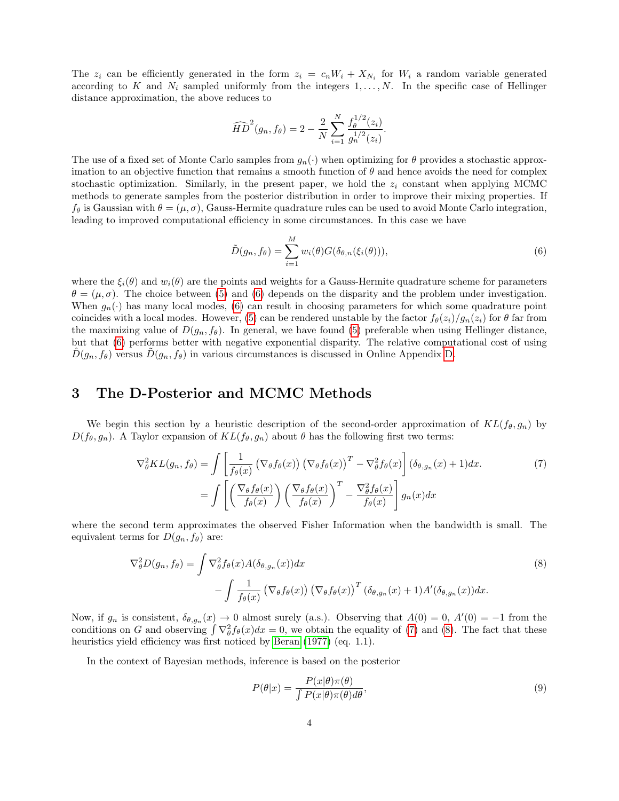The  $z_i$  can be efficiently generated in the form  $z_i = c_n W_i + X_{N_i}$  for  $W_i$  a random variable generated according to K and  $N_i$  sampled uniformly from the integers  $1, \ldots, N$ . In the specific case of Hellinger distance approximation, the above reduces to

$$
\widehat{HD}^2(g_n, f_{\theta}) = 2 - \frac{2}{N} \sum_{i=1}^N \frac{f_{\theta}^{1/2}(z_i)}{g_n^{1/2}(z_i)}.
$$

The use of a fixed set of Monte Carlo samples from  $g_n(\cdot)$  when optimizing for  $\theta$  provides a stochastic approximation to an objective function that remains a smooth function of  $\theta$  and hence avoids the need for complex stochastic optimization. Similarly, in the present paper, we hold the  $z_i$  constant when applying MCMC methods to generate samples from the posterior distribution in order to improve their mixing properties. If  $f_{\theta}$  is Gaussian with  $\theta = (\mu, \sigma)$ , Gauss-Hermite quadrature rules can be used to avoid Monte Carlo integration, leading to improved computational efficiency in some circumstances. In this case we have

<span id="page-3-1"></span>
$$
\tilde{D}(g_n, f_\theta) = \sum_{i=1}^M w_i(\theta) G(\delta_{\theta,n}(\xi_i(\theta))), \qquad (6)
$$

where the  $\xi_i(\theta)$  and  $w_i(\theta)$  are the points and weights for a Gauss-Hermite quadrature scheme for parameters  $\theta = (\mu, \sigma)$ . The choice between [\(5\)](#page-2-2) and [\(6\)](#page-3-1) depends on the disparity and the problem under investigation. When  $g_n(\cdot)$  has many local modes, [\(6\)](#page-3-1) can result in choosing parameters for which some quadrature point coincides with a local modes. However, [\(5\)](#page-2-2) can be rendered unstable by the factor  $f_{\theta}(z_i)/g_n(z_i)$  for  $\theta$  far from the maximizing value of  $D(g_n, f_\theta)$ . In general, we have found [\(5\)](#page-2-2) preferable when using Hellinger distance, but that [\(6\)](#page-3-1) performs better with negative exponential disparity. The relative computational cost of using  $D(g_n, f_\theta)$  versus  $D(g_n, f_\theta)$  in various circumstances is discussed in Online Appendix [D.](#page-33-0)

### <span id="page-3-0"></span>3 The D-Posterior and MCMC Methods

We begin this section by a heuristic description of the second-order approximation of  $KL(f_\theta, g_n)$  by  $D(f_{\theta}, g_n)$ . A Taylor expansion of  $KL(f_{\theta}, g_n)$  about  $\theta$  has the following first two terms:

$$
\nabla_{\theta}^{2} KL(g_{n}, f_{\theta}) = \int \left[ \frac{1}{f_{\theta}(x)} \left( \nabla_{\theta} f_{\theta}(x) \right) \left( \nabla_{\theta} f_{\theta}(x) \right)^{T} - \nabla_{\theta}^{2} f_{\theta}(x) \right] (\delta_{\theta, g_{n}}(x) + 1) dx.
$$
\n
$$
= \int \left[ \left( \frac{\nabla_{\theta} f_{\theta}(x)}{f_{\theta}(x)} \right) \left( \frac{\nabla_{\theta} f_{\theta}(x)}{f_{\theta}(x)} \right)^{T} - \frac{\nabla_{\theta}^{2} f_{\theta}(x)}{f_{\theta}(x)} \right] g_{n}(x) dx \tag{7}
$$

where the second term approximates the observed Fisher Information when the bandwidth is small. The equivalent terms for  $D(g_n, f_\theta)$  are:

$$
\nabla_{\theta}^{2} D(g_{n}, f_{\theta}) = \int \nabla_{\theta}^{2} f_{\theta}(x) A(\delta_{\theta, g_{n}}(x)) dx
$$
\n
$$
- \int \frac{1}{f_{\theta}(x)} \left( \nabla_{\theta} f_{\theta}(x) \right) \left( \nabla_{\theta} f_{\theta}(x) \right)^{T} (\delta_{\theta, g_{n}}(x) + 1) A' (\delta_{\theta, g_{n}}(x)) dx.
$$
\n(8)

Now, if  $g_n$  is consistent,  $\delta_{\theta,g_n}(x) \to 0$  almost surely (a.s.). Observing that  $A(0) = 0$ ,  $A'(0) = -1$  from the conditions on G and observing  $\int \nabla_{\theta}^{2} f_{\theta}(x) dx = 0$ , we obtain the equality of [\(7\)](#page-3-2) and [\(8\)](#page-3-3). The fact that these heuristics yield efficiency was first noticed by [Beran \(1977\)](#page-21-4) (eq. 1.1).

In the context of Bayesian methods, inference is based on the posterior

<span id="page-3-4"></span><span id="page-3-3"></span><span id="page-3-2"></span>
$$
P(\theta|x) = \frac{P(x|\theta)\pi(\theta)}{\int P(x|\theta)\pi(\theta)d\theta},\tag{9}
$$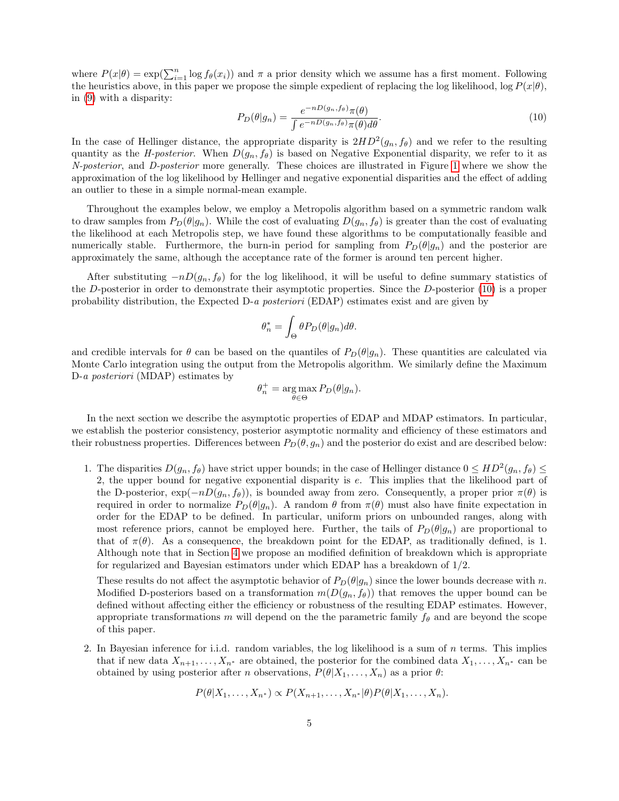where  $P(x|\theta) = \exp(\sum_{i=1}^n \log f_\theta(x_i))$  and  $\pi$  a prior density which we assume has a first moment. Following the heuristics above, in this paper we propose the simple expedient of replacing the log likelihood, log  $P(x|\theta)$ , in [\(9\)](#page-3-4) with a disparity:

<span id="page-4-0"></span>
$$
P_D(\theta|g_n) = \frac{e^{-nD(g_n, f_\theta)}\pi(\theta)}{\int e^{-nD(g_n, f_\theta)}\pi(\theta)d\theta}.
$$
\n(10)

In the case of Hellinger distance, the appropriate disparity is  $2HD^2(g_n, f_\theta)$  and we refer to the resulting quantity as the *H-posterior*. When  $D(g_n, f_\theta)$  is based on Negative Exponential disparity, we refer to it as N-posterior, and D-posterior more generally. These choices are illustrated in Figure [1](#page-5-0) where we show the approximation of the log likelihood by Hellinger and negative exponential disparities and the effect of adding an outlier to these in a simple normal-mean example.

Throughout the examples below, we employ a Metropolis algorithm based on a symmetric random walk to draw samples from  $P_D(\theta|g_n)$ . While the cost of evaluating  $D(g_n, f_\theta)$  is greater than the cost of evaluating the likelihood at each Metropolis step, we have found these algorithms to be computationally feasible and numerically stable. Furthermore, the burn-in period for sampling from  $P_D(\theta|g_n)$  and the posterior are approximately the same, although the acceptance rate of the former is around ten percent higher.

After substituting  $-nD(g_n, f_\theta)$  for the log likelihood, it will be useful to define summary statistics of the D-posterior in order to demonstrate their asymptotic properties. Since the D-posterior [\(10\)](#page-4-0) is a proper probability distribution, the Expected D-a posteriori (EDAP) estimates exist and are given by

$$
\theta_n^* = \int_{\Theta} \theta P_D(\theta | g_n) d\theta.
$$

and credible intervals for  $\theta$  can be based on the quantiles of  $P_D(\theta|g_n)$ . These quantities are calculated via Monte Carlo integration using the output from the Metropolis algorithm. We similarly define the Maximum D-a posteriori (MDAP) estimates by

$$
\theta_n^+ = \underset{\theta \in \Theta}{\arg \max} P_D(\theta | g_n).
$$

In the next section we describe the asymptotic properties of EDAP and MDAP estimators. In particular, we establish the posterior consistency, posterior asymptotic normality and efficiency of these estimators and their robustness properties. Differences between  $P_D(\theta, g_n)$  and the posterior do exist and are described below:

1. The disparities  $D(g_n, f_\theta)$  have strict upper bounds; in the case of Hellinger distance  $0 \leq HD^2(g_n, f_\theta) \leq$ 2, the upper bound for negative exponential disparity is e. This implies that the likelihood part of the D-posterior,  $exp(-nD(g_n, f_\theta))$ , is bounded away from zero. Consequently, a proper prior  $\pi(\theta)$  is required in order to normalize  $P_D(\theta|g_n)$ . A random  $\theta$  from  $\pi(\theta)$  must also have finite expectation in order for the EDAP to be defined. In particular, uniform priors on unbounded ranges, along with most reference priors, cannot be employed here. Further, the tails of  $P_D(\theta|g_n)$  are proportional to that of  $\pi(\theta)$ . As a consequence, the breakdown point for the EDAP, as traditionally defined, is 1. Although note that in Section [4](#page-5-1) we propose an modified definition of breakdown which is appropriate for regularized and Bayesian estimators under which EDAP has a breakdown of 1/2.

These results do not affect the asymptotic behavior of  $P_D(\theta|g_n)$  since the lower bounds decrease with n. Modified D-posteriors based on a transformation  $m(D(g_n, f_\theta))$  that removes the upper bound can be defined without affecting either the efficiency or robustness of the resulting EDAP estimates. However, appropriate transformations m will depend on the the parametric family  $f_{\theta}$  and are beyond the scope of this paper.

2. In Bayesian inference for i.i.d. random variables, the log likelihood is a sum of  $n$  terms. This implies that if new data  $X_{n+1}, \ldots, X_{n^*}$  are obtained, the posterior for the combined data  $X_1, \ldots, X_{n^*}$  can be obtained by using posterior after n observations,  $P(\theta|X_1, \ldots, X_n)$  as a prior  $\theta$ :

$$
P(\theta|X_1,\ldots,X_{n^*}) \propto P(X_{n+1},\ldots,X_{n^*}|\theta)P(\theta|X_1,\ldots,X_n).
$$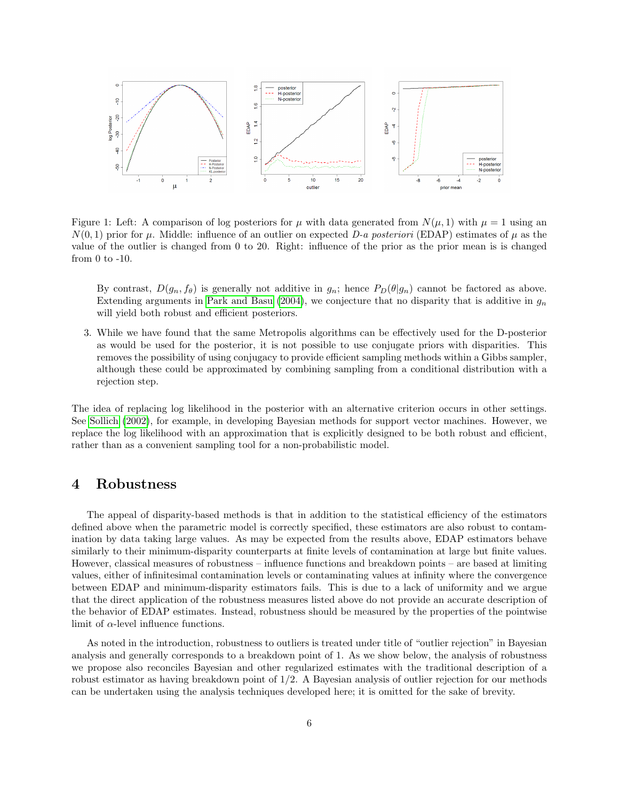

<span id="page-5-0"></span>Figure 1: Left: A comparison of log posteriors for  $\mu$  with data generated from  $N(\mu, 1)$  with  $\mu = 1$  using an  $N(0, 1)$  prior for  $\mu$ . Middle: influence of an outlier on expected D-a posteriori (EDAP) estimates of  $\mu$  as the value of the outlier is changed from 0 to 20. Right: influence of the prior as the prior mean is is changed from 0 to -10.

By contrast,  $D(g_n, f_\theta)$  is generally not additive in  $g_n$ ; hence  $P_D(\theta|g_n)$  cannot be factored as above. Extending arguments in [Park and Basu \(2004\)](#page-22-3), we conjecture that no disparity that is additive in  $g_n$ will yield both robust and efficient posteriors.

3. While we have found that the same Metropolis algorithms can be effectively used for the D-posterior as would be used for the posterior, it is not possible to use conjugate priors with disparities. This removes the possibility of using conjugacy to provide efficient sampling methods within a Gibbs sampler, although these could be approximated by combining sampling from a conditional distribution with a rejection step.

The idea of replacing log likelihood in the posterior with an alternative criterion occurs in other settings. See [Sollich \(2002\)](#page-23-8), for example, in developing Bayesian methods for support vector machines. However, we replace the log likelihood with an approximation that is explicitly designed to be both robust and efficient, rather than as a convenient sampling tool for a non-probabilistic model.

### <span id="page-5-1"></span>4 Robustness

The appeal of disparity-based methods is that in addition to the statistical efficiency of the estimators defined above when the parametric model is correctly specified, these estimators are also robust to contamination by data taking large values. As may be expected from the results above, EDAP estimators behave similarly to their minimum-disparity counterparts at finite levels of contamination at large but finite values. However, classical measures of robustness – influence functions and breakdown points – are based at limiting values, either of infinitesimal contamination levels or contaminating values at infinity where the convergence between EDAP and minimum-disparity estimators fails. This is due to a lack of uniformity and we argue that the direct application of the robustness measures listed above do not provide an accurate description of the behavior of EDAP estimates. Instead, robustness should be measured by the properties of the pointwise limit of  $\alpha$ -level influence functions.

As noted in the introduction, robustness to outliers is treated under title of "outlier rejection" in Bayesian analysis and generally corresponds to a breakdown point of 1. As we show below, the analysis of robustness we propose also reconciles Bayesian and other regularized estimates with the traditional description of a robust estimator as having breakdown point of  $1/2$ . A Bayesian analysis of outlier rejection for our methods can be undertaken using the analysis techniques developed here; it is omitted for the sake of brevity.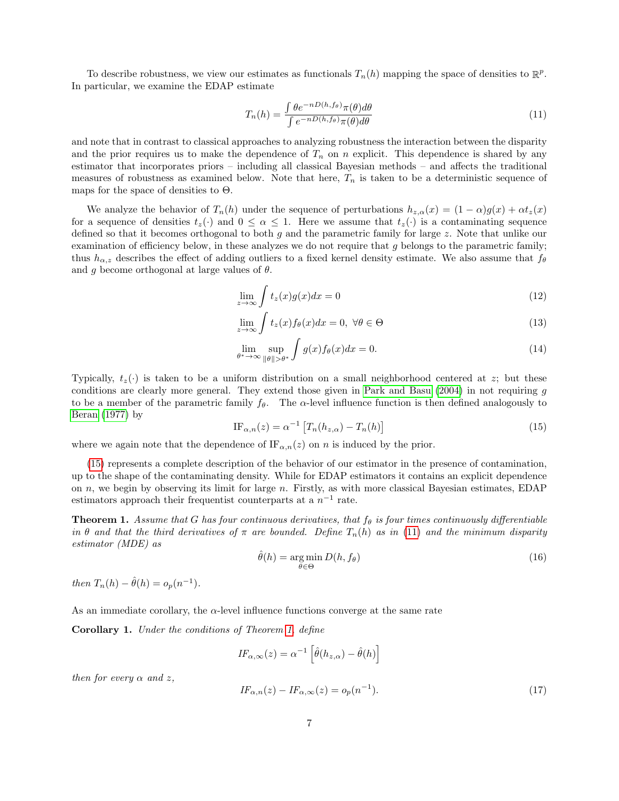To describe robustness, we view our estimates as functionals  $T_n(h)$  mapping the space of densities to  $\mathbb{R}^p$ . In particular, we examine the EDAP estimate

<span id="page-6-1"></span>
$$
T_n(h) = \frac{\int \theta e^{-nD(h,f_\theta)} \pi(\theta) d\theta}{\int e^{-nD(h,f_\theta)} \pi(\theta) d\theta} \tag{11}
$$

and note that in contrast to classical approaches to analyzing robustness the interaction between the disparity and the prior requires us to make the dependence of  $T_n$  on n explicit. This dependence is shared by any estimator that incorporates priors – including all classical Bayesian methods – and affects the traditional measures of robustness as examined below. Note that here,  $T_n$  is taken to be a deterministic sequence of maps for the space of densities to  $\Theta$ .

We analyze the behavior of  $T_n(h)$  under the sequence of perturbations  $h_{z,\alpha}(x) = (1-\alpha)g(x) + \alpha t_z(x)$ for a sequence of densities  $t_z(\cdot)$  and  $0 \leq \alpha \leq 1$ . Here we assume that  $t_z(\cdot)$  is a contaminating sequence defined so that it becomes orthogonal to both  $g$  and the parametric family for large  $z$ . Note that unlike our examination of efficiency below, in these analyzes we do not require that  $g$  belongs to the parametric family; thus  $h_{\alpha,z}$  describes the effect of adding outliers to a fixed kernel density estimate. We also assume that  $f_{\theta}$ and g become orthogonal at large values of  $\theta$ .

<span id="page-6-7"></span><span id="page-6-5"></span>
$$
\lim_{z \to \infty} \int t_z(x) g(x) dx = 0 \tag{12}
$$

$$
\lim_{z \to \infty} \int t_z(x) f_{\theta}(x) dx = 0, \ \forall \theta \in \Theta
$$
\n(13)

<span id="page-6-6"></span>
$$
\lim_{\theta^* \to \infty} \sup_{\|\theta\| > \theta^*} \int g(x) f_{\theta}(x) dx = 0.
$$
\n(14)

Typically,  $t_z(\cdot)$  is taken to be a uniform distribution on a small neighborhood centered at z; but these conditions are clearly more general. They extend those given in [Park and Basu \(2004\)](#page-22-3) in not requiring g to be a member of the parametric family  $f_\theta$ . The  $\alpha$ -level influence function is then defined analogously to [Beran \(1977\)](#page-21-4) by

<span id="page-6-0"></span>
$$
\text{IF}_{\alpha,n}(z) = \alpha^{-1} \left[ T_n(h_{z,\alpha}) - T_n(h) \right] \tag{15}
$$

where we again note that the dependence of  $\mathbb{F}_{\alpha,n}(z)$  on n is induced by the prior.

[\(15\)](#page-6-0) represents a complete description of the behavior of our estimator in the presence of contamination, up to the shape of the contaminating density. While for EDAP estimators it contains an explicit dependence on  $n$ , we begin by observing its limit for large  $n$ . Firstly, as with more classical Bayesian estimates, EDAP estimators approach their frequentist counterparts at a  $n^{-1}$  rate.

<span id="page-6-2"></span>**Theorem 1.** Assume that G has four continuous derivatives, that  $f_{\theta}$  is four times continuously differentiable in  $\theta$  and that the third derivatives of  $\pi$  are bounded. Define  $T_n(h)$  as in [\(11\)](#page-6-1) and the minimum disparity estimator (MDE) as

$$
\hat{\theta}(h) = \underset{\theta \in \Theta}{\arg \min} D(h, f_{\theta}) \tag{16}
$$

then  $T_n(h) - \hat{\theta}(h) = o_p(n^{-1}).$ 

As an immediate corollary, the  $\alpha$ -level influence functions converge at the same rate

<span id="page-6-3"></span>Corollary 1. Under the conditions of Theorem [1,](#page-6-2) define

$$
IF_{\alpha,\infty}(z) = \alpha^{-1} \left[ \hat{\theta}(h_{z,\alpha}) - \hat{\theta}(h) \right]
$$

then for every  $\alpha$  and z,

<span id="page-6-4"></span>
$$
IF_{\alpha,n}(z) - IF_{\alpha,\infty}(z) = o_p(n^{-1}).
$$
\n
$$
(17)
$$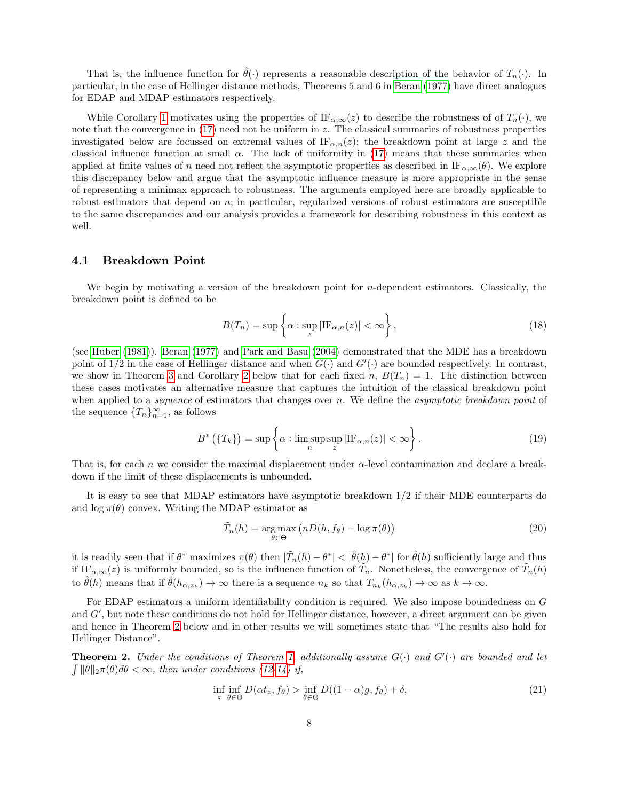That is, the influence function for  $\hat{\theta}(\cdot)$  represents a reasonable description of the behavior of  $T_n(\cdot)$ . In particular, in the case of Hellinger distance methods, Theorems 5 and 6 in [Beran \(1977\)](#page-21-4) have direct analogues for EDAP and MDAP estimators respectively.

While Corollary [1](#page-6-3) motivates using the properties of IF<sub>α,∞</sub>(*z*) to describe the robustness of of  $T_n(\cdot)$ , we note that the convergence in [\(17\)](#page-6-4) need not be uniform in z. The classical summaries of robustness properties investigated below are focussed on extremal values of  $IF_{\alpha,n}(z)$ ; the breakdown point at large z and the classical influence function at small  $\alpha$ . The lack of uniformity in [\(17\)](#page-6-4) means that these summaries when applied at finite values of n need not reflect the asymptotic properties as described in  $\text{IF}_{\alpha,\infty}(\theta)$ . We explore this discrepancy below and argue that the asymptotic influence measure is more appropriate in the sense of representing a minimax approach to robustness. The arguments employed here are broadly applicable to robust estimators that depend on n; in particular, regularized versions of robust estimators are susceptible to the same discrepancies and our analysis provides a framework for describing robustness in this context as well.

#### 4.1 Breakdown Point

We begin by motivating a version of the breakdown point for *n*-dependent estimators. Classically, the breakdown point is defined to be

<span id="page-7-2"></span>
$$
B(T_n) = \sup \left\{ \alpha : \sup_z | \text{IF}_{\alpha,n}(z) | < \infty \right\},\tag{18}
$$

(see [Huber \(1981\)](#page-22-11)). [Beran \(1977\)](#page-21-4) and [Park and Basu \(2004\)](#page-22-3) demonstrated that the MDE has a breakdown point of  $1/2$  in the case of Hellinger distance and when  $G(\cdot)$  and  $G'(\cdot)$  are bounded respectively. In contrast, we show in Theorem [3](#page-8-0) and Corollary [2](#page-8-1) below that for each fixed n,  $B(T_n) = 1$ . The distinction between these cases motivates an alternative measure that captures the intuition of the classical breakdown point when applied to a sequence of estimators that changes over  $n$ . We define the asymptotic breakdown point of the sequence  ${T_n}_{n=1}^{\infty}$ , as follows

$$
B^*\left(\{T_k\}\right) = \sup\left\{\alpha : \limsup_n \sup_z |F_{\alpha,n}(z)| < \infty\right\}.\tag{19}
$$

That is, for each n we consider the maximal displacement under  $\alpha$ -level contamination and declare a breakdown if the limit of these displacements is unbounded.

It is easy to see that MDAP estimators have asymptotic breakdown 1/2 if their MDE counterparts do and  $\log \pi(\theta)$  convex. Writing the MDAP estimator as

$$
\tilde{T}_n(h) = \underset{\theta \in \Theta}{\arg \max} \left( nD(h, f_\theta) - \log \pi(\theta) \right) \tag{20}
$$

it is readily seen that if  $\theta^*$  maximizes  $\pi(\theta)$  then  $|\tilde{T}_n(h) - \theta^*| < |\hat{\theta}(h) - \theta^*|$  for  $\hat{\theta}(h)$  sufficiently large and thus if IF<sub> $\alpha,\infty(z)$ </sub> is uniformly bounded, so is the influence function of  $\tilde{T}_n$ . Nonetheless, the convergence of  $\tilde{T}_n(h)$ to  $\hat{\theta}(h)$  means that if  $\hat{\theta}(h_{\alpha,z_k}) \to \infty$  there is a sequence  $n_k$  so that  $T_{n_k}(h_{\alpha,z_k}) \to \infty$  as  $k \to \infty$ .

For EDAP estimators a uniform identifiability condition is required. We also impose boundedness on G and  $G'$ , but note these conditions do not hold for Hellinger distance, however, a direct argument can be given and hence in Theorem [2](#page-7-0) below and in other results we will sometimes state that "The results also hold for Hellinger Distance".

<span id="page-7-0"></span>**Theorem 2.** Under the conditions of Theorem [1,](#page-6-2) additionally assume  $G(\cdot)$  and  $G'(\cdot)$  are bounded and let  $\int \|\theta\|_2 \pi(\theta) d\theta < \infty$ , then under conditions [\(12-](#page-6-5)[14\)](#page-6-6) if,

<span id="page-7-1"></span>
$$
\inf_{z} \inf_{\theta \in \Theta} D(\alpha t_z, f_{\theta}) > \inf_{\theta \in \Theta} D((1 - \alpha)g, f_{\theta}) + \delta,
$$
\n(21)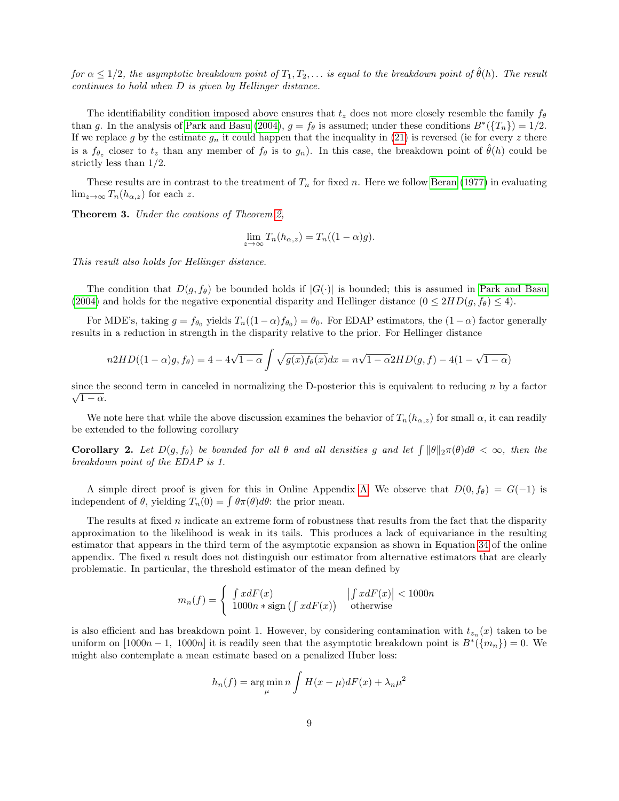for  $\alpha \leq 1/2$ , the asymptotic breakdown point of  $T_1, T_2, \ldots$  is equal to the breakdown point of  $\hat{\theta}(h)$ . The result continues to hold when D is given by Hellinger distance.

The identifiability condition imposed above ensures that  $t_z$  does not more closely resemble the family  $f_{\theta}$ than g. In the analysis of [Park and Basu \(2004\)](#page-22-3),  $g = f_{\theta}$  is assumed; under these conditions  $B^*(\{T_n\}) = 1/2$ . If we replace g by the estimate  $g_n$  it could happen that the inequality in [\(21\)](#page-7-1) is reversed (ie for every z there is a  $f_{\theta_z}$  closer to  $t_z$  than any member of  $f_{\theta}$  is to  $g_n$ ). In this case, the breakdown point of  $\hat{\theta}(h)$  could be strictly less than 1/2.

These results are in contrast to the treatment of  $T_n$  for fixed n. Here we follow [Beran \(1977\)](#page-21-4) in evaluating  $\lim_{z\to\infty}T_n(h_{\alpha,z})$  for each z.

<span id="page-8-0"></span>Theorem 3. Under the contions of Theorem [2,](#page-7-0)

$$
\lim_{z \to \infty} T_n(h_{\alpha,z}) = T_n((1-\alpha)g).
$$

This result also holds for Hellinger distance.

The condition that  $D(g, f_{\theta})$  be bounded holds if  $|G(\cdot)|$  is bounded; this is assumed in [Park and Basu](#page-22-3) [\(2004\)](#page-22-3) and holds for the negative exponential disparity and Hellinger distance  $(0 \leq 2HD(q, f_{\theta}) \leq 4)$ .

For MDE's, taking  $g = f_{\theta_0}$  yields  $T_n((1-\alpha)f_{\theta_0}) = \theta_0$ . For EDAP estimators, the  $(1-\alpha)$  factor generally results in a reduction in strength in the disparity relative to the prior. For Hellinger distance

$$
n2HD((1-\alpha)g, f_{\theta}) = 4 - 4\sqrt{1-\alpha} \int \sqrt{g(x)f_{\theta}(x)}dx = n\sqrt{1-\alpha}2HD(g, f) - 4(1-\sqrt{1-\alpha})
$$

since the second term in canceled in normalizing the D-posterior this is equivalent to reducing n by a factor  $\sqrt{1-\alpha}$ .

We note here that while the above discussion examines the behavior of  $T_n(h_{\alpha,z})$  for small  $\alpha$ , it can readily be extended to the following corollary

<span id="page-8-1"></span>**Corollary 2.** Let  $D(g, f_{\theta})$  be bounded for all  $\theta$  and all densities g and let  $\int \|\theta\|_2 \pi(\theta) d\theta < \infty$ , then the breakdown point of the EDAP is 1.

A simple direct proof is given for this in Online Appendix [A.](#page-23-9) We observe that  $D(0, f_{\theta}) = G(-1)$  is independent of  $\theta$ , yielding  $T_n(0) = \int \theta \pi(\theta) d\theta$ : the prior mean.

The results at fixed n indicate an extreme form of robustness that results from the fact that the disparity approximation to the likelihood is weak in its tails. This produces a lack of equivariance in the resulting estimator that appears in the third term of the asymptotic expansion as shown in Equation [34](#page-24-0) of the online appendix. The fixed  $n$  result does not distinguish our estimator from alternative estimators that are clearly problematic. In particular, the threshold estimator of the mean defined by

$$
m_n(f) = \begin{cases} \int x dF(x) & |\int x dF(x)| < 1000n \\ 1000n * \text{sign}(\int x dF(x)) & \text{otherwise} \end{cases}
$$

is also efficient and has breakdown point 1. However, by considering contamination with  $t_{z_n}(x)$  taken to be uniform on  $[1000n - 1, 1000n]$  it is readily seen that the asymptotic breakdown point is  $B^*(\{m_n\}) = 0$ . We might also contemplate a mean estimate based on a penalized Huber loss:

$$
h_n(f) = \underset{\mu}{\arg\min} n \int H(x - \mu) dF(x) + \lambda_n \mu^2
$$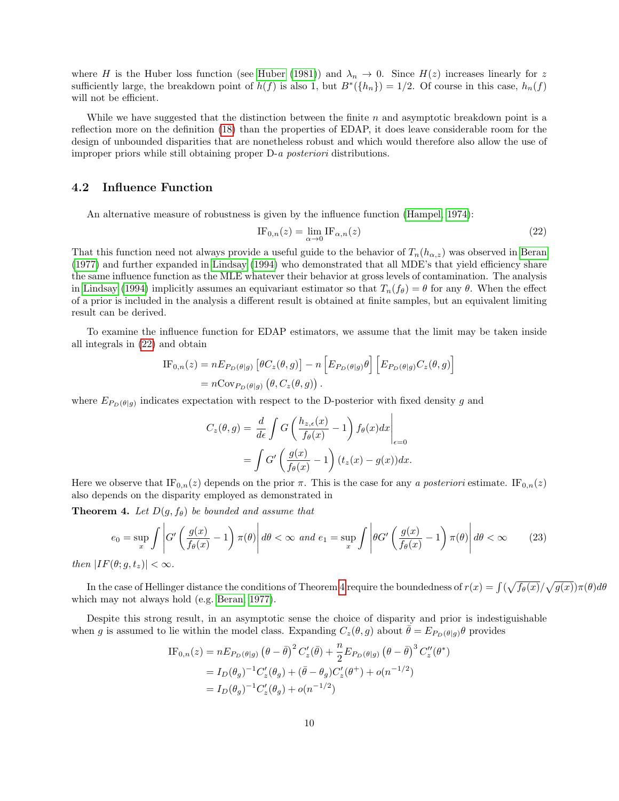where H is the Huber loss function (see [Huber \(1981\)](#page-22-11)) and  $\lambda_n \to 0$ . Since  $H(z)$  increases linearly for z sufficiently large, the breakdown point of  $h(f)$  is also 1, but  $B^*(\{h_n\}) = 1/2$ . Of course in this case,  $h_n(f)$ will not be efficient.

While we have suggested that the distinction between the finite  $n$  and asymptotic breakdown point is a reflection more on the definition [\(18\)](#page-7-2) than the properties of EDAP, it does leave considerable room for the design of unbounded disparities that are nonetheless robust and which would therefore also allow the use of improper priors while still obtaining proper D-a posteriori distributions.

#### 4.2 Influence Function

An alternative measure of robustness is given by the influence function [\(Hampel, 1974\)](#page-22-12):

<span id="page-9-0"></span>
$$
IF_{0,n}(z) = \lim_{\alpha \to 0} IF_{\alpha,n}(z)
$$
\n(22)

That this function need not always provide a useful guide to the behavior of  $T_n(h_{\alpha,z})$  was observed in [Beran](#page-21-4) [\(1977\)](#page-21-4) and further expanded in [Lindsay \(1994\)](#page-22-2) who demonstrated that all MDE's that yield efficiency share the same influence function as the MLE whatever their behavior at gross levels of contamination. The analysis in [Lindsay \(1994\)](#page-22-2) implicitly assumes an equivariant estimator so that  $T_n(f_\theta) = \theta$  for any  $\theta$ . When the effect of a prior is included in the analysis a different result is obtained at finite samples, but an equivalent limiting result can be derived.

To examine the influence function for EDAP estimators, we assume that the limit may be taken inside all integrals in [\(22\)](#page-9-0) and obtain

IF<sub>0,n</sub>(z) = 
$$
nE_{P_D(\theta|g)} [\theta C_z(\theta, g)] - n [E_{P_D(\theta|g)}\theta] [E_{P_D(\theta|g)}C_z(\theta, g)]
$$
  
=  $nCov_{P_D(\theta|g)} (\theta, C_z(\theta, g))$ .

where  $E_{P_D(\theta|g)}$  indicates expectation with respect to the D-posterior with fixed density g and

$$
C_z(\theta, g) = \frac{d}{d\epsilon} \int G\left(\frac{h_{z,\epsilon}(x)}{f_{\theta}(x)} - 1\right) f_{\theta}(x) dx \Big|_{\epsilon=0}
$$

$$
= \int G'\left(\frac{g(x)}{f_{\theta}(x)} - 1\right) (t_z(x) - g(x)) dx.
$$

Here we observe that IF<sub>0,n</sub>(z) depends on the prior  $\pi$ . This is the case for any a posteriori estimate. IF<sub>0,n</sub>(z) also depends on the disparity employed as demonstrated in

<span id="page-9-1"></span>**Theorem 4.** Let  $D(g, f_{\theta})$  be bounded and assume that

<span id="page-9-2"></span>
$$
e_0 = \sup_x \int \left| G' \left( \frac{g(x)}{f_\theta(x)} - 1 \right) \pi(\theta) \right| d\theta < \infty \text{ and } e_1 = \sup_x \int \left| \theta G' \left( \frac{g(x)}{f_\theta(x)} - 1 \right) \pi(\theta) \right| d\theta < \infty \tag{23}
$$

then  $|IF(\theta; g, t_z)| < \infty$ .

In the case of Hellinger distance the conditions of Theorem [4](#page-9-1) require the boundedness of  $r(x) = \int (\sqrt{f_{\theta}(x)}/\sqrt{g(x)})\pi(\theta)d\theta$ which may not always hold (e.g. [Beran, 1977\)](#page-21-4).

Despite this strong result, in an asymptotic sense the choice of disparity and prior is indestiguishable when g is assumed to lie within the model class. Expanding  $C_z(\theta, g)$  about  $\bar{\theta} = E_{P_D(\theta|g)}\theta$  provides

IF<sub>0,n</sub>(z) = 
$$
nE_{P_D(\theta|g)}
$$
 $(\theta - \bar{\theta})^2 C'_z(\bar{\theta}) + \frac{n}{2} E_{P_D(\theta|g)}$  $(\theta - \bar{\theta})^3 C''_z(\theta^*)$   
=  $I_D(\theta_g)^{-1} C'_z(\theta_g) + (\bar{\theta} - \theta_g) C'_z(\theta^*) + o(n^{-1/2})$   
=  $I_D(\theta_g)^{-1} C'_z(\theta_g) + o(n^{-1/2})$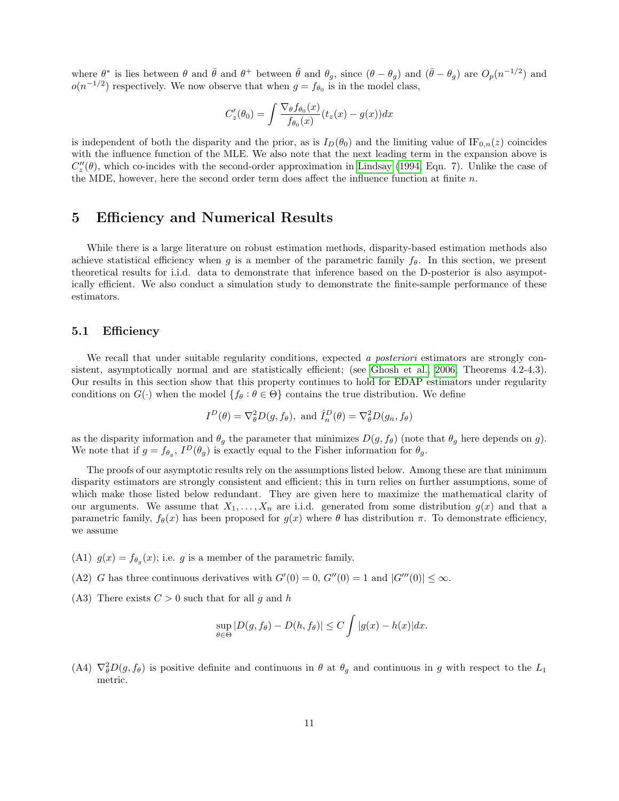where  $\theta^*$  is lies between  $\theta$  and  $\bar{\theta}$  and  $\theta^+$  between  $\bar{\theta}$  and  $\theta_g$ , since  $(\theta - \theta_g)$  and  $(\bar{\theta} - \theta_g)$  are  $O_p(n^{-1/2})$  and  $o(n^{-1/2})$  respectively. We now observe that when  $g = f_{\theta_0}$  is in the model class,

$$
C'_{z}(\theta_0) = \int \frac{\nabla_{\theta} f_{\theta_0}(x)}{f_{\theta_0}(x)} (t_z(x) - g(x)) dx
$$

is independent of both the disparity and the prior, as is  $I_D(\theta_0)$  and the limiting value of  $IF_{0,n}(z)$  coincides with the influence function of the MLE. We also note that the next leading term in the expansion above is  $C''_z(\theta)$ , which co-incides with the second-order approximation in [Lindsay \(1994,](#page-22-2) Eqn. 7). Unlike the case of the MDE, however, here the second order term does affect the influence function at finite  $n$ .

## <span id="page-10-0"></span>5 Efficiency and Numerical Results

While there is a large literature on robust estimation methods, disparity-based estimation methods also achieve statistical efficiency when g is a member of the parametric family  $f_{\theta}$ . In this section, we present theoretical results for i.i.d. data to demonstrate that inference based on the D-posterior is also asympotically efficient. We also conduct a simulation study to demonstrate the finite-sample performance of these estimators.

#### 5.1 Efficiency

We recall that under suitable regularity conditions, expected a *posteriori* estimators are strongly consistent, asymptotically normal and are statistically efficient; (see [Ghosh et al., 2006,](#page-22-13) Theorems 4.2-4.3). Our results in this section show that this property continues to hold for EDAP estimators under regularity conditions on  $G(\cdot)$  when the model  $\{f_\theta : \theta \in \Theta\}$  contains the true distribution. We define

$$
I^{D}(\theta) = \nabla_{\theta}^{2} D(g, f_{\theta}), \text{ and } \hat{I}_{n}^{D}(\theta) = \nabla_{\theta}^{2} D(g_{n}, f_{\theta})
$$

as the disparity information and  $\theta_g$  the parameter that minimizes  $D(g, f_{\theta})$  (note that  $\theta_g$  here depends on g). We note that if  $g = f_{\theta_g}$ ,  $I^D(\theta_g)$  is exactly equal to the Fisher information for  $\theta_g$ .

The proofs of our asymptotic results rely on the assumptions listed below. Among these are that minimum disparity estimators are strongly consistent and efficient; this in turn relies on further assumptions, some of which make those listed below redundant. They are given here to maximize the mathematical clarity of our arguments. We assume that  $X_1, \ldots, X_n$  are i.i.d. generated from some distribution  $g(x)$  and that a parametric family,  $f_{\theta}(x)$  has been proposed for  $g(x)$  where  $\theta$  has distribution  $\pi$ . To demonstrate efficiency, we assume

- <span id="page-10-2"></span>(A1)  $g(x) = f_{\theta_g}(x)$ ; i.e. g is a member of the parametric family.
- <span id="page-10-1"></span>(A2) G has three continuous derivatives with  $G'(0) = 0$ ,  $G''(0) = 1$  and  $|G'''(0)| \leq \infty$ .
- <span id="page-10-3"></span>(A3) There exists  $C > 0$  such that for all g and h

$$
\sup_{\theta \in \Theta} |D(g, f_{\theta}) - D(h, f_{\theta})| \le C \int |g(x) - h(x)| dx.
$$

<span id="page-10-4"></span>(A4)  $\nabla_{\theta}^{2}D(g, f_{\theta})$  is positive definite and continuous in  $\theta$  at  $\theta_{g}$  and continuous in g with respect to the  $L_1$ metric.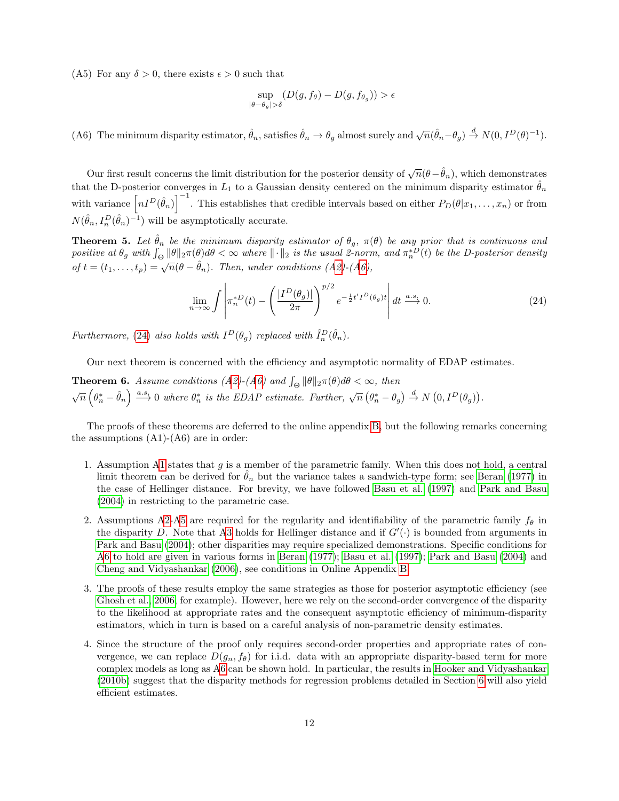<span id="page-11-2"></span>(A5) For any  $\delta > 0$ , there exists  $\epsilon > 0$  such that

$$
\sup_{|\theta-\theta_g|>\delta} (D(g, f_{\theta}) - D(g, f_{\theta_g})) > \epsilon
$$

<span id="page-11-0"></span>(A6) The minimum disparity estimator,  $\hat{\theta}_n$ , satisfies  $\hat{\theta}_n \to \theta_g$  almost surely and  $\sqrt{n}(\hat{\theta}_n - \theta_g) \stackrel{d}{\to} N(0, I^D(\theta)^{-1})$ .

Our first result concerns the limit distribution for the posterior density of  $\sqrt{n}(\theta - \hat{\theta}_n)$ , which demonstrates that the D-posterior converges in  $L_1$  to a Gaussian density centered on the minimum disparity estimator  $\hat{\theta}_n$ with variance  $\left[nI^D(\hat{\theta}_n)\right]^{-1}$ . This establishes that credible intervals based on either  $P_D(\theta|x_1,\ldots,x_n)$  or from  $N(\hat{\theta}_n, I_n^D(\hat{\theta}_n)^{-1})$  will be asymptotically accurate.

<span id="page-11-3"></span>**Theorem 5.** Let  $\hat{\theta}_n$  be the minimum disparity estimator of  $\theta_g$ ,  $\pi(\theta)$  be any prior that is continuous and positive at  $\theta_g$  with  $\int_{\Theta} ||\theta||_2 \pi(\theta) d\theta < \infty$  where  $||\cdot||_2$  is the usual 2-norm, and  $\pi_n^{*D}(t)$  be the D-posterior density positive at  $\sigma_g$  and  $j\theta$  || $\sigma_{1/2}$  ( $\sigma$ ) as  $\infty$  and  $\sigma_{\parallel}$  || $\sigma_{2}$  as the about  $\infty$  nor.<br>  $\sigma_f t = (t_1, \ldots, t_p) = \sqrt{n}(\theta - \hat{\theta}_n)$ . Then, under conditions ([A2\)](#page-10-1)-([A6\)](#page-11-0),

<span id="page-11-1"></span>
$$
\lim_{n \to \infty} \int \left| \pi_n^{*D}(t) - \left( \frac{|I^D(\theta_g)|}{2\pi} \right)^{p/2} e^{-\frac{1}{2}t'I^D(\theta_g)t} \right| dt \xrightarrow{a.s.} 0. \tag{24}
$$

Furthermore, [\(24\)](#page-11-1) also holds with  $I^D(\theta_g)$  replaced with  $\hat{I}_n^D(\hat{\theta}_n)$ .

Our next theorem is concerned with the efficiency and asymptotic normality of EDAP estimates.

<span id="page-11-4"></span>**Theorem 6.** Assume conditions ([A2\)](#page-10-1)-([A6\)](#page-11-0) and  $\int_{\Theta} ||\theta||_2 \pi(\theta) d\theta < \infty$ , then  $\sqrt{n} \left( \theta_n^* - \hat{\theta}_n \right) \xrightarrow{a.s.} 0 \text{ where } \theta_n^* \text{ is the EDAP estimate. Further, } \sqrt{n} \left( \theta_n^* - \theta_g \right) \xrightarrow{d} N \left( 0, I^D(\theta_g) \right).$ 

The proofs of these theorems are deferred to the online appendix [B,](#page-28-0) but the following remarks concerning the assumptions  $(A1)-(A6)$  are in order:

- 1. Assumption [A1](#page-10-2) states that g is a member of the parametric family. When this does not hold, a central limit theorem can be derived for  $\hat{\theta}_n$  but the variance takes a sandwich-type form; see [Beran \(1977\)](#page-21-4) in the case of Hellinger distance. For brevity, we have followed [Basu et al. \(1997\)](#page-21-6) and [Park and Basu](#page-22-3) [\(2004\)](#page-22-3) in restricting to the parametric case.
- 2. Assumptions [A2-](#page-10-1)[A5](#page-11-2) are required for the regularity and identifiability of the parametric family  $f_{\theta}$  in the disparity D. Note that [A3](#page-10-3) holds for Hellinger distance and if  $G'(\cdot)$  is bounded from arguments in [Park and Basu \(2004\)](#page-22-3); other disparities may require specialized demonstrations. Specific conditions for [A6](#page-11-0) to hold are given in various forms in [Beran \(1977\)](#page-21-4); [Basu et al. \(1997\)](#page-21-6); [Park and Basu \(2004\)](#page-22-3) and [Cheng and Vidyashankar \(2006\)](#page-21-5), see conditions in Online Appendix [B.](#page-28-0)
- 3. The proofs of these results employ the same strategies as those for posterior asymptotic efficiency (see [Ghosh et al., 2006,](#page-22-13) for example). However, here we rely on the second-order convergence of the disparity to the likelihood at appropriate rates and the consequent asymptotic efficiency of minimum-disparity estimators, which in turn is based on a careful analysis of non-parametric density estimates.
- 4. Since the structure of the proof only requires second-order properties and appropriate rates of convergence, we can replace  $D(g_n, f_\theta)$  for i.i.d. data with an appropriate disparity-based term for more complex models as long as [A6](#page-11-0) can be shown hold. In particular, the results in [Hooker and Vidyashankar](#page-22-14) [\(2010b\)](#page-22-14) suggest that the disparity methods for regression problems detailed in Section [6](#page-12-0) will also yield efficient estimates.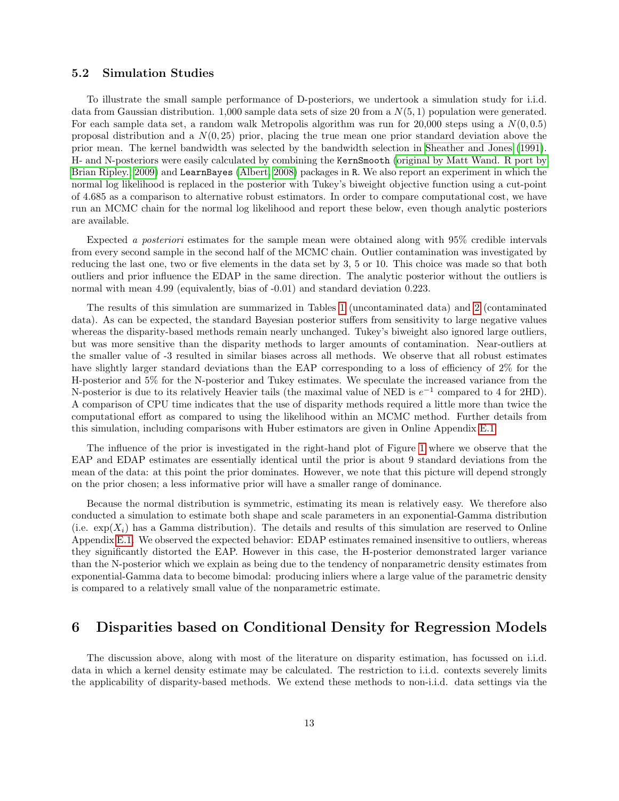#### 5.2 Simulation Studies

To illustrate the small sample performance of D-posteriors, we undertook a simulation study for i.i.d. data from Gaussian distribution. 1,000 sample data sets of size 20 from a  $N(5, 1)$  population were generated. For each sample data set, a random walk Metropolis algorithm was run for 20,000 steps using a  $N(0, 0.5)$ proposal distribution and a  $N(0, 25)$  prior, placing the true mean one prior standard deviation above the prior mean. The kernel bandwidth was selected by the bandwidth selection in [Sheather and Jones \(1991\)](#page-23-7). H- and N-posteriors were easily calculated by combining the KernSmooth [\(original by Matt Wand. R port by](#page-22-15) [Brian Ripley., 2009\)](#page-22-15) and LearnBayes [\(Albert, 2008\)](#page-21-9) packages in R. We also report an experiment in which the normal log likelihood is replaced in the posterior with Tukey's biweight objective function using a cut-point of 4.685 as a comparison to alternative robust estimators. In order to compare computational cost, we have run an MCMC chain for the normal log likelihood and report these below, even though analytic posteriors are available.

Expected a posteriori estimates for the sample mean were obtained along with 95% credible intervals from every second sample in the second half of the MCMC chain. Outlier contamination was investigated by reducing the last one, two or five elements in the data set by 3, 5 or 10. This choice was made so that both outliers and prior influence the EDAP in the same direction. The analytic posterior without the outliers is normal with mean 4.99 (equivalently, bias of -0.01) and standard deviation 0.223.

The results of this simulation are summarized in Tables [1](#page-13-0) (uncontaminated data) and [2](#page-13-1) (contaminated data). As can be expected, the standard Bayesian posterior suffers from sensitivity to large negative values whereas the disparity-based methods remain nearly unchanged. Tukey's biweight also ignored large outliers, but was more sensitive than the disparity methods to larger amounts of contamination. Near-outliers at the smaller value of -3 resulted in similar biases across all methods. We observe that all robust estimates have slightly larger standard deviations than the EAP corresponding to a loss of efficiency of 2% for the H-posterior and 5% for the N-posterior and Tukey estimates. We speculate the increased variance from the N-posterior is due to its relatively Heavier tails (the maximal value of NED is  $e^{-1}$  compared to 4 for 2HD). A comparison of CPU time indicates that the use of disparity methods required a little more than twice the computational effort as compared to using the likelihood within an MCMC method. Further details from this simulation, including comparisons with Huber estimators are given in Online Appendix [E.1.](#page-34-0)

The influence of the prior is investigated in the right-hand plot of Figure [1](#page-5-0) where we observe that the EAP and EDAP estimates are essentially identical until the prior is about 9 standard deviations from the mean of the data: at this point the prior dominates. However, we note that this picture will depend strongly on the prior chosen; a less informative prior will have a smaller range of dominance.

Because the normal distribution is symmetric, estimating its mean is relatively easy. We therefore also conducted a simulation to estimate both shape and scale parameters in an exponential-Gamma distribution (i.e.  $\exp(X_i)$  has a Gamma distribution). The details and results of this simulation are reserved to Online Appendix [E.1.](#page-34-0) We observed the expected behavior: EDAP estimates remained insensitive to outliers, whereas they significantly distorted the EAP. However in this case, the H-posterior demonstrated larger variance than the N-posterior which we explain as being due to the tendency of nonparametric density estimates from exponential-Gamma data to become bimodal: producing inliers where a large value of the parametric density is compared to a relatively small value of the nonparametric estimate.

## <span id="page-12-0"></span>6 Disparities based on Conditional Density for Regression Models

The discussion above, along with most of the literature on disparity estimation, has focussed on i.i.d. data in which a kernel density estimate may be calculated. The restriction to i.i.d. contexts severely limits the applicability of disparity-based methods. We extend these methods to non-i.i.d. data settings via the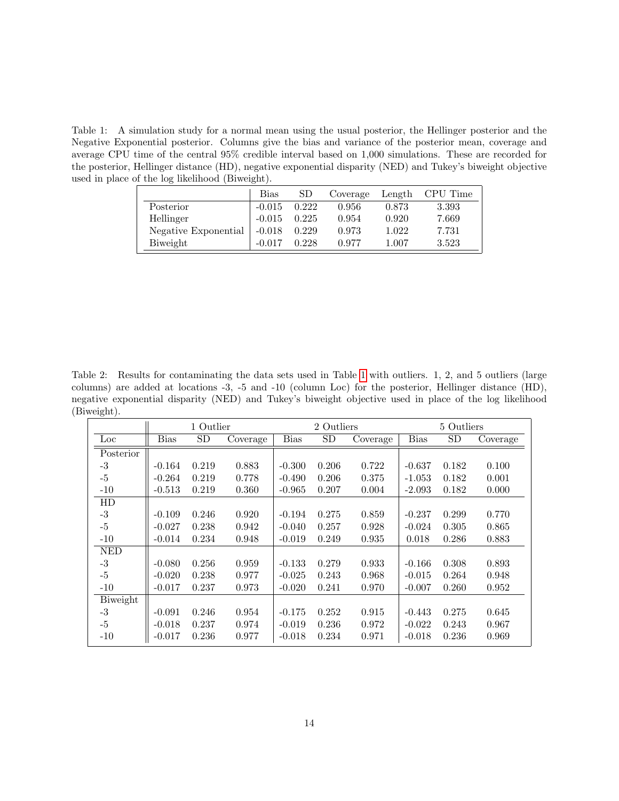<span id="page-13-0"></span>Table 1: A simulation study for a normal mean using the usual posterior, the Hellinger posterior and the Negative Exponential posterior. Columns give the bias and variance of the posterior mean, coverage and average CPU time of the central 95% credible interval based on 1,000 simulations. These are recorded for the posterior, Hellinger distance (HD), negative exponential disparity (NED) and Tukey's biweight objective used in place of the log likelihood (Biweight).

|                      | Bias     | SD.   | Coverage | Length | CPU Time |
|----------------------|----------|-------|----------|--------|----------|
| Posterior            | $-0.015$ | 0.222 | 0.956    | 0.873  | 3.393    |
| Hellinger            | $-0.015$ | 0.225 | 0.954    | 0.920  | 7.669    |
| Negative Exponential | $-0.018$ | 0.229 | 0.973    | 1.022  | 7.731    |
| Biweight             | $-0.017$ | 0.228 | 0.977    | 1.007  | 3.523    |

<span id="page-13-1"></span>Table 2: Results for contaminating the data sets used in Table [1](#page-13-0) with outliers. 1, 2, and 5 outliers (large columns) are added at locations -3, -5 and -10 (column Loc) for the posterior, Hellinger distance (HD), negative exponential disparity (NED) and Tukey's biweight objective used in place of the log likelihood (Biweight).

|            |             | 1 Outlier |          |             | 2 Outliers |          |          | 5 Outliers |          |
|------------|-------------|-----------|----------|-------------|------------|----------|----------|------------|----------|
| Loc        | <b>Bias</b> | SD.       | Coverage | <b>Bias</b> | SD         | Coverage | Bias     | <b>SD</b>  | Coverage |
| Posterior  |             |           |          |             |            |          |          |            |          |
| $-3$       | $-0.164$    | 0.219     | 0.883    | $-0.300$    | 0.206      | 0.722    | $-0.637$ | 0.182      | 0.100    |
| $-5$       | $-0.264$    | 0.219     | 0.778    | $-0.490$    | 0.206      | 0.375    | $-1.053$ | 0.182      | 0.001    |
| $-10$      | $-0.513$    | 0.219     | 0.360    | $-0.965$    | 0.207      | 0.004    | $-2.093$ | 0.182      | 0.000    |
| HD         |             |           |          |             |            |          |          |            |          |
| $-3$       | $-0.109$    | 0.246     | 0.920    | $-0.194$    | 0.275      | 0.859    | $-0.237$ | 0.299      | 0.770    |
| $-5$       | $-0.027$    | 0.238     | 0.942    | $-0.040$    | 0.257      | 0.928    | $-0.024$ | 0.305      | 0.865    |
| $-10$      | $-0.014$    | 0.234     | 0.948    | $-0.019$    | 0.249      | 0.935    | 0.018    | 0.286      | 0.883    |
| <b>NED</b> |             |           |          |             |            |          |          |            |          |
| $-3$       | $-0.080$    | 0.256     | 0.959    | $-0.133$    | 0.279      | 0.933    | $-0.166$ | 0.308      | 0.893    |
| $-5$       | $-0.020$    | 0.238     | 0.977    | $-0.025$    | 0.243      | 0.968    | $-0.015$ | 0.264      | 0.948    |
| $-10$      | $-0.017$    | 0.237     | 0.973    | $-0.020$    | 0.241      | 0.970    | $-0.007$ | 0.260      | 0.952    |
| Biweight   |             |           |          |             |            |          |          |            |          |
| $-3$       | $-0.091$    | 0.246     | 0.954    | $-0.175$    | 0.252      | 0.915    | $-0.443$ | 0.275      | 0.645    |
| $-5$       | $-0.018$    | 0.237     | 0.974    | $-0.019$    | 0.236      | 0.972    | $-0.022$ | 0.243      | 0.967    |
| $-10$      | $-0.017$    | 0.236     | 0.977    | $-0.018$    | 0.234      | 0.971    | $-0.018$ | 0.236      | 0.969    |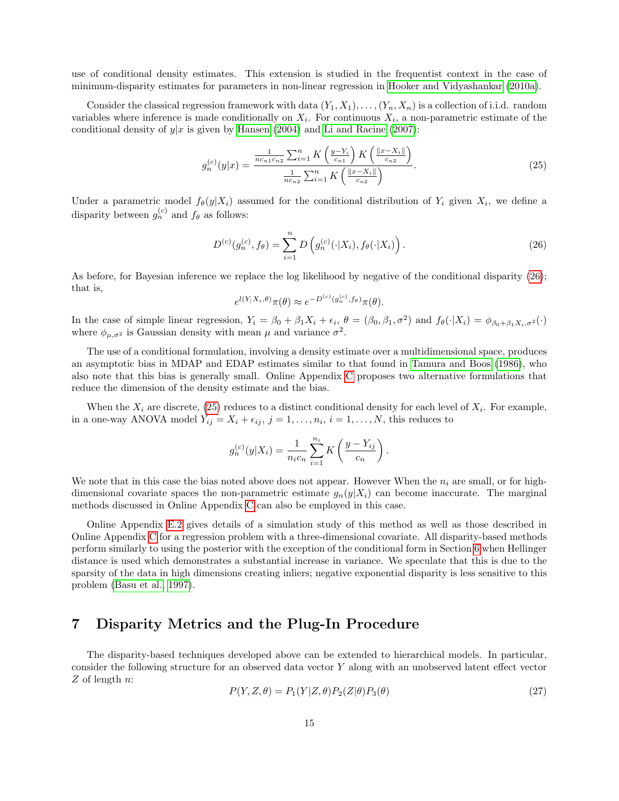use of conditional density estimates. This extension is studied in the frequentist context in the case of minimum-disparity estimates for parameters in non-linear regression in [Hooker and Vidyashankar \(2010a\)](#page-22-4).

Consider the classical regression framework with data  $(Y_1, X_1), \ldots, (Y_n, X_n)$  is a collection of i.i.d. random variables where inference is made conditionally on  $X_i$ . For continuous  $X_i$ , a non-parametric estimate of the conditional density of  $y|x$  is given by [Hansen \(2004\)](#page-22-16) and [Li and Racine \(2007\)](#page-22-17):

<span id="page-14-2"></span>
$$
g_n^{(c)}(y|x) = \frac{\frac{1}{nc_{n1}c_{n2}}\sum_{i=1}^n K\left(\frac{y-Y_i}{c_{n1}}\right) K\left(\frac{\|x-X_i\|}{c_{n2}}\right)}{\frac{1}{nc_{n2}}\sum_{i=1}^n K\left(\frac{\|x-X_i\|}{c_{n2}}\right)}.
$$
\n(25)

Under a parametric model  $f_{\theta}(y|X_i)$  assumed for the conditional distribution of  $Y_i$  given  $X_i$ , we define a disparity between  $g_n^{(c)}$  and  $f_\theta$  as follows:

<span id="page-14-1"></span>
$$
D^{(c)}(g_n^{(c)}, f_\theta) = \sum_{i=1}^n D\left(g_n^{(c)}(\cdot | X_i), f_\theta(\cdot | X_i)\right).
$$
 (26)

As before, for Bayesian inference we replace the log likelihood by negative of the conditional disparity [\(26\)](#page-14-1); that is,

$$
e^{l(Y_1 X_i, \theta)} \pi(\theta) \approx e^{-D^{(c)}(g_n^{(c)}, f_\theta)} \pi(\theta).
$$

In the case of simple linear regression,  $Y_i = \beta_0 + \beta_1 X_i + \epsilon_i$ ,  $\theta = (\beta_0, \beta_1, \sigma^2)$  and  $f_{\theta}(\cdot | X_i) = \phi_{\beta_0 + \beta_1 X_i, \sigma^2}(\cdot)$ where  $\phi_{\mu,\sigma^2}$  is Gaussian density with mean  $\mu$  and variance  $\sigma^2$ .

The use of a conditional formulation, involving a density estimate over a multidimensional space, produces an asymptotic bias in MDAP and EDAP estimates similar to that found in [Tamura and Boos \(1986\)](#page-23-0), who also note that this bias is generally small. Online Appendix [C](#page-31-0) proposes two alternative formulations that reduce the dimension of the density estimate and the bias.

When the  $X_i$  are discrete, [\(25\)](#page-14-2) reduces to a distinct conditional density for each level of  $X_i$ . For example, in a one-way ANOVA model  $Y_{ij} = X_i + \epsilon_{ij}, j = 1, \ldots, n_i, i = 1, \ldots, N$ , this reduces to

$$
g_n^{(c)}(y|X_i) = \frac{1}{n_i c_n} \sum_{i=1}^{n_i} K\left(\frac{y - Y_{ij}}{c_n}\right).
$$

We note that in this case the bias noted above does not appear. However When the  $n_i$  are small, or for highdimensional covariate spaces the non-parametric estimate  $g_n(y|X_i)$  can become inaccurate. The marginal methods discussed in Online Appendix [C](#page-31-0) can also be employed in this case.

Online Appendix [E.2](#page-38-0) gives details of a simulation study of this method as well as those described in Online Appendix [C](#page-31-0) for a regression problem with a three-dimensional covariate. All disparity-based methods perform similarly to using the posterior with the exception of the conditional form in Section [6](#page-12-0) when Hellinger distance is used which demonstrates a substantial increase in variance. We speculate that this is due to the sparsity of the data in high dimensions creating inliers; negative exponential disparity is less sensitive to this problem [\(Basu et al., 1997\)](#page-21-6).

### <span id="page-14-0"></span>7 Disparity Metrics and the Plug-In Procedure

The disparity-based techniques developed above can be extended to hierarchical models. In particular, consider the following structure for an observed data vector Y along with an unobserved latent effect vector  $Z$  of length  $n$ :

<span id="page-14-3"></span>
$$
P(Y, Z, \theta) = P_1(Y|Z, \theta) P_2(Z|\theta) P_3(\theta)
$$
\n
$$
(27)
$$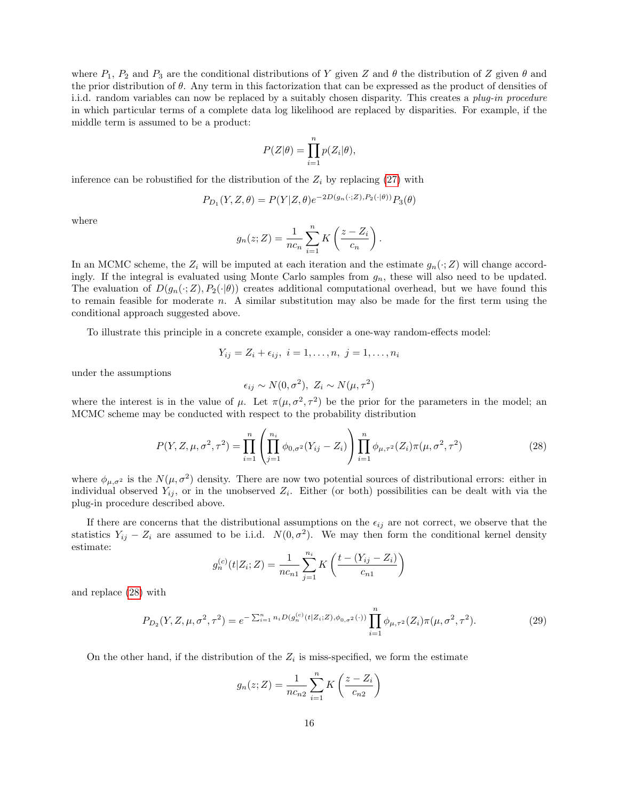where  $P_1$ ,  $P_2$  and  $P_3$  are the conditional distributions of Y given Z and  $\theta$  the distribution of Z given  $\theta$  and the prior distribution of  $\theta$ . Any term in this factorization that can be expressed as the product of densities of i.i.d. random variables can now be replaced by a suitably chosen disparity. This creates a plug-in procedure in which particular terms of a complete data log likelihood are replaced by disparities. For example, if the middle term is assumed to be a product:

$$
P(Z|\theta) = \prod_{i=1}^{n} p(Z_i|\theta),
$$

inference can be robustified for the distribution of the  $Z_i$  by replacing [\(27\)](#page-14-3) with

$$
P_{D_1}(Y,Z,\theta) = P(Y|Z,\theta)e^{-2D(g_n(\cdot;Z),P_2(\cdot|\theta))}P_3(\theta)
$$

where

$$
g_n(z;Z) = \frac{1}{nc_n} \sum_{i=1}^n K\left(\frac{z-Z_i}{c_n}\right).
$$

In an MCMC scheme, the  $Z_i$  will be imputed at each iteration and the estimate  $g_n(\cdot;Z)$  will change accordingly. If the integral is evaluated using Monte Carlo samples from  $g_n$ , these will also need to be updated. The evaluation of  $D(g_n(\cdot;Z), P_2(\cdot|\theta))$  creates additional computational overhead, but we have found this to remain feasible for moderate n. A similar substitution may also be made for the first term using the conditional approach suggested above.

To illustrate this principle in a concrete example, consider a one-way random-effects model:

$$
Y_{ij}=Z_i+\epsilon_{ij}, i=1,\ldots,n, j=1,\ldots,n_i
$$

under the assumptions

$$
\epsilon_{ij} \sim N(0, \sigma^2), Z_i \sim N(\mu, \tau^2)
$$

where the interest is in the value of  $\mu$ . Let  $\pi(\mu, \sigma^2, \tau^2)$  be the prior for the parameters in the model; an MCMC scheme may be conducted with respect to the probability distribution

<span id="page-15-0"></span>
$$
P(Y, Z, \mu, \sigma^2, \tau^2) = \prod_{i=1}^n \left( \prod_{j=1}^{n_i} \phi_{0, \sigma^2}(Y_{ij} - Z_i) \right) \prod_{i=1}^n \phi_{\mu, \tau^2}(Z_i) \pi(\mu, \sigma^2, \tau^2)
$$
(28)

where  $\phi_{\mu,\sigma^2}$  is the  $N(\mu,\sigma^2)$  density. There are now two potential sources of distributional errors: either in individual observed  $Y_{ij}$ , or in the unobserved  $Z_i$ . Either (or both) possibilities can be dealt with via the plug-in procedure described above.

If there are concerns that the distributional assumptions on the  $\epsilon_{ij}$  are not correct, we observe that the statistics  $Y_{ij} - Z_i$  are assumed to be i.i.d.  $N(0, \sigma^2)$ . We may then form the conditional kernel density estimate:

$$
g_n^{(c)}(t|Z_i;Z) = \frac{1}{nc_{n1}} \sum_{j=1}^{n_i} K\left(\frac{t - (Y_{ij} - Z_i)}{c_{n1}}\right)
$$

and replace [\(28\)](#page-15-0) with

<span id="page-15-1"></span>
$$
P_{D_2}(Y, Z, \mu, \sigma^2, \tau^2) = e^{-\sum_{i=1}^n n_i D(g_n^{(c)}(t|Z_i; Z), \phi_{0, \sigma^2}(\cdot))} \prod_{i=1}^n \phi_{\mu, \tau^2}(Z_i) \pi(\mu, \sigma^2, \tau^2).
$$
 (29)

On the other hand, if the distribution of the  $Z_i$  is miss-specified, we form the estimate

$$
g_n(z; Z) = \frac{1}{nc_{n2}} \sum_{i=1}^{n} K\left(\frac{z - Z_i}{c_{n2}}\right)
$$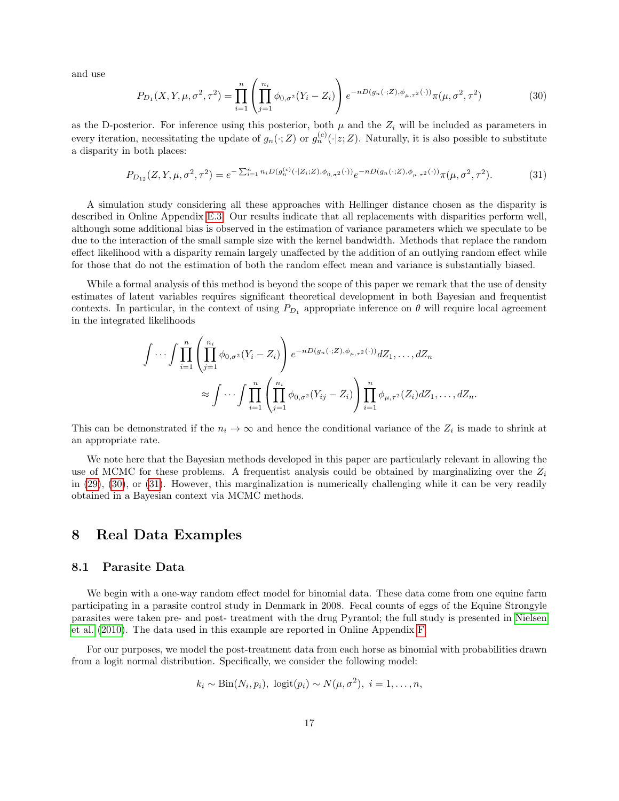and use

<span id="page-16-1"></span>
$$
P_{D_1}(X, Y, \mu, \sigma^2, \tau^2) = \prod_{i=1}^n \left( \prod_{j=1}^{n_i} \phi_{0, \sigma^2}(Y_i - Z_i) \right) e^{-nD(g_n(\cdot; Z), \phi_{\mu, \tau^2}(\cdot))} \pi(\mu, \sigma^2, \tau^2)
$$
(30)

as the D-posterior. For inference using this posterior, both  $\mu$  and the  $Z_i$  will be included as parameters in every iteration, necessitating the update of  $g_n(\cdot; Z)$  or  $g_n^{(c)}(\cdot|z; Z)$ . Naturally, it is also possible to substitute a disparity in both places:

<span id="page-16-2"></span>
$$
P_{D_{12}}(Z, Y, \mu, \sigma^2, \tau^2) = e^{-\sum_{i=1}^n n_i D(g_n^{(c)}(\cdot | Z_i; Z), \phi_{0,\sigma^2}(\cdot))} e^{-n D(g_n(\cdot; Z), \phi_{\mu, \tau^2}(\cdot))} \pi(\mu, \sigma^2, \tau^2).
$$
(31)

A simulation study considering all these approaches with Hellinger distance chosen as the disparity is described in Online Appendix [E.3.](#page-38-1) Our results indicate that all replacements with disparities perform well, although some additional bias is observed in the estimation of variance parameters which we speculate to be due to the interaction of the small sample size with the kernel bandwidth. Methods that replace the random effect likelihood with a disparity remain largely unaffected by the addition of an outlying random effect while for those that do not the estimation of both the random effect mean and variance is substantially biased.

While a formal analysis of this method is beyond the scope of this paper we remark that the use of density estimates of latent variables requires significant theoretical development in both Bayesian and frequentist contexts. In particular, in the context of using  $P_{D_1}$  appropriate inference on  $\theta$  will require local agreement in the integrated likelihoods

$$
\int \cdots \int \prod_{i=1}^n \left( \prod_{j=1}^{n_i} \phi_{0,\sigma^2}(Y_i - Z_i) \right) e^{-nD(g_n(\cdot;Z),\phi_{\mu,\tau^2}(\cdot))} dZ_1, \ldots, dZ_n
$$
  

$$
\approx \int \cdots \int \prod_{i=1}^n \left( \prod_{j=1}^{n_i} \phi_{0,\sigma^2}(Y_{ij} - Z_i) \right) \prod_{i=1}^n \phi_{\mu,\tau^2}(Z_i) dZ_1, \ldots, dZ_n.
$$

This can be demonstrated if the  $n_i \to \infty$  and hence the conditional variance of the  $Z_i$  is made to shrink at an appropriate rate.

We note here that the Bayesian methods developed in this paper are particularly relevant in allowing the use of MCMC for these problems. A frequentist analysis could be obtained by marginalizing over the  $Z_i$ in [\(29\)](#page-15-1), [\(30\)](#page-16-1), or [\(31\)](#page-16-2). However, this marginalization is numerically challenging while it can be very readily obtained in a Bayesian context via MCMC methods.

### <span id="page-16-0"></span>8 Real Data Examples

#### <span id="page-16-3"></span>8.1 Parasite Data

We begin with a one-way random effect model for binomial data. These data come from one equine farm participating in a parasite control study in Denmark in 2008. Fecal counts of eggs of the Equine Strongyle parasites were taken pre- and post- treatment with the drug Pyrantol; the full study is presented in [Nielsen](#page-22-18) [et al. \(2010\)](#page-22-18). The data used in this example are reported in Online Appendix [F.](#page-40-0)

For our purposes, we model the post-treatment data from each horse as binomial with probabilities drawn from a logit normal distribution. Specifically, we consider the following model:

$$
k_i \sim Bin(N_i, p_i), logit(p_i) \sim N(\mu, \sigma^2), i = 1, ..., n,
$$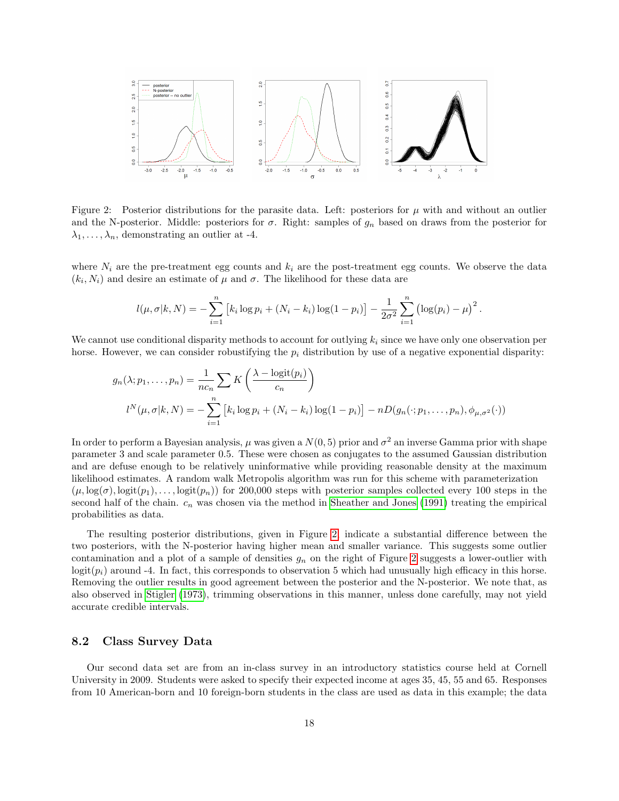

<span id="page-17-0"></span>Figure 2: Posterior distributions for the parasite data. Left: posteriors for  $\mu$  with and without an outlier and the N-posterior. Middle: posteriors for  $\sigma$ . Right: samples of  $g_n$  based on draws from the posterior for  $\lambda_1, \ldots, \lambda_n$ , demonstrating an outlier at -4.

where  $N_i$  are the pre-treatment egg counts and  $k_i$  are the post-treatment egg counts. We observe the data  $(k_i, N_i)$  and desire an estimate of  $\mu$  and  $\sigma$ . The likelihood for these data are

$$
l(\mu, \sigma | k, N) = -\sum_{i=1}^{n} [k_i \log p_i + (N_i - k_i) \log(1 - p_i)] - \frac{1}{2\sigma^2} \sum_{i=1}^{n} ( \log(p_i) - \mu )^2.
$$

We cannot use conditional disparity methods to account for outlying  $k_i$  since we have only one observation per horse. However, we can consider robustifying the  $p_i$  distribution by use of a negative exponential disparity:

$$
g_n(\lambda; p_1, \dots, p_n) = \frac{1}{nc_n} \sum K\left(\frac{\lambda - \text{logit}(p_i)}{c_n}\right)
$$
  

$$
l^N(\mu, \sigma | k, N) = -\sum_{i=1}^n \left[ k_i \log p_i + (N_i - k_i) \log(1 - p_i) \right] - nD(g_n(\cdot; p_1, \dots, p_n), \phi_{\mu, \sigma^2}(\cdot))
$$

In order to perform a Bayesian analysis,  $\mu$  was given a  $N(0, 5)$  prior and  $\sigma^2$  an inverse Gamma prior with shape parameter 3 and scale parameter 0.5. These were chosen as conjugates to the assumed Gaussian distribution and are defuse enough to be relatively uninformative while providing reasonable density at the maximum likelihood estimates. A random walk Metropolis algorithm was run for this scheme with parameterization  $(\mu, \log(\sigma), \logit(p_1), \ldots, \logit(p_n))$  for 200,000 steps with posterior samples collected every 100 steps in the second half of the chain.  $c_n$  was chosen via the method in [Sheather and Jones \(1991\)](#page-23-7) treating the empirical probabilities as data.

The resulting posterior distributions, given in Figure [2,](#page-17-0) indicate a substantial difference between the two posteriors, with the N-posterior having higher mean and smaller variance. This suggests some outlier contamination and a plot of a sample of densities  $g_n$  on the right of Figure [2](#page-17-0) suggests a lower-outlier with  $\logit(p_i)$  around -4. In fact, this corresponds to observation 5 which had unusually high efficacy in this horse. Removing the outlier results in good agreement between the posterior and the N-posterior. We note that, as also observed in [Stigler \(1973\)](#page-23-10), trimming observations in this manner, unless done carefully, may not yield accurate credible intervals.

### <span id="page-17-1"></span>8.2 Class Survey Data

Our second data set are from an in-class survey in an introductory statistics course held at Cornell University in 2009. Students were asked to specify their expected income at ages 35, 45, 55 and 65. Responses from 10 American-born and 10 foreign-born students in the class are used as data in this example; the data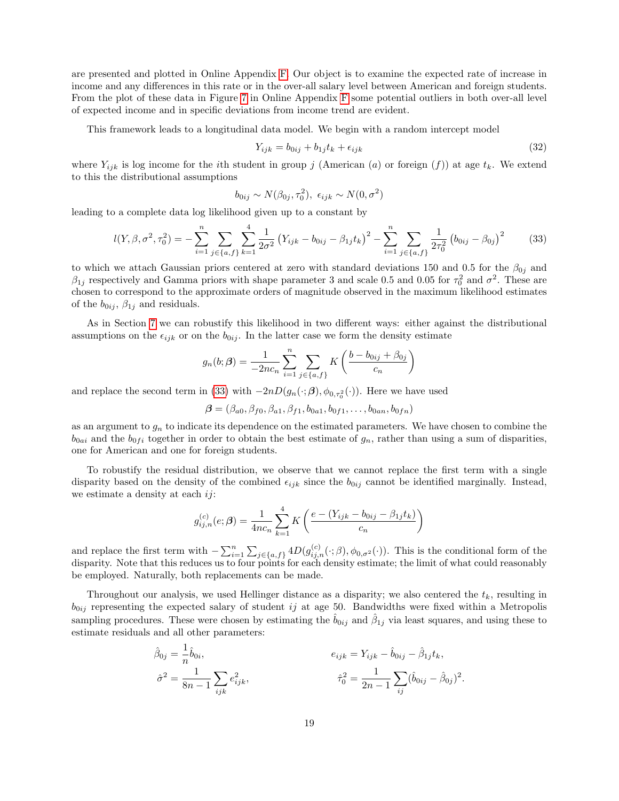are presented and plotted in Online Appendix [F.](#page-40-0) Our object is to examine the expected rate of increase in income and any differences in this rate or in the over-all salary level between American and foreign students. From the plot of these data in Figure [7](#page-42-0) in Online Appendix [F](#page-40-0) some potential outliers in both over-all level of expected income and in specific deviations from income trend are evident.

This framework leads to a longitudinal data model. We begin with a random intercept model

$$
Y_{ijk} = b_{0ij} + b_{1j}t_k + \epsilon_{ijk} \tag{32}
$$

where  $Y_{ijk}$  is log income for the *i*th student in group j (American (a) or foreign (f)) at age  $t_k$ . We extend to this the distributional assumptions

$$
b_{0ij} \sim N(\beta_{0j}, \tau_0^2), \ \epsilon_{ijk} \sim N(0, \sigma^2)
$$

leading to a complete data log likelihood given up to a constant by

<span id="page-18-0"></span>
$$
l(Y, \beta, \sigma^2, \tau_0^2) = -\sum_{i=1}^n \sum_{j \in \{a, f\}} \sum_{k=1}^4 \frac{1}{2\sigma^2} \left( Y_{ijk} - b_{0ij} - \beta_{1j} t_k \right)^2 - \sum_{i=1}^n \sum_{j \in \{a, f\}} \frac{1}{2\tau_0^2} \left( b_{0ij} - \beta_{0j} \right)^2 \tag{33}
$$

to which we attach Gaussian priors centered at zero with standard deviations 150 and 0.5 for the  $\beta_{0j}$  and  $\beta_{1j}$  respectively and Gamma priors with shape parameter 3 and scale 0.5 and 0.05 for  $\tau_0^2$  and  $\sigma^2$ . These are chosen to correspond to the approximate orders of magnitude observed in the maximum likelihood estimates of the  $b_{0ij}$ ,  $\beta_{1j}$  and residuals.

As in Section [7](#page-14-0) we can robustify this likelihood in two different ways: either against the distributional assumptions on the  $\epsilon_{ijk}$  or on the  $b_{0ij}$ . In the latter case we form the density estimate

$$
g_n(b; \beta) = \frac{1}{-2nc_n} \sum_{i=1}^n \sum_{j \in \{a, f\}} K\left(\frac{b - b_{0ij} + \beta_{0j}}{c_n}\right)
$$

and replace the second term in [\(33\)](#page-18-0) with  $-2nD(g_n(\cdot;\boldsymbol{\beta}),\phi_{0,\tau_0^2}(\cdot))$ . Here we have used

$$
\boldsymbol{\beta} = (\beta_{a0}, \beta_{f0}, \beta_{a1}, \beta_{f1}, b_{0a1}, b_{0f1}, \dots, b_{0an}, b_{0fn})
$$

as an argument to  $g_n$  to indicate its dependence on the estimated parameters. We have chosen to combine the  $b_{0ai}$  and the  $b_{0fi}$  together in order to obtain the best estimate of  $g_n$ , rather than using a sum of disparities, one for American and one for foreign students.

To robustify the residual distribution, we observe that we cannot replace the first term with a single disparity based on the density of the combined  $\epsilon_{ijk}$  since the  $b_{0ij}$  cannot be identified marginally. Instead, we estimate a density at each  $ij$ :

$$
g_{ij,n}^{(c)}(e;\beta) = \frac{1}{4nc_n} \sum_{k=1}^{4} K\left(\frac{e - (Y_{ijk} - b_{0ij} - \beta_{1j}t_k)}{c_n}\right)
$$

and replace the first term with  $-\sum_{i=1}^n\sum_{j\in\{a,f\}} 4D(g_{ij,n}^{(c)}(\cdot;\beta),\phi_{0,\sigma^2}(\cdot))$ . This is the conditional form of the disparity. Note that this reduces us to four points for each density estimate; the limit of what could reasonably be employed. Naturally, both replacements can be made.

Throughout our analysis, we used Hellinger distance as a disparity; we also centered the  $t<sub>k</sub>$ , resulting in  $b_{0ij}$  representing the expected salary of student ij at age 50. Bandwidths were fixed within a Metropolis sampling procedures. These were chosen by estimating the  $\hat{b}_{0ij}$  and  $\hat{\beta}_{1j}$  via least squares, and using these to estimate residuals and all other parameters:

$$
\hat{\beta}_{0j} = \frac{1}{n} \hat{b}_{0i},
$$
\n
$$
\hat{\sigma}^2 = \frac{1}{8n-1} \sum_{ijk} e_{ijk}^2,
$$
\n
$$
\hat{\sigma}^2 = \frac{1}{2n-1} \sum_{ij} e_{ijk}^2,
$$
\n
$$
\hat{\tau}_0^2 = \frac{1}{2n-1} \sum_{ij} (\hat{b}_{0ij} - \hat{b}_{0j})^2.
$$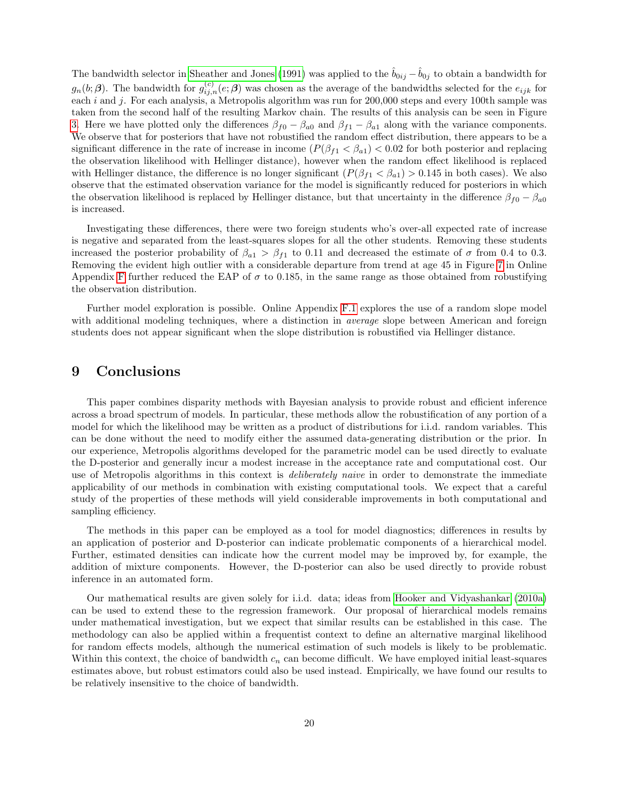The bandwidth selector in [Sheather and Jones \(1991\)](#page-23-7) was applied to the  $\hat{b}_{0ij} - \hat{b}_{0j}$  to obtain a bandwidth for  $g_n(b;\boldsymbol{\beta})$ . The bandwidth for  $g_{ij,n}^{(c)}(e;\boldsymbol{\beta})$  was chosen as the average of the bandwidths selected for the  $e_{ijk}$  for each i and j. For each analysis, a Metropolis algorithm was run for 200,000 steps and every 100th sample was taken from the second half of the resulting Markov chain. The results of this analysis can be seen in Figure [3.](#page-20-0) Here we have plotted only the differences  $\beta_{f0} - \beta_{a0}$  and  $\beta_{f1} - \beta_{a1}$  along with the variance components. We observe that for posteriors that have not robustified the random effect distribution, there appears to be a significant difference in the rate of increase in income  $(P(\beta_{f1} < \beta_{a1}) < 0.02$  for both posterior and replacing the observation likelihood with Hellinger distance), however when the random effect likelihood is replaced with Hellinger distance, the difference is no longer significant  $(P(\beta_{f1} < \beta_{a1}) > 0.145$  in both cases). We also observe that the estimated observation variance for the model is significantly reduced for posteriors in which the observation likelihood is replaced by Hellinger distance, but that uncertainty in the difference  $\beta_{f0} - \beta_{a0}$ is increased.

Investigating these differences, there were two foreign students who's over-all expected rate of increase is negative and separated from the least-squares slopes for all the other students. Removing these students increased the posterior probability of  $\beta_{a1} > \beta_{f1}$  to 0.11 and decreased the estimate of  $\sigma$  from 0.4 to 0.3. Removing the evident high outlier with a considerable departure from trend at age 45 in Figure [7](#page-42-0) in Online Appendix [F](#page-40-0) further reduced the EAP of  $\sigma$  to 0.185, in the same range as those obtained from robustifying the observation distribution.

Further model exploration is possible. Online Appendix [F.1](#page-43-0) explores the use of a random slope model with additional modeling techniques, where a distinction in *average* slope between American and foreign students does not appear significant when the slope distribution is robustified via Hellinger distance.

### 9 Conclusions

This paper combines disparity methods with Bayesian analysis to provide robust and efficient inference across a broad spectrum of models. In particular, these methods allow the robustification of any portion of a model for which the likelihood may be written as a product of distributions for i.i.d. random variables. This can be done without the need to modify either the assumed data-generating distribution or the prior. In our experience, Metropolis algorithms developed for the parametric model can be used directly to evaluate the D-posterior and generally incur a modest increase in the acceptance rate and computational cost. Our use of Metropolis algorithms in this context is *deliberately naive* in order to demonstrate the immediate applicability of our methods in combination with existing computational tools. We expect that a careful study of the properties of these methods will yield considerable improvements in both computational and sampling efficiency.

The methods in this paper can be employed as a tool for model diagnostics; differences in results by an application of posterior and D-posterior can indicate problematic components of a hierarchical model. Further, estimated densities can indicate how the current model may be improved by, for example, the addition of mixture components. However, the D-posterior can also be used directly to provide robust inference in an automated form.

Our mathematical results are given solely for i.i.d. data; ideas from [Hooker and Vidyashankar \(2010a\)](#page-22-4) can be used to extend these to the regression framework. Our proposal of hierarchical models remains under mathematical investigation, but we expect that similar results can be established in this case. The methodology can also be applied within a frequentist context to define an alternative marginal likelihood for random effects models, although the numerical estimation of such models is likely to be problematic. Within this context, the choice of bandwidth  $c_n$  can become difficult. We have employed initial least-squares estimates above, but robust estimators could also be used instead. Empirically, we have found our results to be relatively insensitive to the choice of bandwidth.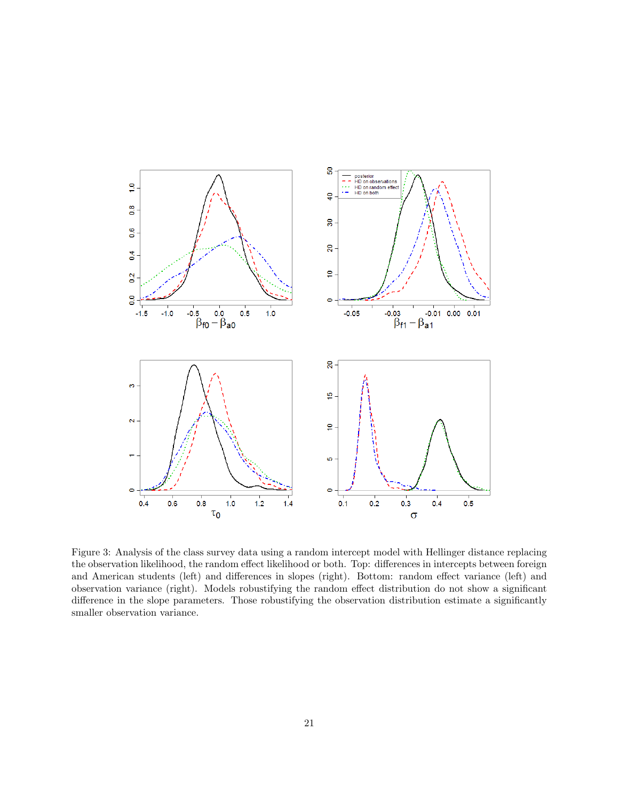

<span id="page-20-0"></span>Figure 3: Analysis of the class survey data using a random intercept model with Hellinger distance replacing the observation likelihood, the random effect likelihood or both. Top: differences in intercepts between foreign and American students (left) and differences in slopes (right). Bottom: random effect variance (left) and observation variance (right). Models robustifying the random effect distribution do not show a significant difference in the slope parameters. Those robustifying the observation distribution estimate a significantly smaller observation variance.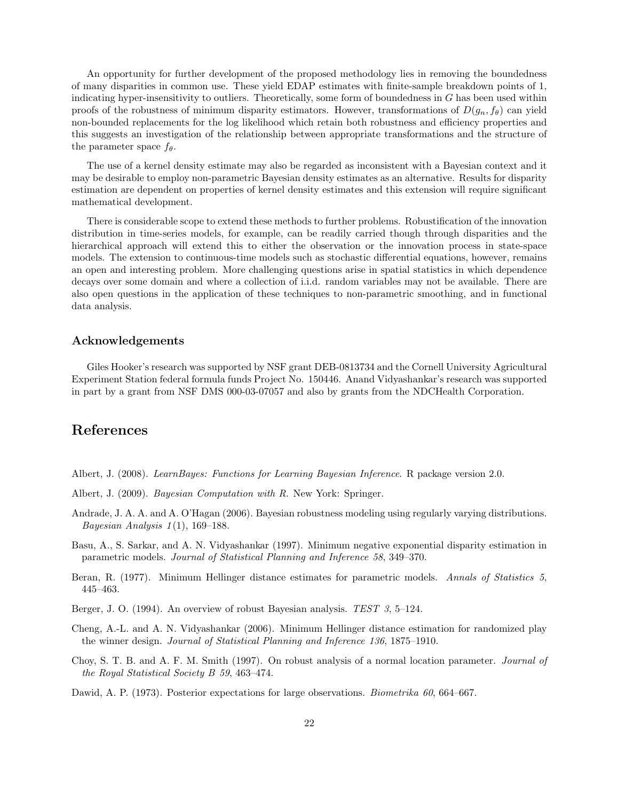An opportunity for further development of the proposed methodology lies in removing the boundedness of many disparities in common use. These yield EDAP estimates with finite-sample breakdown points of 1, indicating hyper-insensitivity to outliers. Theoretically, some form of boundedness in  $G$  has been used within proofs of the robustness of minimum disparity estimators. However, transformations of  $D(g_n, f_\theta)$  can yield non-bounded replacements for the log likelihood which retain both robustness and efficiency properties and this suggests an investigation of the relationship between appropriate transformations and the structure of the parameter space  $f_{\theta}$ .

The use of a kernel density estimate may also be regarded as inconsistent with a Bayesian context and it may be desirable to employ non-parametric Bayesian density estimates as an alternative. Results for disparity estimation are dependent on properties of kernel density estimates and this extension will require significant mathematical development.

There is considerable scope to extend these methods to further problems. Robustification of the innovation distribution in time-series models, for example, can be readily carried though through disparities and the hierarchical approach will extend this to either the observation or the innovation process in state-space models. The extension to continuous-time models such as stochastic differential equations, however, remains an open and interesting problem. More challenging questions arise in spatial statistics in which dependence decays over some domain and where a collection of i.i.d. random variables may not be available. There are also open questions in the application of these techniques to non-parametric smoothing, and in functional data analysis.

#### Acknowledgements

Giles Hooker's research was supported by NSF grant DEB-0813734 and the Cornell University Agricultural Experiment Station federal formula funds Project No. 150446. Anand Vidyashankar's research was supported in part by a grant from NSF DMS 000-03-07057 and also by grants from the NDCHealth Corporation.

## <span id="page-21-3"></span>References

- <span id="page-21-9"></span>Albert, J. (2008). LearnBayes: Functions for Learning Bayesian Inference. R package version 2.0.
- <span id="page-21-1"></span>Albert, J. (2009). Bayesian Computation with R. New York: Springer.
- <span id="page-21-2"></span>Andrade, J. A. A. and A. O'Hagan (2006). Bayesian robustness modeling using regularly varying distributions. Bayesian Analysis  $1(1)$ , 169–188.
- <span id="page-21-6"></span>Basu, A., S. Sarkar, and A. N. Vidyashankar (1997). Minimum negative exponential disparity estimation in parametric models. Journal of Statistical Planning and Inference 58, 349–370.
- <span id="page-21-4"></span>Beran, R. (1977). Minimum Hellinger distance estimates for parametric models. Annals of Statistics 5, 445–463.
- <span id="page-21-0"></span>Berger, J. O. (1994). An overview of robust Bayesian analysis. TEST 3, 5–124.
- <span id="page-21-5"></span>Cheng, A.-L. and A. N. Vidyashankar (2006). Minimum Hellinger distance estimation for randomized play the winner design. Journal of Statistical Planning and Inference 136, 1875–1910.
- <span id="page-21-8"></span>Choy, S. T. B. and A. F. M. Smith (1997). On robust analysis of a normal location parameter. Journal of the Royal Statistical Society B 59, 463–474.
- <span id="page-21-7"></span>Dawid, A. P. (1973). Posterior expectations for large observations. *Biometrika 60*, 664–667.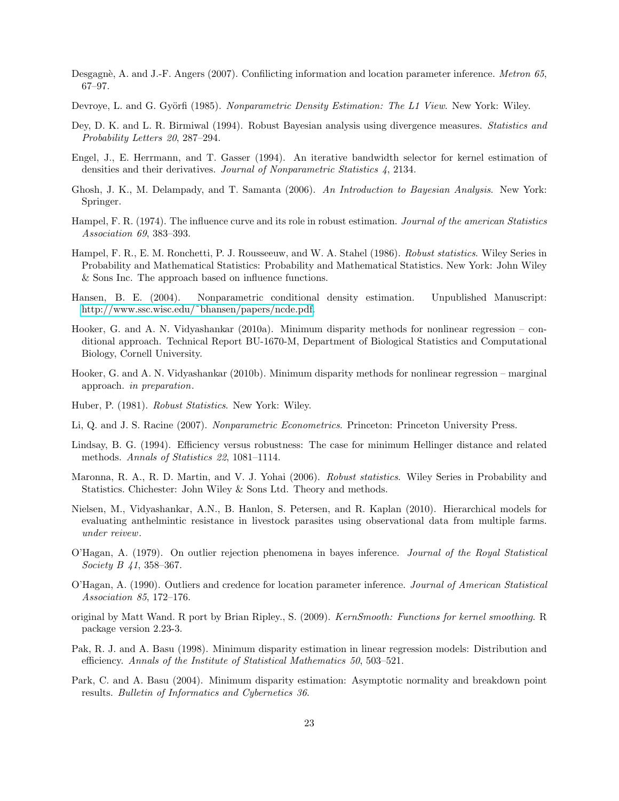- <span id="page-22-8"></span>Desgagnè, A. and J.-F. Angers (2007). Confilicting information and location parameter inference. Metron 65, 67–97.
- <span id="page-22-9"></span>Devroye, L. and G. Györfi (1985). Nonparametric Density Estimation: The L1 View. New York: Wiley.
- <span id="page-22-5"></span>Dey, D. K. and L. R. Birmiwal (1994). Robust Bayesian analysis using divergence measures. *Statistics and* Probability Letters 20, 287–294.
- <span id="page-22-10"></span>Engel, J., E. Herrmann, and T. Gasser (1994). An iterative bandwidth selector for kernel estimation of densities and their derivatives. Journal of Nonparametric Statistics 4, 2134.
- <span id="page-22-13"></span>Ghosh, J. K., M. Delampady, and T. Samanta (2006). An Introduction to Bayesian Analysis. New York: Springer.
- <span id="page-22-12"></span>Hampel, F. R. (1974). The influence curve and its role in robust estimation. Journal of the american Statistics Association 69, 383–393.
- <span id="page-22-0"></span>Hampel, F. R., E. M. Ronchetti, P. J. Rousseeuw, and W. A. Stahel (1986). Robust statistics. Wiley Series in Probability and Mathematical Statistics: Probability and Mathematical Statistics. New York: John Wiley & Sons Inc. The approach based on influence functions.
- <span id="page-22-16"></span>Hansen, B. E. (2004). Nonparametric conditional density estimation. Unpublished Manuscript: [http://www.ssc.wisc.edu/˜bhansen/papers/ncde.pdf.](http://www.ssc.wisc.edu/~bhansen/papers/ncde.pdf)
- <span id="page-22-4"></span>Hooker, G. and A. N. Vidyashankar (2010a). Minimum disparity methods for nonlinear regression – conditional approach. Technical Report BU-1670-M, Department of Biological Statistics and Computational Biology, Cornell University.
- <span id="page-22-14"></span>Hooker, G. and A. N. Vidyashankar (2010b). Minimum disparity methods for nonlinear regression – marginal approach. in preparation.
- <span id="page-22-11"></span>Huber, P. (1981). Robust Statistics. New York: Wiley.
- <span id="page-22-17"></span>Li, Q. and J. S. Racine (2007). Nonparametric Econometrics. Princeton: Princeton University Press.
- <span id="page-22-2"></span>Lindsay, B. G. (1994). Efficiency versus robustness: The case for minimum Hellinger distance and related methods. Annals of Statistics 22, 1081–1114.
- <span id="page-22-1"></span>Maronna, R. A., R. D. Martin, and V. J. Yohai (2006). Robust statistics. Wiley Series in Probability and Statistics. Chichester: John Wiley & Sons Ltd. Theory and methods.
- <span id="page-22-18"></span>Nielsen, M., Vidyashankar, A.N., B. Hanlon, S. Petersen, and R. Kaplan (2010). Hierarchical models for evaluating anthelmintic resistance in livestock parasites using observational data from multiple farms. under reivew.
- <span id="page-22-6"></span>O'Hagan, A. (1979). On outlier rejection phenomena in bayes inference. Journal of the Royal Statistical Society B 41, 358–367.
- <span id="page-22-7"></span>O'Hagan, A. (1990). Outliers and credence for location parameter inference. Journal of American Statistical Association 85, 172–176.
- <span id="page-22-15"></span>original by Matt Wand. R port by Brian Ripley., S. (2009). KernSmooth: Functions for kernel smoothing. R package version 2.23-3.
- <span id="page-22-19"></span>Pak, R. J. and A. Basu (1998). Minimum disparity estimation in linear regression models: Distribution and efficiency. Annals of the Institute of Statistical Mathematics 50, 503–521.
- <span id="page-22-3"></span>Park, C. and A. Basu (2004). Minimum disparity estimation: Asymptotic normality and breakdown point results. Bulletin of Informatics and Cybernetics 36.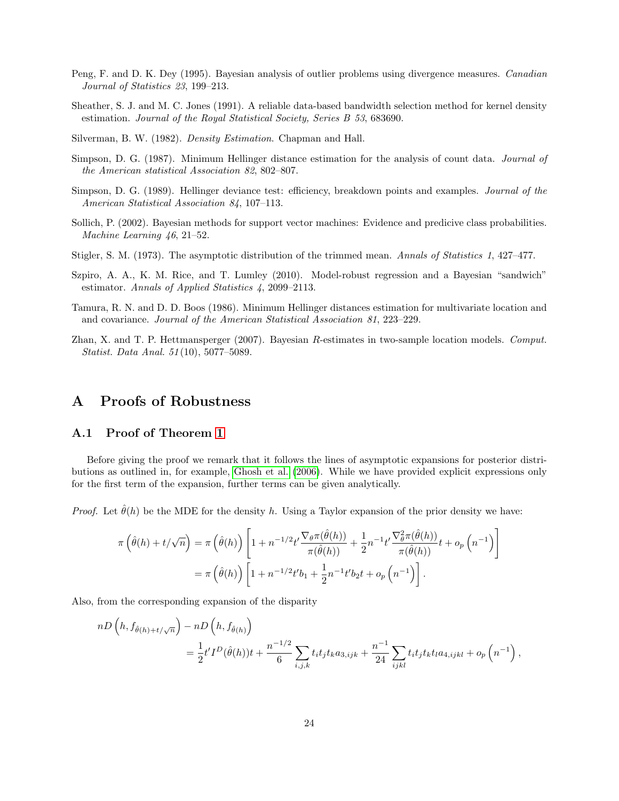- <span id="page-23-3"></span>Peng, F. and D. K. Dey (1995). Bayesian analysis of outlier problems using divergence measures. Canadian Journal of Statistics 23, 199–213.
- <span id="page-23-7"></span>Sheather, S. J. and M. C. Jones (1991). A reliable data-based bandwidth selection method for kernel density estimation. Journal of the Royal Statistical Society, Series B 53, 683690.
- <span id="page-23-6"></span>Silverman, B. W. (1982). Density Estimation. Chapman and Hall.
- <span id="page-23-1"></span>Simpson, D. G. (1987). Minimum Hellinger distance estimation for the analysis of count data. Journal of the American statistical Association 82, 802–807.
- <span id="page-23-2"></span>Simpson, D. G. (1989). Hellinger deviance test: efficiency, breakdown points and examples. Journal of the American Statistical Association 84, 107–113.
- <span id="page-23-8"></span>Sollich, P. (2002). Bayesian methods for support vector machines: Evidence and predicive class probabilities. Machine Learning 46, 21–52.
- <span id="page-23-10"></span>Stigler, S. M. (1973). The asymptotic distribution of the trimmed mean. Annals of Statistics 1, 427–477.
- <span id="page-23-5"></span>Szpiro, A. A., K. M. Rice, and T. Lumley (2010). Model-robust regression and a Bayesian "sandwich" estimator. Annals of Applied Statistics 4, 2099–2113.
- <span id="page-23-0"></span>Tamura, R. N. and D. D. Boos (1986). Minimum Hellinger distances estimation for multivariate location and and covariance. Journal of the American Statistical Association 81, 223–229.
- <span id="page-23-4"></span>Zhan, X. and T. P. Hettmansperger (2007). Bayesian R-estimates in two-sample location models. Comput. Statist. Data Anal. 51 (10), 5077–5089.

## <span id="page-23-9"></span>A Proofs of Robustness

### A.1 Proof of Theorem [1](#page-6-2)

Before giving the proof we remark that it follows the lines of asymptotic expansions for posterior distributions as outlined in, for example, [Ghosh et al. \(2006\)](#page-22-13). While we have provided explicit expressions only for the first term of the expansion, further terms can be given analytically.

*Proof.* Let  $\hat{\theta}(h)$  be the MDE for the density h. Using a Taylor expansion of the prior density we have:

$$
\pi\left(\hat{\theta}(h) + t/\sqrt{n}\right) = \pi\left(\hat{\theta}(h)\right)\left[1 + n^{-1/2}t'\frac{\nabla_{\theta}\pi(\hat{\theta}(h))}{\pi(\hat{\theta}(h))} + \frac{1}{2}n^{-1}t'\frac{\nabla_{\theta}^2\pi(\hat{\theta}(h))}{\pi(\hat{\theta}(h))}t + o_p\left(n^{-1}\right)\right]
$$

$$
= \pi\left(\hat{\theta}(h)\right)\left[1 + n^{-1/2}t'b_1 + \frac{1}{2}n^{-1}t'b_2t + o_p\left(n^{-1}\right)\right].
$$

Also, from the corresponding expansion of the disparity

$$
nD\left(h, f_{\hat{\theta}(h)+t/\sqrt{n}}\right) - nD\left(h, f_{\hat{\theta}(h)}\right)
$$
  
=  $\frac{1}{2}t'I^D(\hat{\theta}(h))t + \frac{n^{-1/2}}{6}\sum_{i,j,k}t_it_jt_ka_{3,ijk} + \frac{n^{-1}}{24}\sum_{ijkl}t_it_jt_kt_ia_{4,ijkl} + o_p\left(n^{-1}\right),$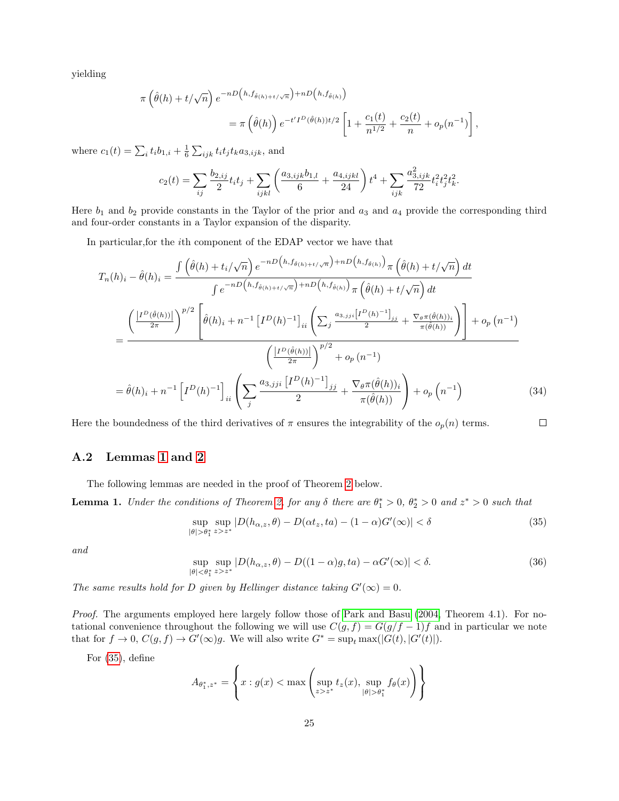yielding

$$
\pi \left( \hat{\theta}(h) + t/\sqrt{n} \right) e^{-nD \left( h, f_{\hat{\theta}(h) + t/\sqrt{n}} \right) + nD \left( h, f_{\hat{\theta}(h)} \right)} \\
= \pi \left( \hat{\theta}(h) \right) e^{-t'I^D(\hat{\theta}(h))t/2} \left[ 1 + \frac{c_1(t)}{n^{1/2}} + \frac{c_2(t)}{n} + o_p(n^{-1}) \right],
$$

where  $c_1(t) = \sum_i t_i b_{1,i} + \frac{1}{6} \sum_{ijk} t_i t_j t_k a_{3,ijk}$ , and

$$
c_2(t) = \sum_{ij} \frac{b_{2,ij}}{2} t_i t_j + \sum_{ijkl} \left( \frac{a_{3,ijk} b_{1,l}}{6} + \frac{a_{4,ijkl}}{24} \right) t^4 + \sum_{ijk} \frac{a_{3,ijk}^2}{72} t_i^2 t_j^2 t_k^2.
$$

Here  $b_1$  and  $b_2$  provide constants in the Taylor of the prior and  $a_3$  and  $a_4$  provide the corresponding third and four-order constants in a Taylor expansion of the disparity.

In particular,for the ith component of the EDAP vector we have that

$$
T_{n}(h)_{i} - \hat{\theta}(h)_{i} = \frac{\int (\hat{\theta}(h) + t_{i}/\sqrt{n}) e^{-nD(h, f_{\hat{\theta}(h)+t/\sqrt{n}}) + nD(h, f_{\hat{\theta}(h)})} \pi(\hat{\theta}(h) + t/\sqrt{n}) dt}{\int e^{-nD(h, f_{\hat{\theta}(h)+t/\sqrt{n}}) + nD(h, f_{\hat{\theta}(h)})} \pi(\hat{\theta}(h) + t/\sqrt{n}) dt}
$$
  
\n
$$
= \frac{(\frac{|I^{D}(\hat{\theta}(h))|}{2\pi})^{p/2} \left[\hat{\theta}(h)_{i} + n^{-1} [I^{D}(h)^{-1}]_{ii} \left(\sum_{j} \frac{a_{3,jj i}[I^{D}(h)^{-1}]_{jj}}{2} + \frac{\nabla_{\theta}\pi(\hat{\theta}(h))_{i}}{\pi(\hat{\theta}(h))}\right)\right] + o_{p}(n^{-1})}{(\frac{|I^{D}(\hat{\theta}(h))|}{2\pi})^{p/2} + o_{p}(n^{-1})}
$$
  
\n
$$
= \hat{\theta}(h)_{i} + n^{-1} [I^{D}(h)^{-1}]_{ii} \left(\sum_{j} \frac{a_{3,jj i}[I^{D}(h)^{-1}]_{jj}}{2} + \frac{\nabla_{\theta}\pi(\hat{\theta}(h))_{i}}{\pi(\hat{\theta}(h))}\right) + o_{p}(n^{-1})
$$
\n(34)

Here the boundedness of the third derivatives of  $\pi$  ensures the integrability of the  $o_p(n)$  terms.

### A.2 Lemmas [1](#page-24-1) and [2](#page-25-0)

The following lemmas are needed in the proof of Theorem [2](#page-7-0) below.

<span id="page-24-1"></span>**Lemma 1.** Under the conditions of Theorem [2,](#page-7-0) for any  $\delta$  there are  $\theta_1^* > 0$ ,  $\theta_2^* > 0$  and  $z^* > 0$  such that

<span id="page-24-2"></span>
$$
\sup_{|\theta|>\theta_1^*} \sup_{z>z^*} |D(h_{\alpha,z}, \theta) - D(\alpha t_z, t a) - (1-\alpha)G'(\infty)| < \delta
$$
\n(35)

<span id="page-24-0"></span> $\Box$ 

and

<span id="page-24-3"></span>
$$
\sup_{|\theta| < \theta_1^*} \sup_{z > z^*} |D(h_{\alpha,z}, \theta) - D((1-\alpha)g, ta) - \alpha G'(\infty)| < \delta. \tag{36}
$$

The same results hold for D given by Hellinger distance taking  $G'(\infty) = 0$ .

Proof. The arguments employed here largely follow those of [Park and Basu \(2004,](#page-22-3) Theorem 4.1). For notational convenience throughout the following we will use  $C(g, f) = G(g/f - 1)f$  and in particular we note that for  $f \to 0$ ,  $C(g, f) \to G'(\infty)g$ . We will also write  $G^* = \sup_t \max(|G(t), |G'(t)|)$ .

For [\(35\)](#page-24-2), define

$$
A_{\theta_1^*, z^*} = \left\{ x : g(x) < \max\left( \sup_{z > z^*} t_z(x), \sup_{|\theta| > \theta_1^*} f_\theta(x) \right) \right\}
$$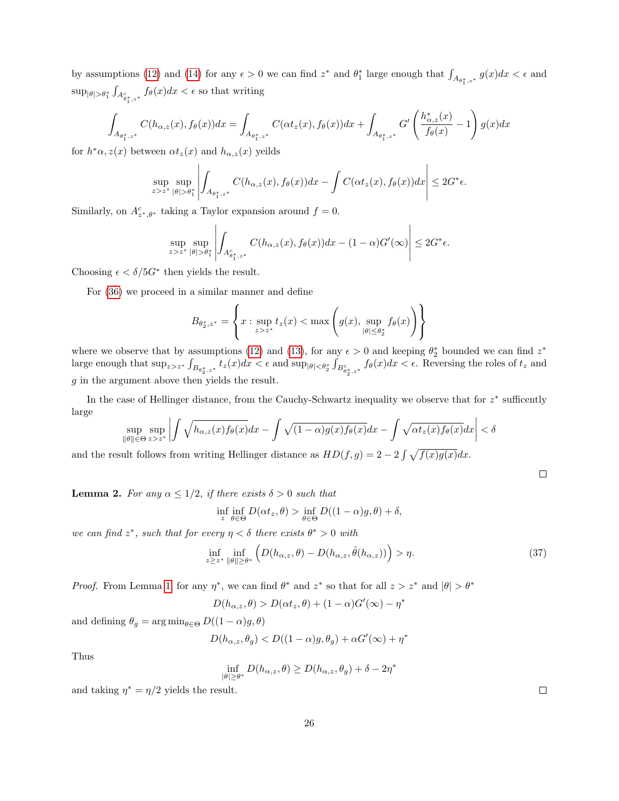by assumptions [\(12\)](#page-6-5) and [\(14\)](#page-6-6) for any  $\epsilon > 0$  we can find  $z^*$  and  $\theta_1^*$  large enough that  $\int_{A_{\theta_1^*,z^*}} g(x)dx < \epsilon$  and  $\sup_{|\theta|>\theta_1^*} \int_{A_{\theta_1^*,z^*}^c} f_{\theta}(x)dx < \epsilon$  so that writing

$$
\int_{A_{\theta_1^*,z^*}} C(h_{\alpha,z}(x),f_{\theta}(x))dx = \int_{A_{\theta_1^*,z^*}} C(\alpha t_z(x),f_{\theta}(x))dx + \int_{A_{\theta_1^*,z^*}} G'\left(\frac{h_{\alpha,z}^*(x)}{f_{\theta}(x)} - 1\right)g(x)dx
$$

for  $h^*\alpha, z(x)$  between  $\alpha t_z(x)$  and  $h_{\alpha,z}(x)$  yeilds

$$
\sup_{z>z^*} \sup_{|\theta|>\theta_1^*} \left| \int_{A_{\theta_1^*,z^*}} C(h_{\alpha,z}(x),f_{\theta}(x))dx - \int C(\alpha t_z(x),f_{\theta}(x))dx \right| \leq 2G^*\epsilon.
$$

Similarly, on  $A_{z^*,\theta^*}^c$  taking a Taylor expansion around  $f = 0$ .

$$
\sup_{z>z^*} \sup_{|\theta|>\theta_1^*} \left| \int_{A_{\theta_1^*.z^*}^c} C(h_{\alpha,z}(x),f_{\theta}(x))dx-(1-\alpha)G'(\infty) \right| \leq 2G^*\epsilon.
$$

Choosing  $\epsilon < \delta/5G^*$  then yields the result.

For [\(36\)](#page-24-3) we proceed in a similar manner and define

$$
B_{\theta_2^*, z^*} = \left\{ x : \sup_{z > z^*} t_z(x) < \max\left(g(x), \sup_{|\theta| \le \theta_2^*} f_{\theta}(x)\right) \right\}
$$

where we observe that by assumptions [\(12\)](#page-6-5) and [\(13\)](#page-6-7), for any  $\epsilon > 0$  and keeping  $\theta_2^*$  bounded we can find  $z^*$ large enough that  $\sup_{z>z^*} \int_{B_{\theta_2^*,z^*}} t_z(x)dx < \epsilon$  and  $\sup_{|\theta|<\theta_2^*} \int_{B_{\theta_2^*,z^*}^c} f_{\theta}(x)dx < \epsilon$ . Reversing the roles of  $t_z$  and g in the argument above then yields the result.

In the case of Hellinger distance, from the Cauchy-Schwartz inequality we observe that for  $z^*$  sufficently large

$$
\sup_{\|\theta\| \in \Theta} \sup_{z > z^*} \left| \int \sqrt{h_{\alpha,z}(x)f_{\theta}(x)} dx - \int \sqrt{(1-\alpha)g(x)f_{\theta}(x)} dx - \int \sqrt{\alpha t_z(x)f_{\theta}(x)} dx \right| < \delta
$$

and the result follows from writing Hellinger distance as  $HD(f,g) = 2 - 2 \int \sqrt{f(x)g(x)} dx$ .

<span id="page-25-0"></span>**Lemma 2.** For any  $\alpha \leq 1/2$ , if there exists  $\delta > 0$  such that

$$
\inf_{z} \inf_{\theta \in \Theta} D(\alpha t_z, \theta) > \inf_{\theta \in \Theta} D((1 - \alpha)g, \theta) + \delta,
$$

we can find  $z^*$ , such that for every  $\eta < \delta$  there exists  $\theta^* > 0$  with

$$
\inf_{z \ge z^*} \inf_{\|\theta\| \ge \theta^*} \left( D(h_{\alpha,z}, \theta) - D(h_{\alpha,z}, \hat{\theta}(h_{\alpha,z})) \right) > \eta.
$$
\n(37)

∗

*Proof.* From Lemma [1,](#page-24-1) for any  $\eta^*$ , we can find  $\theta^*$  and  $z^*$  so that for all  $z > z^*$  and  $|\theta| > \theta^*$ 

$$
D(h_{\alpha,z},\theta) > D(\alpha t_z, \theta) + (1-\alpha)G'(\infty) - \eta^*
$$

and defining  $\theta_g = \arg \min_{\theta \in \Theta} D((1 - \alpha)g, \theta)$ 

$$
D(h_{\alpha,z}, \theta_g) < D((1-\alpha)g, \theta_g) + \alpha G'(\infty) + \eta^*
$$

Thus

$$
\inf_{|\theta| \ge \theta^*} D(h_{\alpha,z}, \theta) \ge D(h_{\alpha,z}, \theta_g) + \delta - 2\eta
$$

and taking  $\eta^* = \eta/2$  yields the result.

 $\Box$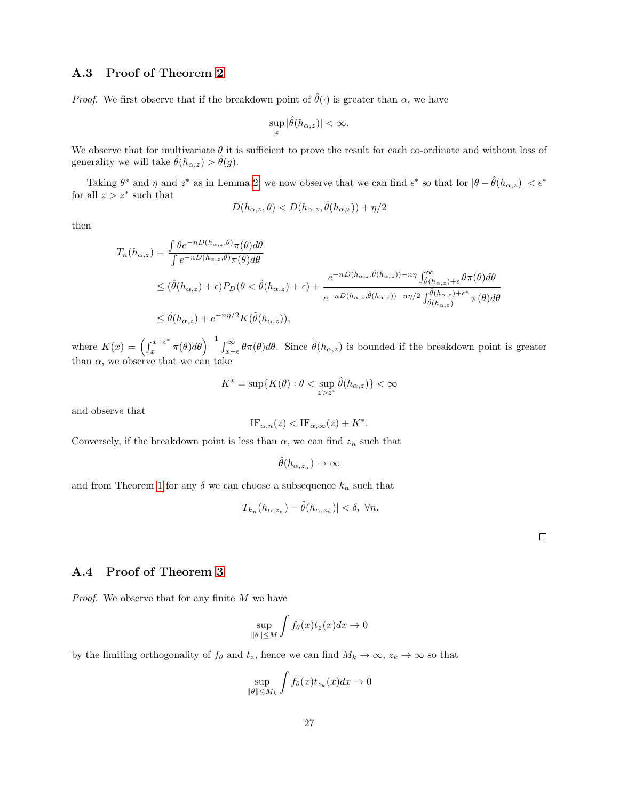### A.3 Proof of Theorem [2](#page-7-0)

*Proof.* We first observe that if the breakdown point of  $\hat{\theta}(\cdot)$  is greater than  $\alpha$ , we have

$$
\sup_{z}|\hat{\theta}(h_{\alpha,z})| < \infty.
$$

We observe that for multivariate  $\theta$  it is sufficient to prove the result for each co-ordinate and without loss of generality we will take  $\hat{\theta}(h_{\alpha,z}) > \hat{\theta}(g)$ .

Taking  $\theta^*$  and  $\eta$  and  $z^*$  as in Lemma [2,](#page-25-0) we now observe that we can find  $\epsilon^*$  so that for  $|\theta - \hat{\theta}(h_{\alpha,z})| < \epsilon^*$ for all  $z > z^*$  such that

$$
D(h_{\alpha,z}, \theta) < D(h_{\alpha,z}, \hat{\theta}(h_{\alpha,z})) + \eta/2
$$

then

$$
T_n(h_{\alpha,z}) = \frac{\int \theta e^{-nD(h_{\alpha,z},\theta)} \pi(\theta) d\theta}{\int e^{-nD(h_{\alpha,z},\theta)} \pi(\theta) d\theta}
$$
  

$$
\leq (\hat{\theta}(h_{\alpha,z}) + \epsilon) P_D(\theta < \hat{\theta}(h_{\alpha,z}) + \epsilon) + \frac{e^{-nD(h_{\alpha,z},\hat{\theta}(h_{\alpha,z})) - n\eta} \int_{\hat{\theta}(h_{\alpha,z}) + \epsilon}^{\infty} \theta \pi(\theta) d\theta}{e^{-nD(h_{\alpha,z},\hat{\theta}(h_{\alpha,z})) - n\eta/2} \int_{\hat{\theta}(h_{\alpha,z})}^{\hat{\theta}(h_{\alpha,z}) + \epsilon} \pi(\theta) d\theta}
$$
  

$$
\leq \hat{\theta}(h_{\alpha,z}) + e^{-n\eta/2} K(\hat{\theta}(h_{\alpha,z})),
$$

where  $K(x) = \left(\int_x^{x+\epsilon^*}$  $\int_{x+\epsilon^*}^{x+\epsilon^*} \pi(\theta) d\theta$ <sup>-1</sup>  $\int_{x+\epsilon}^{\infty} \theta \pi(\theta) d\theta$ . Since  $\hat{\theta}(h_{\alpha,z})$  is bounded if the breakdown point is greater than  $\alpha$ , we observe that we can take

$$
K^* = \sup \{ K(\theta) : \theta < \sup_{z > z^*} \hat{\theta}(h_{\alpha, z}) \} < \infty
$$

and observe that

$$
\text{IF}_{\alpha,n}(z) < \text{IF}_{\alpha,\infty}(z) + K^*.
$$

Conversely, if the breakdown point is less than  $\alpha$ , we can find  $z_n$  such that

$$
\hat{\theta}(h_{\alpha,z_n}) \to \infty
$$

and from Theorem [1](#page-6-2) for any  $\delta$  we can choose a subsequence  $k_n$  such that

$$
|T_{k_n}(h_{\alpha,z_n})-\hat{\theta}(h_{\alpha,z_n})|<\delta, \ \forall n.
$$

 $\Box$ 

#### A.4 Proof of Theorem [3](#page-8-0)

Proof. We observe that for any finite M we have

$$
\sup_{\|\theta\| \le M} \int f_{\theta}(x) t_z(x) dx \to 0
$$

by the limiting orthogonality of  $f_{\theta}$  and  $t_z$ , hence we can find  $M_k \to \infty$ ,  $z_k \to \infty$  so that

$$
\sup_{\|\theta\| \le M_k} \int f_{\theta}(x) t_{z_k}(x) dx \to 0
$$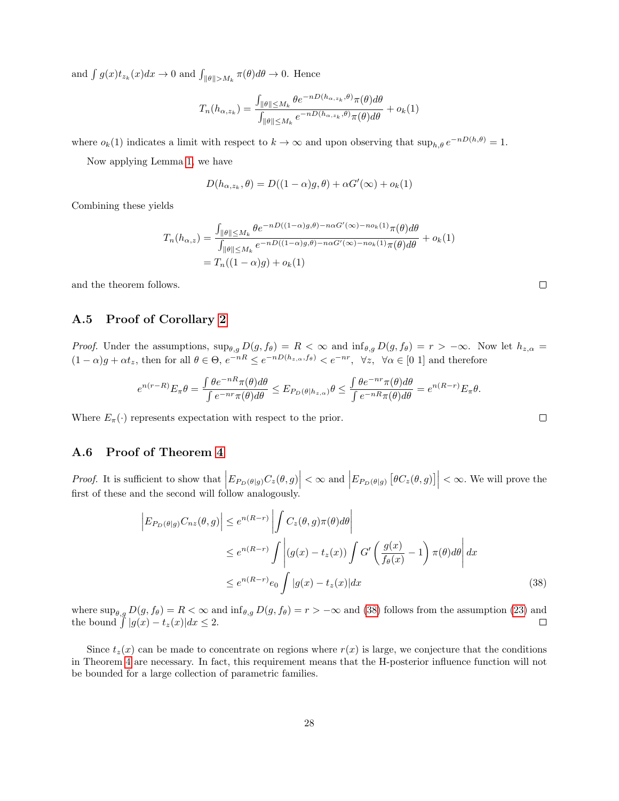and  $\int g(x)t_{z_k}(x)dx \to 0$  and  $\int_{\|\theta\| > M_k} \pi(\theta)d\theta \to 0$ . Hence

$$
T_n(h_{\alpha,z_k}) = \frac{\int_{\|\theta\| \le M_k} \theta e^{-nD(h_{\alpha,z_k}, \theta)} \pi(\theta) d\theta}{\int_{\|\theta\| \le M_k} e^{-nD(h_{\alpha,z_k}, \theta)} \pi(\theta) d\theta} + o_k(1)
$$

where  $o_k(1)$  indicates a limit with respect to  $k \to \infty$  and upon observing that  $\sup_{h,\theta} e^{-nD(h,\theta)} = 1$ .

Now applying Lemma [1,](#page-24-1) we have

$$
D(h_{\alpha,z_k},\theta) = D((1-\alpha)g,\theta) + \alpha G'(\infty) + o_k(1)
$$

Combining these yields

$$
T_n(h_{\alpha,z}) = \frac{\int_{\|\theta\| \le M_k} \theta e^{-nD((1-\alpha)g,\theta) - n\alpha G'(\infty) - n o_k(1)} \pi(\theta) d\theta}{\int_{\|\theta\| \le M_k} e^{-nD((1-\alpha)g,\theta) - n\alpha G'(\infty) - n o_k(1)} \pi(\theta) d\theta} + o_k(1)
$$
  
=  $T_n((1-\alpha)g) + o_k(1)$ 

and the theorem follows.

### A.5 Proof of Corollary [2](#page-8-1)

*Proof.* Under the assumptions,  $\sup_{\theta,g} D(g, f_{\theta}) = R < \infty$  and  $\inf_{\theta,g} D(g, f_{\theta}) = r > -\infty$ . Now let  $h_{z,\alpha} =$  $(1-\alpha)g + \alpha t_z$ , then for all  $\theta \in \Theta$ ,  $e^{-nR} \leq e^{-nD(h_{z,\alpha},f_{\theta})} < e^{-nr}$ ,  $\forall z$ ,  $\forall \alpha \in [0,1]$  and therefore

$$
e^{n(r-R)}E_{\pi}\theta = \frac{\int \theta e^{-nR}\pi(\theta)d\theta}{\int e^{-nr}\pi(\theta)d\theta} \le E_{P_D(\theta|h_{z,\alpha})}\theta \le \frac{\int \theta e^{-nr}\pi(\theta)d\theta}{\int e^{-nR}\pi(\theta)d\theta} = e^{n(R-r)}E_{\pi}\theta.
$$

Where  $E_{\pi}(\cdot)$  represents expectation with respect to the prior.

### A.6 Proof of Theorem [4](#page-9-1)

Proof. It is sufficient to show that  $\left| E_{P_D(\theta|g)} C_z(\theta, g) \right| < \infty$  and  $\left| E_{P_D(\theta|g)} \left[ \theta C_z(\theta, g) \right] \right| < \infty$ . We will prove the first of these and the second will follow analogously.

$$
\left| E_{P_D(\theta|g)} C_{nz}(\theta, g) \right| \le e^{n(R-r)} \left| \int C_z(\theta, g) \pi(\theta) d\theta \right|
$$
  

$$
\le e^{n(R-r)} \int \left| (g(x) - t_z(x)) \int G' \left( \frac{g(x)}{f_{\theta}(x)} - 1 \right) \pi(\theta) d\theta \right| dx
$$
  

$$
\le e^{n(R-r)} e_0 \int |g(x) - t_z(x)| dx
$$
 (38)

where  $\sup_{\theta,g} D(g, f_\theta) = R < \infty$  and  $\inf_{\theta,g} D(g, f_\theta) = r > -\infty$  and [\(38\)](#page-27-0) follows from the assumption [\(23\)](#page-9-2) and the bound  $\int |g(x) - t_z(x)| dx \leq 2$ .

Since  $t_z(x)$  can be made to concentrate on regions where  $r(x)$  is large, we conjecture that the conditions in Theorem [4](#page-9-1) are necessary. In fact, this requirement means that the H-posterior influence function will not be bounded for a large collection of parametric families.

 $\Box$ 

<span id="page-27-0"></span>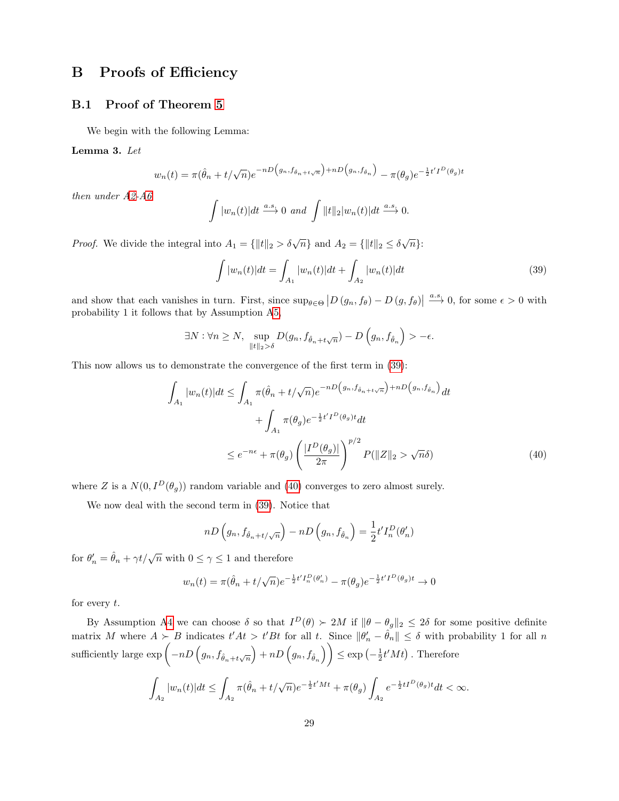## <span id="page-28-0"></span>B Proofs of Efficiency

#### B.1 Proof of Theorem [5](#page-11-3)

We begin with the following Lemma:

<span id="page-28-3"></span>Lemma 3. Let

$$
w_n(t) = \pi(\hat{\theta}_n + t/\sqrt{n})e^{-nD\left(g_n, f_{\hat{\theta}_n + t\sqrt{n}}\right) + nD\left(g_n, f_{\hat{\theta}_n}\right)} - \pi(\theta_g)e^{-\frac{1}{2}t'I^D\left(\theta_g\right)t}
$$

then under [A2-](#page-10-1)[A6](#page-11-0)

$$
\int |w_n(t)|dt \xrightarrow{a.s.} 0 \text{ and } \int ||t||_2 |w_n(t)|dt \xrightarrow{a.s.} 0.
$$

*Proof.* We divide the integral into  $A_1 = \{ ||t||_2 > \delta \sqrt{n} \}$  and  $A_2 = \{ ||t||_2 \le \delta \sqrt{n} \}$ :

<span id="page-28-1"></span>
$$
\int |w_n(t)|dt = \int_{A_1} |w_n(t)|dt + \int_{A_2} |w_n(t)|dt
$$
\n(39)

and show that each vanishes in turn. First, since  $\sup_{\theta \in \Theta} |D(g_n, f_{\theta}) - D(g, f_{\theta})| \stackrel{a.s.}{\longrightarrow} 0$ , for some  $\epsilon > 0$  with probability 1 it follows that by Assumption [A5,](#page-11-2)

$$
\exists N : \forall n \ge N, \sup_{\|t\|_2 > \delta} D(g_n, f_{\hat{\theta}_n + t\sqrt{n}}) - D(g_n, f_{\hat{\theta}_n}) > -\epsilon.
$$

This now allows us to demonstrate the convergence of the first term in [\(39\)](#page-28-1):

$$
\int_{A_1} |w_n(t)| dt \le \int_{A_1} \pi(\hat{\theta}_n + t/\sqrt{n}) e^{-nD\left(g_n, f_{\hat{\theta}_n + t\sqrt{n}}\right) + nD\left(g_n, f_{\hat{\theta}_n}\right)} dt
$$
\n
$$
+ \int_{A_1} \pi(\theta_g) e^{-\frac{1}{2}t'I^D(\theta_g)t} dt
$$
\n
$$
\le e^{-n\epsilon} + \pi(\theta_g) \left(\frac{|I^D(\theta_g)|}{2\pi}\right)^{p/2} P(\|Z\|_2 > \sqrt{n}\delta)
$$
\n(40)

where Z is a  $N(0, I^D(\theta_q))$  random variable and [\(40\)](#page-28-2) converges to zero almost surely.

We now deal with the second term in [\(39\)](#page-28-1). Notice that

<span id="page-28-2"></span>
$$
nD\left(g_n, f_{\hat{\theta}_n + t/\sqrt{n}}\right) - nD\left(g_n, f_{\hat{\theta}_n}\right) = \frac{1}{2}t'I_n^D(\theta'_n)
$$

for  $\theta'_n = \hat{\theta}_n + \gamma t / \sqrt{n}$  with  $0 \le \gamma \le 1$  and therefore

$$
w_n(t)=\pi(\hat{\theta}_n+t/\sqrt{n})e^{-\frac{1}{2}t'I^D_n(\theta_n')}-\pi(\theta_g)e^{-\frac{1}{2}t'I^D(\theta_g)t}\to 0
$$

for every  $t$ .

By Assumption [A4](#page-10-4) we can choose  $\delta$  so that  $I^D(\theta) > 2M$  if  $\|\theta - \theta_{g}\|_2 \leq 2\delta$  for some positive definite matrix M where  $A \succ B$  indicates  $t'At > t'Bt$  for all t. Since  $\|\theta'_n - \hat{\theta}_n\| \leq \delta$  with probability 1 for all n sufficiently large  $\exp\left(-nD\left(g_n, f_{\hat{\theta}_n+t\sqrt{n}}\right)+nD\left(g_n, f_{\hat{\theta}_n}\right)\right)\leq \exp\left(-\frac{1}{2}t'Mt\right)$  . Therefore

$$
\int_{A_2} |w_n(t)| dt \leq \int_{A_2} \pi (\hat{\theta}_n + t/\sqrt{n}) e^{-\frac{1}{2}t'Mt} + \pi(\theta_g) \int_{A_2} e^{-\frac{1}{2}tI^D(\theta_g)t} dt < \infty.
$$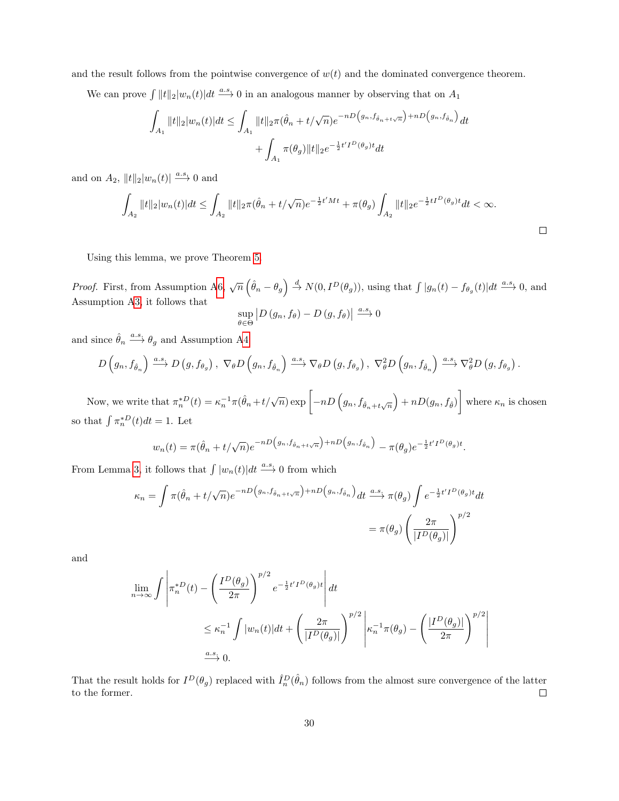and the result follows from the pointwise convergence of  $w(t)$  and the dominated convergence theorem.

We can prove  $\int ||t||_2|w_n(t)|dt \stackrel{a.s.}{\longrightarrow} 0$  in an analogous manner by observing that on  $A_1$ 

$$
\int_{A_1} ||t||_2 |w_n(t)| dt \leq \int_{A_1} ||t||_2 \pi (\hat{\theta}_n + t/\sqrt{n}) e^{-nD(g_n, f_{\hat{\theta}_n + t\sqrt{n}}) + nD(g_n, f_{\hat{\theta}_n})} dt \n+ \int_{A_1} \pi(\theta_g) ||t||_2 e^{-\frac{1}{2}t'I^D(\theta_g)t} dt
$$

and on  $A_2$ ,  $||t||_2|w_n(t)| \xrightarrow{a.s.} 0$  and

$$
\int_{A_2} ||t||_2 |w_n(t)| dt \leq \int_{A_2} ||t||_2 \pi (\hat{\theta}_n + t/\sqrt{n}) e^{-\frac{1}{2}t'Mt} + \pi(\theta_g) \int_{A_2} ||t||_2 e^{-\frac{1}{2}tI^D(\theta_g)t} dt < \infty.
$$

Using this lemma, we prove Theorem [5.](#page-11-3)

*Proof.* First, from Assumption [A6,](#page-11-0)  $\sqrt{n} \left( \hat{\theta}_n - \theta_g \right) \stackrel{d}{\rightarrow} N(0, I^D(\theta_g))$ , using that  $\int |g_n(t) - f_{\theta_g}(t)| dt \stackrel{a.s.}{\longrightarrow} 0$ , and Assumption [A3,](#page-10-3) it follows that sup θ∈Θ  $\left|D\left(g_n, f_\theta\right) - D\left(g, f_\theta\right)\right| \stackrel{a.s.}{\longrightarrow} 0$ 

and since  $\hat{\theta}_n \stackrel{a.s.}{\longrightarrow} \theta_g$  and Assumption [A4](#page-10-4)

$$
D\left(g_n, f_{\hat{\theta}_n}\right) \xrightarrow{a.s.} D\left(g, f_{\theta_g}\right), \ \nabla_{\theta} D\left(g_n, f_{\hat{\theta}_n}\right) \xrightarrow{a.s.} \nabla_{\theta} D\left(g, f_{\theta_g}\right), \ \nabla_{\theta}^2 D\left(g_n, f_{\hat{\theta}_n}\right) \xrightarrow{a.s.} \nabla_{\theta}^2 D\left(g, f_{\theta_g}\right).
$$

Now, we write that  $\pi_n^{*D}(t) = \kappa_n^{-1}\pi(\hat{\theta}_n + t/\sqrt{n}) \exp \left[-nD\left(g_n, f_{\hat{\theta}_n + t\sqrt{n}}\right) + nD(g_n, f_{\hat{\theta}})\right]$  where  $\kappa_n$  is chosen so that  $\int \pi_n^{*D}(t)dt = 1$ . Let

$$
w_n(t) = \pi(\hat{\theta}_n + t/\sqrt{n})e^{-nD\left(g_n, f_{\hat{\theta}_n + t\sqrt{n}}\right) + nD\left(g_n, f_{\hat{\theta}_n}\right)} - \pi(\theta_g)e^{-\frac{1}{2}t'I^D\left(\theta_g\right)t}.
$$

From Lemma [3,](#page-28-3) it follows that  $\int |w_n(t)|dt \stackrel{a.s.}{\longrightarrow} 0$  from which

$$
\kappa_n = \int \pi(\hat{\theta}_n + t/\sqrt{n}) e^{-nD\left(g_n, f_{\hat{\theta}_n + t\sqrt{n}}\right) + nD\left(g_n, f_{\hat{\theta}_n}\right)} dt \xrightarrow{a.s.} \pi(\theta_g) \int e^{-\frac{1}{2}t'I^D(\theta_g)t} dt
$$

$$
= \pi(\theta_g) \left(\frac{2\pi}{|I^D(\theta_g)|}\right)^{p/2}
$$

and

$$
\lim_{n \to \infty} \int \left| \pi_n^{*D}(t) - \left( \frac{I^D(\theta_g)}{2\pi} \right)^{p/2} e^{-\frac{1}{2}t'I^D(\theta_g)t} \right| dt
$$
\n
$$
\leq \kappa_n^{-1} \int |w_n(t)| dt + \left( \frac{2\pi}{|I^D(\theta_g)|} \right)^{p/2} \left| \kappa_n^{-1} \pi(\theta_g) - \left( \frac{|I^D(\theta_g)|}{2\pi} \right)^{p/2} \right|
$$
\n
$$
\xrightarrow{a.s.} 0.
$$

That the result holds for  $I^D(\theta_g)$  replaced with  $\hat{I}_n^D(\hat{\theta}_n)$  follows from the almost sure convergence of the latter to the former.  $\Box$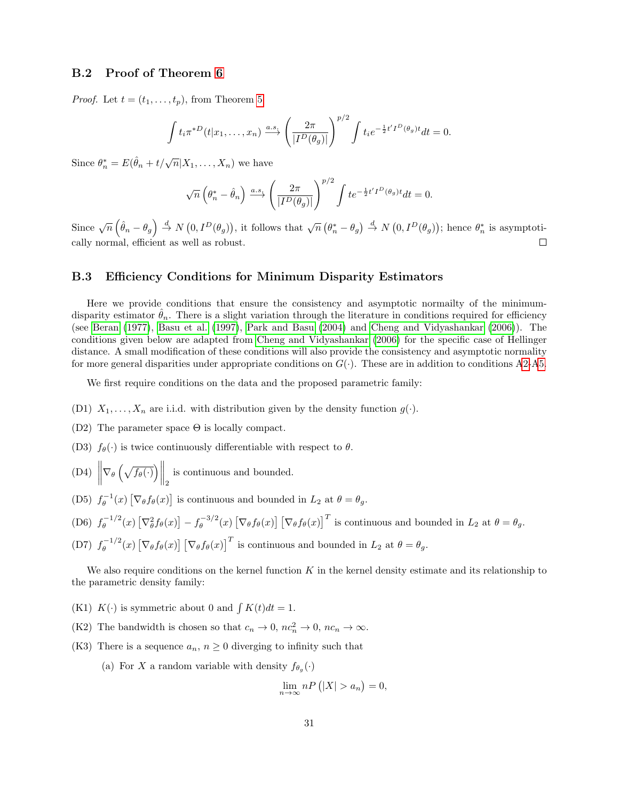### B.2 Proof of Theorem [6](#page-11-4)

*Proof.* Let  $t = (t_1, \ldots, t_p)$ , from Theorem [5](#page-11-3)

$$
\int t_i \pi^{*D}(t|x_1,\ldots,x_n) \xrightarrow{a.s.} \left(\frac{2\pi}{|I^D(\theta_g)|}\right)^{p/2} \int t_i e^{-\frac{1}{2}t'I^D(\theta_g)t} dt = 0.
$$

Since  $\theta_n^* = E(\hat{\theta}_n + t/\sqrt{n}|X_1,\ldots,X_n)$  we have

$$
\sqrt{n}\left(\theta_n^* - \hat{\theta}_n\right) \xrightarrow{a.s.} \left(\frac{2\pi}{|I^D(\theta_g)|}\right)^{p/2} \int t e^{-\frac{1}{2}t'I^D(\theta_g)t} dt = 0.
$$

Since  $\sqrt{n} \left( \hat{\theta}_n - \theta_g \right) \stackrel{d}{\rightarrow} N \left( 0, I^D(\theta_g) \right)$ , it follows that  $\sqrt{n} \left( \theta_n^* - \theta_g \right) \stackrel{d}{\rightarrow} N \left( 0, I^D(\theta_g) \right)$ ; hence  $\theta_n^*$  is asymptotically normal, efficient as well as robust.  $\Box$ 

### B.3 Efficiency Conditions for Minimum Disparity Estimators

Here we provide conditions that ensure the consistency and asymptotic normailty of the minimumdisparity estimator  $\hat{\theta}_n$ . There is a slight variation through the literature in conditions required for efficiency (see [Beran \(1977\)](#page-21-4), [Basu et al. \(1997\)](#page-21-6), [Park and Basu \(2004\)](#page-22-3) and [Cheng and Vidyashankar \(2006\)](#page-21-5)). The conditions given below are adapted from [Cheng and Vidyashankar \(2006\)](#page-21-5) for the specific case of Hellinger distance. A small modification of these conditions will also provide the consistency and asymptotic normality for more general disparities under appropriate conditions on  $G(\cdot)$ . These are in addition to conditions [A2-](#page-10-1)[A5.](#page-11-2)

We first require conditions on the data and the proposed parametric family:

- (D1)  $X_1, \ldots, X_n$  are i.i.d. with distribution given by the density function  $g(\cdot)$ .
- (D2) The parameter space Θ is locally compact.
- (D3)  $f_{\theta}(\cdot)$  is twice continuously differentiable with respect to  $\theta$ .
- $(D4)$  $\nabla_{\theta}\left(\sqrt{f_{\theta}(\cdot)}\right)\Bigg\|_2$ is continuous and bounded.
- (D5)  $f_{\theta}^{-1}(x) \left[ \nabla_{\theta} f_{\theta}(x) \right]$  is continuous and bounded in  $L_2$  at  $\theta = \theta_g$ .

(D6) 
$$
f_{\theta}^{-1/2}(x) [\nabla_{\theta}^2 f_{\theta}(x)] - f_{\theta}^{-3/2}(x) [\nabla_{\theta} f_{\theta}(x)] [\nabla_{\theta} f_{\theta}(x)]^T
$$
 is continuous and bounded in  $L_2$  at  $\theta = \theta_g$ .  
\n(D7)  $f_{\theta}^{-1/2}(x) [\nabla_{\theta} f_{\theta}(x)] [\nabla_{\theta} f_{\theta}(x)]^T$  is continuous and bounded in  $L_2$  at  $\theta = \theta_g$ .

We also require conditions on the kernel function  $K$  in the kernel density estimate and its relationship to the parametric density family:

- (K1)  $K(\cdot)$  is symmetric about 0 and  $\int K(t)dt = 1$ .
- (K2) The bandwidth is chosen so that  $c_n \to 0$ ,  $nc_n^2 \to 0$ ,  $nc_n \to \infty$ .
- (K3) There is a sequence  $a_n$ ,  $n \geq 0$  diverging to infinity such that
	- (a) For X a random variable with density  $f_{\theta_g}(\cdot)$

$$
\lim_{n \to \infty} n P\left(|X| > a_n\right) = 0,
$$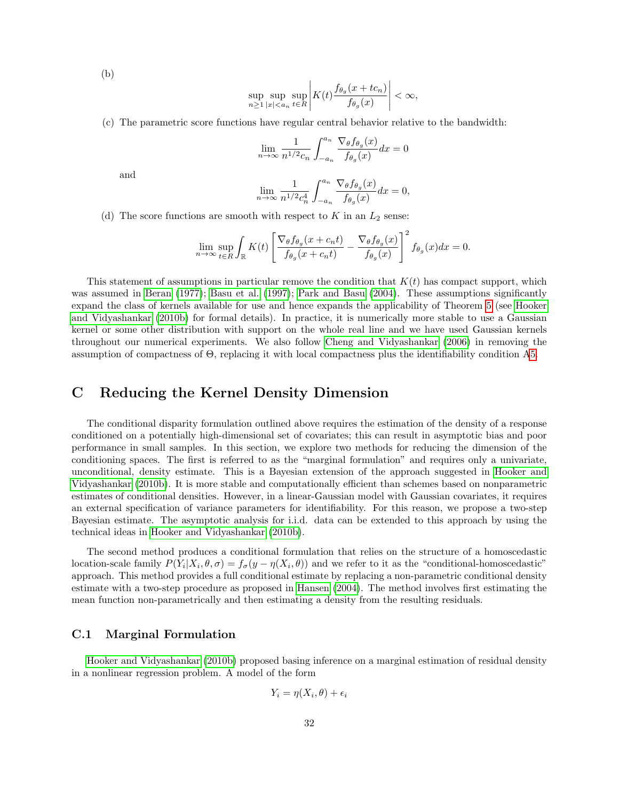(b)

$$
\sup_{n\geq 1}\sup_{|x|
$$

(c) The parametric score functions have regular central behavior relative to the bandwidth:

$$
\lim_{n \to \infty} \frac{1}{n^{1/2}c_n} \int_{-a_n}^{a_n} \frac{\nabla_{\theta} f_{\theta_g}(x)}{f_{\theta_g}(x)} dx = 0
$$

and

$$
\lim_{n \to \infty} \frac{1}{n^{1/2}c_n^4} \int_{-a_n}^{a_n} \frac{\nabla_{\theta} f_{\theta_g}(x)}{f_{\theta_g}(x)} dx = 0,
$$

(d) The score functions are smooth with respect to  $K$  in an  $L_2$  sense:

$$
\lim_{n \to \infty} \sup_{t \in R} \int_{\mathbb{R}} K(t) \left[ \frac{\nabla_{\theta} f_{\theta_g}(x + c_n t)}{f_{\theta_g}(x + c_n t)} - \frac{\nabla_{\theta} f_{\theta_g}(x)}{f_{\theta_g}(x)} \right]^2 f_{\theta_g}(x) dx = 0.
$$

This statement of assumptions in particular remove the condition that  $K(t)$  has compact support, which was assumed in [Beran \(1977\)](#page-21-4); [Basu et al. \(1997\)](#page-21-6); [Park and Basu \(2004\)](#page-22-3). These assumptions significantly expand the class of kernels available for use and hence expands the applicability of Theorem [5](#page-11-3) (see [Hooker](#page-22-14) [and Vidyashankar \(2010b\)](#page-22-14) for formal details). In practice, it is numerically more stable to use a Gaussian kernel or some other distribution with support on the whole real line and we have used Gaussian kernels throughout our numerical experiments. We also follow [Cheng and Vidyashankar \(2006\)](#page-21-5) in removing the assumption of compactness of Θ, replacing it with local compactness plus the identifiability condition [A5.](#page-11-2)

### <span id="page-31-0"></span>C Reducing the Kernel Density Dimension

The conditional disparity formulation outlined above requires the estimation of the density of a response conditioned on a potentially high-dimensional set of covariates; this can result in asymptotic bias and poor performance in small samples. In this section, we explore two methods for reducing the dimension of the conditioning spaces. The first is referred to as the "marginal formulation" and requires only a univariate, unconditional, density estimate. This is a Bayesian extension of the approach suggested in [Hooker and](#page-22-14) [Vidyashankar \(2010b\)](#page-22-14). It is more stable and computationally efficient than schemes based on nonparametric estimates of conditional densities. However, in a linear-Gaussian model with Gaussian covariates, it requires an external specification of variance parameters for identifiability. For this reason, we propose a two-step Bayesian estimate. The asymptotic analysis for i.i.d. data can be extended to this approach by using the technical ideas in [Hooker and Vidyashankar \(2010b\)](#page-22-14).

The second method produces a conditional formulation that relies on the structure of a homoscedastic location-scale family  $P(Y_i|X_i, \theta, \sigma) = f_{\sigma}(y - \eta(X_i, \theta))$  and we refer to it as the "conditional-homoscedastic" approach. This method provides a full conditional estimate by replacing a non-parametric conditional density estimate with a two-step procedure as proposed in [Hansen \(2004\)](#page-22-16). The method involves first estimating the mean function non-parametrically and then estimating a density from the resulting residuals.

#### C.1 Marginal Formulation

[Hooker and Vidyashankar \(2010b\)](#page-22-14) proposed basing inference on a marginal estimation of residual density in a nonlinear regression problem. A model of the form

$$
Y_i = \eta(X_i, \theta) + \epsilon_i
$$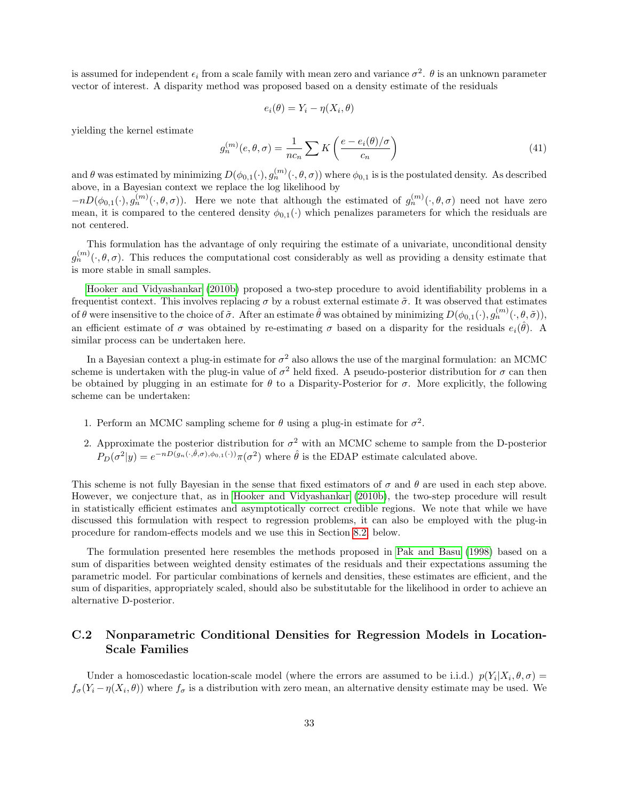is assumed for independent  $\epsilon_i$  from a scale family with mean zero and variance  $\sigma^2$ .  $\theta$  is an unknown parameter vector of interest. A disparity method was proposed based on a density estimate of the residuals

$$
e_i(\theta) = Y_i - \eta(X_i, \theta)
$$

yielding the kernel estimate

<span id="page-32-0"></span>
$$
g_n^{(m)}(e, \theta, \sigma) = \frac{1}{nc_n} \sum K\left(\frac{e - e_i(\theta)/\sigma}{c_n}\right)
$$
(41)

and  $\theta$  was estimated by minimizing  $D(\phi_{0,1}(\cdot), g_n^{(m)}(\cdot, \theta, \sigma))$  where  $\phi_{0,1}$  is is the postulated density. As described above, in a Bayesian context we replace the log likelihood by

 $-nD(\phi_{0,1}(\cdot), g_n^{(m)}(\cdot,\theta,\sigma))$ . Here we note that although the estimated of  $g_n^{(m)}(\cdot,\theta,\sigma)$  need not have zero mean, it is compared to the centered density  $\phi_{0,1}(\cdot)$  which penalizes parameters for which the residuals are not centered.

This formulation has the advantage of only requiring the estimate of a univariate, unconditional density  $g_n^{(m)}(\cdot,\theta,\sigma)$ . This reduces the computational cost considerably as well as providing a density estimate that is more stable in small samples.

[Hooker and Vidyashankar \(2010b\)](#page-22-14) proposed a two-step procedure to avoid identifiability problems in a frequentist context. This involves replacing  $\sigma$  by a robust external estimate  $\tilde{\sigma}$ . It was observed that estimates of  $\theta$  were insensitive to the choice of  $\tilde{\sigma}$ . After an estimate  $\hat{\theta}$  was obtained by minimizing  $D(\phi_{0,1}(\cdot), g_n^{(m)}(\cdot, \theta, \tilde{\sigma}))$ , an efficient estimate of  $\sigma$  was obtained by re-estimating  $\sigma$  based on a disparity for the residuals  $e_i(\hat{\theta})$ . A similar process can be undertaken here.

In a Bayesian context a plug-in estimate for  $\sigma^2$  also allows the use of the marginal formulation: an MCMC scheme is undertaken with the plug-in value of  $\sigma^2$  held fixed. A pseudo-posterior distribution for  $\sigma$  can then be obtained by plugging in an estimate for  $\theta$  to a Disparity-Posterior for  $\sigma$ . More explicitly, the following scheme can be undertaken:

- 1. Perform an MCMC sampling scheme for  $\theta$  using a plug-in estimate for  $\sigma^2$ .
- 2. Approximate the posterior distribution for  $\sigma^2$  with an MCMC scheme to sample from the D-posterior  $P_D(\sigma^2|y) = e^{-nD(g_n(\cdot,\hat{\theta},\sigma),\phi_{0,1}(\cdot))}\pi(\sigma^2)$  where  $\hat{\theta}$  is the EDAP estimate calculated above.

This scheme is not fully Bayesian in the sense that fixed estimators of  $\sigma$  and  $\theta$  are used in each step above. However, we conjecture that, as in [Hooker and Vidyashankar \(2010b\)](#page-22-14), the two-step procedure will result in statistically efficient estimates and asymptotically correct credible regions. We note that while we have discussed this formulation with respect to regression problems, it can also be employed with the plug-in procedure for random-effects models and we use this in Section [8.2,](#page-17-1) below.

The formulation presented here resembles the methods proposed in [Pak and Basu \(1998\)](#page-22-19) based on a sum of disparities between weighted density estimates of the residuals and their expectations assuming the parametric model. For particular combinations of kernels and densities, these estimates are efficient, and the sum of disparities, appropriately scaled, should also be substitutable for the likelihood in order to achieve an alternative D-posterior.

### C.2 Nonparametric Conditional Densities for Regression Models in Location-Scale Families

Under a homoscedastic location-scale model (where the errors are assumed to be i.i.d.)  $p(Y_i|X_i, \theta, \sigma) =$  $f_{\sigma}(Y_i-\eta(X_i,\theta))$  where  $f_{\sigma}$  is a distribution with zero mean, an alternative density estimate may be used. We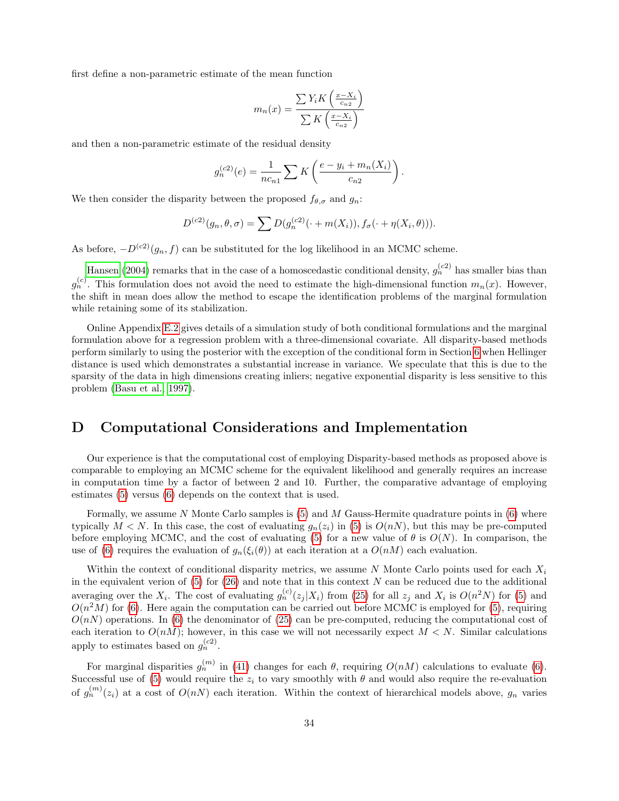first define a non-parametric estimate of the mean function

$$
m_n(x) = \frac{\sum Y_i K\left(\frac{x - X_i}{c_{n2}}\right)}{\sum K\left(\frac{x - X_i}{c_{n2}}\right)}
$$

and then a non-parametric estimate of the residual density

$$
g_n^{(c2)}(e) = \frac{1}{nc_{n1}} \sum K\left(\frac{e - y_i + m_n(X_i)}{c_{n2}}\right).
$$

We then consider the disparity between the proposed  $f_{\theta,\sigma}$  and  $g_n$ :

$$
D^{(c2)}(g_n, \theta, \sigma) = \sum D(g_n^{(c2)}(\cdot + m(X_i)), f_\sigma(\cdot + \eta(X_i, \theta))).
$$

As before,  $-D^{(c2)}(g_n, f)$  can be substituted for the log likelihood in an MCMC scheme.

[Hansen \(2004\)](#page-22-16) remarks that in the case of a homoscedastic conditional density,  $g_n^{(c2)}$  has smaller bias than  $g_n^{(c)}$ . This formulation does not avoid the need to estimate the high-dimensional function  $m_n(x)$ . However, the shift in mean does allow the method to escape the identification problems of the marginal formulation while retaining some of its stabilization.

Online Appendix [E.2](#page-38-0) gives details of a simulation study of both conditional formulations and the marginal formulation above for a regression problem with a three-dimensional covariate. All disparity-based methods perform similarly to using the posterior with the exception of the conditional form in Section [6](#page-12-0) when Hellinger distance is used which demonstrates a substantial increase in variance. We speculate that this is due to the sparsity of the data in high dimensions creating inliers; negative exponential disparity is less sensitive to this problem [\(Basu et al., 1997\)](#page-21-6).

## <span id="page-33-0"></span>D Computational Considerations and Implementation

Our experience is that the computational cost of employing Disparity-based methods as proposed above is comparable to employing an MCMC scheme for the equivalent likelihood and generally requires an increase in computation time by a factor of between 2 and 10. Further, the comparative advantage of employing estimates [\(5\)](#page-2-2) versus [\(6\)](#page-3-1) depends on the context that is used.

Formally, we assume  $N$  Monte Carlo samples is  $(5)$  and  $M$  Gauss-Hermite quadrature points in  $(6)$  where typically  $M < N$ . In this case, the cost of evaluating  $g_n(z_i)$  in [\(5\)](#page-2-2) is  $O(nN)$ , but this may be pre-computed before employing MCMC, and the cost of evaluating [\(5\)](#page-2-2) for a new value of  $\theta$  is  $O(N)$ . In comparison, the use of [\(6\)](#page-3-1) requires the evaluation of  $g_n(\xi_i(\theta))$  at each iteration at a  $O(nM)$  each evaluation.

Within the context of conditional disparity metrics, we assume  $N$  Monte Carlo points used for each  $X_i$ in the equivalent verion of  $(5)$  for  $(26)$  and note that in this context N can be reduced due to the additional averaging over the  $X_i$ . The cost of evaluating  $g_n^{(c)}(z_j|X_i)$  from [\(25\)](#page-14-2) for all  $z_j$  and  $X_i$  is  $O(n^2N)$  for [\(5\)](#page-2-2) and  $O(n^2M)$  for [\(6\)](#page-3-1). Here again the computation can be carried out before MCMC is employed for [\(5\)](#page-2-2), requiring  $O(nN)$  operations. In [\(6\)](#page-3-1) the denominator of [\(25\)](#page-14-2) can be pre-computed, reducing the computational cost of each iteration to  $O(nM)$ ; however, in this case we will not necessarily expect  $M < N$ . Similar calculations apply to estimates based on  $g_n^{(c_2)}$ .

For marginal disparities  $g_n^{(m)}$  in [\(41\)](#page-32-0) changes for each  $\theta$ , requiring  $O(nM)$  calculations to evaluate [\(6\)](#page-3-1). Successful use of [\(5\)](#page-2-2) would require the  $z_i$  to vary smoothly with  $\theta$  and would also require the re-evaluation of  $g_n^{(m)}(z_i)$  at a cost of  $O(nN)$  each iteration. Within the context of hierarchical models above,  $g_n$  varies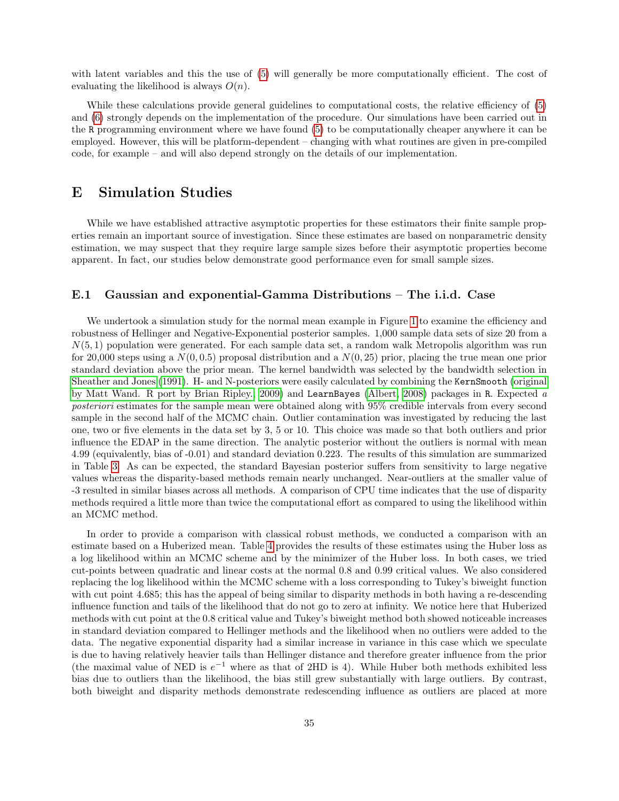with latent variables and this the use of  $(5)$  will generally be more computationally efficient. The cost of evaluating the likelihood is always  $O(n)$ .

While these calculations provide general guidelines to computational costs, the relative efficiency of [\(5\)](#page-2-2) and [\(6\)](#page-3-1) strongly depends on the implementation of the procedure. Our simulations have been carried out in the R programming environment where we have found [\(5\)](#page-2-2) to be computationally cheaper anywhere it can be employed. However, this will be platform-dependent – changing with what routines are given in pre-compiled code, for example – and will also depend strongly on the details of our implementation.

## E Simulation Studies

While we have established attractive asymptotic properties for these estimators their finite sample properties remain an important source of investigation. Since these estimates are based on nonparametric density estimation, we may suspect that they require large sample sizes before their asymptotic properties become apparent. In fact, our studies below demonstrate good performance even for small sample sizes.

### <span id="page-34-0"></span>E.1 Gaussian and exponential-Gamma Distributions – The i.i.d. Case

We undertook a simulation study for the normal mean example in Figure [1](#page-5-0) to examine the efficiency and robustness of Hellinger and Negative-Exponential posterior samples. 1,000 sample data sets of size 20 from a  $N(5, 1)$  population were generated. For each sample data set, a random walk Metropolis algorithm was run for 20,000 steps using a  $N(0, 0.5)$  proposal distribution and a  $N(0, 25)$  prior, placing the true mean one prior standard deviation above the prior mean. The kernel bandwidth was selected by the bandwidth selection in [Sheather and Jones \(1991\)](#page-23-7). H- and N-posteriors were easily calculated by combining the KernSmooth [\(original](#page-22-15) [by Matt Wand. R port by Brian Ripley., 2009\)](#page-22-15) and LearnBayes [\(Albert, 2008\)](#page-21-9) packages in R. Expected a posteriori estimates for the sample mean were obtained along with 95% credible intervals from every second sample in the second half of the MCMC chain. Outlier contamination was investigated by reducing the last one, two or five elements in the data set by 3, 5 or 10. This choice was made so that both outliers and prior influence the EDAP in the same direction. The analytic posterior without the outliers is normal with mean 4.99 (equivalently, bias of -0.01) and standard deviation 0.223. The results of this simulation are summarized in Table [3.](#page-35-0) As can be expected, the standard Bayesian posterior suffers from sensitivity to large negative values whereas the disparity-based methods remain nearly unchanged. Near-outliers at the smaller value of -3 resulted in similar biases across all methods. A comparison of CPU time indicates that the use of disparity methods required a little more than twice the computational effort as compared to using the likelihood within an MCMC method.

In order to provide a comparison with classical robust methods, we conducted a comparison with an estimate based on a Huberized mean. Table [4](#page-36-0) provides the results of these estimates using the Huber loss as a log likelihood within an MCMC scheme and by the minimizer of the Huber loss. In both cases, we tried cut-points between quadratic and linear costs at the normal 0.8 and 0.99 critical values. We also considered replacing the log likelihood within the MCMC scheme with a loss corresponding to Tukey's biweight function with cut point 4.685; this has the appeal of being similar to disparity methods in both having a re-descending influence function and tails of the likelihood that do not go to zero at infinity. We notice here that Huberized methods with cut point at the 0.8 critical value and Tukey's biweight method both showed noticeable increases in standard deviation compared to Hellinger methods and the likelihood when no outliers were added to the data. The negative exponential disparity had a similar increase in variance in this case which we speculate is due to having relatively heavier tails than Hellinger distance and therefore greater influence from the prior (the maximal value of NED is  $e^{-1}$  where as that of 2HD is 4). While Huber both methods exhibited less bias due to outliers than the likelihood, the bias still grew substantially with large outliers. By contrast, both biweight and disparity methods demonstrate redescending influence as outliers are placed at more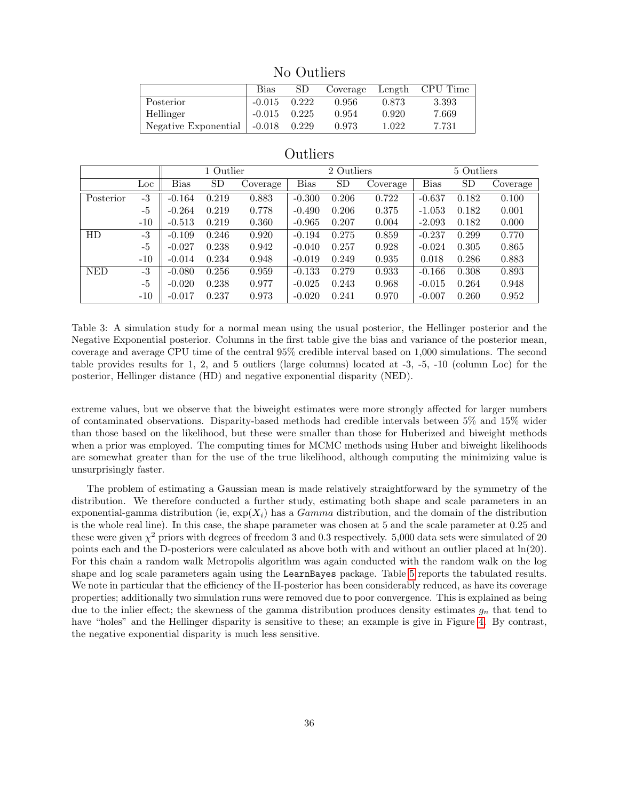|                                           | <b>Bias</b> | SD    | Coverage | Length | CPU Time |
|-------------------------------------------|-------------|-------|----------|--------|----------|
| Posterior                                 | $-0.015$    | 0.222 | 0.956    | 0.873  | 3.393    |
| Hellinger                                 | $-0.015$    | 0.225 | 0.954    | 0.920  | 7.669    |
| Negative Exponential $\vert$ -0.018 0.229 |             |       | 0.973    | 1.022  | 7.731    |

No Outliers

|  | Outliers |
|--|----------|
|  |          |

|            |       |             | 1 Outlier |          |             | 2 Outliers |          | 5 Outliers |           |          |
|------------|-------|-------------|-----------|----------|-------------|------------|----------|------------|-----------|----------|
|            | Loc   | <b>Bias</b> | SD        | Coverage | <b>Bias</b> | SD         | Coverage | Bias       | <b>SD</b> | Coverage |
| Posterior  | $-3$  | $-0.164$    | 0.219     | 0.883    | $-0.300$    | 0.206      | 0.722    | $-0.637$   | 0.182     | 0.100    |
|            | $-5$  | $-0.264$    | 0.219     | 0.778    | $-0.490$    | 0.206      | 0.375    | $-1.053$   | 0.182     | 0.001    |
|            | $-10$ | $-0.513$    | 0.219     | 0.360    | $-0.965$    | 0.207      | 0.004    | $-2.093$   | 0.182     | 0.000    |
| HD         | $-3$  | $-0.109$    | 0.246     | 0.920    | $-0.194$    | 0.275      | 0.859    | $-0.237$   | 0.299     | 0.770    |
|            | $-5$  | $-0.027$    | 0.238     | 0.942    | $-0.040$    | 0.257      | 0.928    | $-0.024$   | 0.305     | 0.865    |
|            | $-10$ | $-0.014$    | 0.234     | 0.948    | $-0.019$    | 0.249      | 0.935    | 0.018      | 0.286     | 0.883    |
| <b>NED</b> | $-3$  | $-0.080$    | 0.256     | 0.959    | $-0.133$    | 0.279      | 0.933    | $-0.166$   | 0.308     | 0.893    |
|            | $-5$  | $-0.020$    | 0.238     | 0.977    | $-0.025$    | 0.243      | 0.968    | $-0.015$   | 0.264     | 0.948    |
|            | $-10$ | $-0.017$    | 0.237     | 0.973    | $-0.020$    | 0.241      | 0.970    | $-0.007$   | 0.260     | 0.952    |

<span id="page-35-0"></span>Table 3: A simulation study for a normal mean using the usual posterior, the Hellinger posterior and the Negative Exponential posterior. Columns in the first table give the bias and variance of the posterior mean, coverage and average CPU time of the central 95% credible interval based on 1,000 simulations. The second table provides results for 1, 2, and 5 outliers (large columns) located at -3, -5, -10 (column Loc) for the posterior, Hellinger distance (HD) and negative exponential disparity (NED).

extreme values, but we observe that the biweight estimates were more strongly affected for larger numbers of contaminated observations. Disparity-based methods had credible intervals between 5% and 15% wider than those based on the likelihood, but these were smaller than those for Huberized and biweight methods when a prior was employed. The computing times for MCMC methods using Huber and biweight likelihoods are somewhat greater than for the use of the true likelihood, although computing the minimizing value is unsurprisingly faster.

The problem of estimating a Gaussian mean is made relatively straightforward by the symmetry of the distribution. We therefore conducted a further study, estimating both shape and scale parameters in an exponential-gamma distribution (ie,  $\exp(X_i)$ ) has a *Gamma* distribution, and the domain of the distribution is the whole real line). In this case, the shape parameter was chosen at 5 and the scale parameter at 0.25 and these were given  $\chi^2$  priors with degrees of freedom 3 and 0.3 respectively. 5,000 data sets were simulated of 20 points each and the D-posteriors were calculated as above both with and without an outlier placed at ln(20). For this chain a random walk Metropolis algorithm was again conducted with the random walk on the log shape and log scale parameters again using the LearnBayes package. Table [5](#page-37-0) reports the tabulated results. We note in particular that the efficiency of the H-posterior has been considerably reduced, as have its coverage properties; additionally two simulation runs were removed due to poor convergence. This is explained as being due to the inlier effect; the skewness of the gamma distribution produces density estimates  $g_n$  that tend to have "holes" and the Hellinger disparity is sensitive to these; an example is give in Figure [4.](#page-37-1) By contrast, the negative exponential disparity is much less sensitive.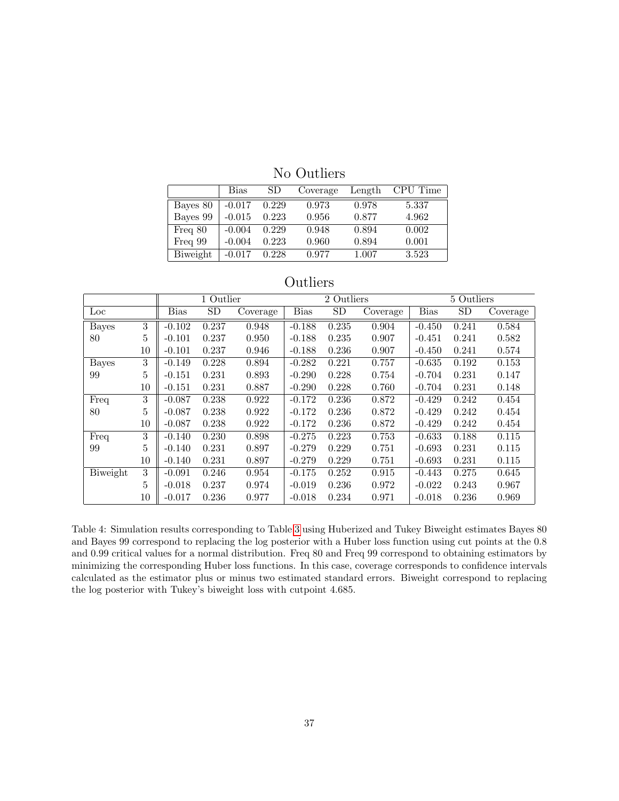|          | Bias     | SD.   | Coverage | Length | CPU Time |
|----------|----------|-------|----------|--------|----------|
| Bayes 80 | $-0.017$ | 0.229 | 0.973    | 0.978  | 5.337    |
| Bayes 99 | $-0.015$ | 0.223 | 0.956    | 0.877  | 4.962    |
| Freq 80  | $-0.004$ | 0.229 | 0.948    | 0.894  | 0.002    |
| Freq 99  | $-0.004$ | 0.223 | 0.960    | 0.894  | 0.001    |
| Biweight | -0.017   | 0.228 | 0.977    | 1.007  | 3.523    |

No Outliers

|              |                |          | 1 Outlier |          |             | 2 Outliers  |          |             | 5 Outliers |          |
|--------------|----------------|----------|-----------|----------|-------------|-------------|----------|-------------|------------|----------|
| Loc          |                | Bias     | SD        | Coverage | <b>Bias</b> | $_{\rm SD}$ | Coverage | <b>Bias</b> | SD         | Coverage |
| <b>Bayes</b> | 3              | $-0.102$ | 0.237     | 0.948    | $-0.188$    | 0.235       | 0.904    | $-0.450$    | 0.241      | 0.584    |
| 80           | $\overline{5}$ | $-0.101$ | 0.237     | 0.950    | $-0.188$    | 0.235       | 0.907    | $-0.451$    | 0.241      | 0.582    |
|              | 10             | $-0.101$ | 0.237     | 0.946    | $-0.188$    | 0.236       | 0.907    | $-0.450$    | 0.241      | 0.574    |
| <b>Bayes</b> | 3              | $-0.149$ | 0.228     | 0.894    | $-0.282$    | 0.221       | 0.757    | $-0.635$    | 0.192      | 0.153    |
| 99           | 5              | $-0.151$ | 0.231     | 0.893    | $-0.290$    | 0.228       | 0.754    | $-0.704$    | 0.231      | 0.147    |
|              | 10             | $-0.151$ | 0.231     | 0.887    | $-0.290$    | 0.228       | 0.760    | $-0.704$    | 0.231      | 0.148    |
| Freq         | 3              | $-0.087$ | 0.238     | 0.922    | $-0.172$    | 0.236       | 0.872    | $-0.429$    | 0.242      | 0.454    |
| 80           | $\overline{5}$ | $-0.087$ | 0.238     | 0.922    | $-0.172$    | 0.236       | 0.872    | $-0.429$    | 0.242      | 0.454    |
|              | 10             | $-0.087$ | 0.238     | 0.922    | $-0.172$    | 0.236       | 0.872    | $-0.429$    | 0.242      | 0.454    |
| Freq         | 3              | $-0.140$ | 0.230     | 0.898    | $-0.275$    | 0.223       | 0.753    | $-0.633$    | 0.188      | 0.115    |
| 99           | $\overline{5}$ | $-0.140$ | 0.231     | 0.897    | $-0.279$    | 0.229       | 0.751    | $-0.693$    | 0.231      | 0.115    |
|              | 10             | $-0.140$ | 0.231     | 0.897    | $-0.279$    | 0.229       | 0.751    | $-0.693$    | 0.231      | 0.115    |
| Biweight     | 3              | $-0.091$ | 0.246     | 0.954    | $-0.175$    | 0.252       | 0.915    | $-0.443$    | 0.275      | 0.645    |
|              | 5              | $-0.018$ | 0.237     | 0.974    | $-0.019$    | 0.236       | 0.972    | $-0.022$    | 0.243      | 0.967    |
|              | 10             | $-0.017$ | 0.236     | 0.977    | $-0.018$    | 0.234       | 0.971    | $-0.018$    | 0.236      | 0.969    |

## **Outliers**

<span id="page-36-0"></span>Table 4: Simulation results corresponding to Table [3](#page-35-0) using Huberized and Tukey Biweight estimates Bayes 80 and Bayes 99 correspond to replacing the log posterior with a Huber loss function using cut points at the 0.8 and 0.99 critical values for a normal distribution. Freq 80 and Freq 99 correspond to obtaining estimators by minimizing the corresponding Huber loss functions. In this case, coverage corresponds to confidence intervals calculated as the estimator plus or minus two estimated standard errors. Biweight correspond to replacing the log posterior with Tukey's biweight loss with cutpoint 4.685.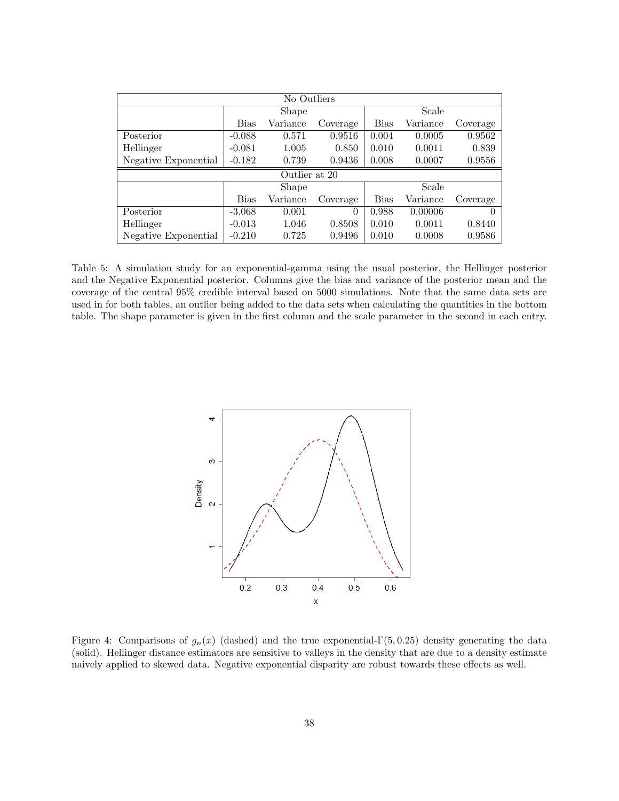|                      |             | No Outliers   |          |             |          |          |
|----------------------|-------------|---------------|----------|-------------|----------|----------|
|                      |             |               |          |             |          |          |
|                      |             | Shape         |          |             | Scale    |          |
|                      | <b>Bias</b> | Variance      | Coverage | <b>Bias</b> | Variance | Coverage |
| Posterior            | $-0.088$    | 0.571         | 0.9516   | 0.004       | 0.0005   | 0.9562   |
| Hellinger            | $-0.081$    | 1.005         | 0.850    | 0.010       | 0.0011   | 0.839    |
| Negative Exponential | $-0.182$    | 0.739         | 0.9436   | 0.008       | 0.0007   | 0.9556   |
|                      |             | Outlier at 20 |          |             |          |          |
|                      |             | Shape         |          |             | Scale    |          |
|                      | <b>Bias</b> | Variance      | Coverage | Bias        | Variance | Coverage |
| Posterior            | $-3.068$    | 0.001         | $\Omega$ | 0.988       | 0.00006  | $\Omega$ |
| Hellinger            | $-0.013$    | 1.046         | 0.8508   | 0.010       | 0.0011   | 0.8440   |
| Negative Exponential | $-0.210$    | 0.725         | 0.9496   | 0.010       | 0.0008   | 0.9586   |

<span id="page-37-0"></span>Table 5: A simulation study for an exponential-gamma using the usual posterior, the Hellinger posterior and the Negative Exponential posterior. Columns give the bias and variance of the posterior mean and the coverage of the central 95% credible interval based on 5000 simulations. Note that the same data sets are used in for both tables, an outlier being added to the data sets when calculating the quantities in the bottom table. The shape parameter is given in the first column and the scale parameter in the second in each entry.



<span id="page-37-1"></span>Figure 4: Comparisons of  $g_n(x)$  (dashed) and the true exponential- $\Gamma(5, 0.25)$  density generating the data (solid). Hellinger distance estimators are sensitive to valleys in the density that are due to a density estimate naively applied to skewed data. Negative exponential disparity are robust towards these effects as well.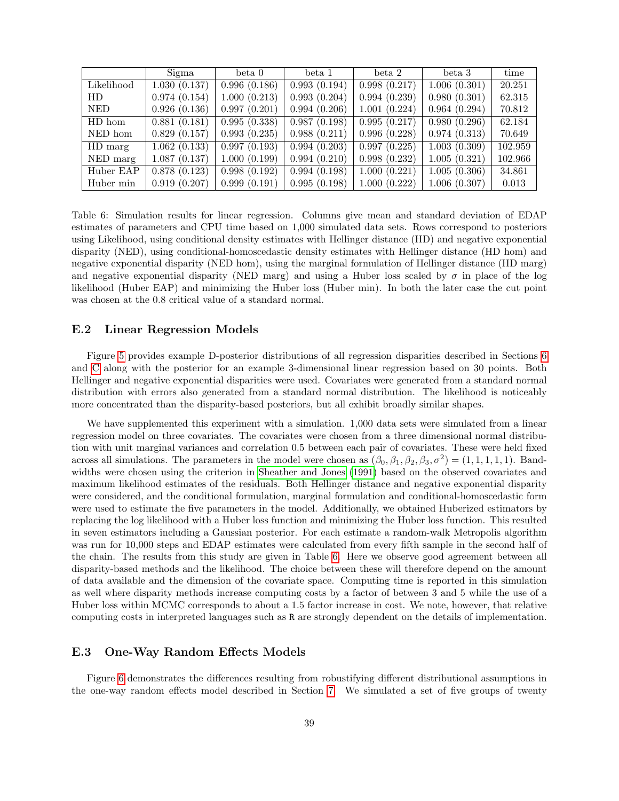|            | Sigma                      | beta 0       | beta 1       | beta 2       | beta 3                     | time    |
|------------|----------------------------|--------------|--------------|--------------|----------------------------|---------|
| Likelihood | 1.030(0.137)               | 0.996(0.186) | 0.993(0.194) | 0.998(0.217) | 1.006(0.301)               | 20.251  |
| HD         | 0.974(0.154)               | 1.000(0.213) | 0.993(0.204) | 0.994(0.239) | 0.980(0.301)               | 62.315  |
| <b>NED</b> | 0.926(0.136)               | 0.997(0.201) | 0.994(0.206) | 1.001(0.224) | 0.964(0.294)               | 70.812  |
| HD hom     | $\overline{0.881}$ (0.181) | 0.995(0.338) | 0.987(0.198) | 0.995(0.217) | 0.980(0.296)               | 62.184  |
| NED hom    | 0.829(0.157)               | 0.993(0.235) | 0.988(0.211) | 0.996(0.228) | 0.974(0.313)               | 70.649  |
| HD marg    | 1.062(0.133)               | 0.997(0.193) | 0.994(0.203) | 0.997(0.225) | $\overline{1.003}$ (0.309) | 102.959 |
| NED marg   | 1.087(0.137)               | 1.000(0.199) | 0.994(0.210) | 0.998(0.232) | 1.005(0.321)               | 102.966 |
| Huber EAP  | 0.878(0.123)               | 0.998(0.192) | 0.994(0.198) | 1.000(0.221) | 1.005(0.306)               | 34.861  |
| Huber min  | 0.919(0.207)               | 0.999(0.191) | 0.995(0.198) | 1.000(0.222) | 1.006(0.307)               | 0.013   |

<span id="page-38-2"></span>Table 6: Simulation results for linear regression. Columns give mean and standard deviation of EDAP estimates of parameters and CPU time based on 1,000 simulated data sets. Rows correspond to posteriors using Likelihood, using conditional density estimates with Hellinger distance (HD) and negative exponential disparity (NED), using conditional-homoscedastic density estimates with Hellinger distance (HD hom) and negative exponential disparity (NED hom), using the marginal formulation of Hellinger distance (HD marg) and negative exponential disparity (NED marg) and using a Huber loss scaled by  $\sigma$  in place of the log likelihood (Huber EAP) and minimizing the Huber loss (Huber min). In both the later case the cut point was chosen at the 0.8 critical value of a standard normal.

### <span id="page-38-0"></span>E.2 Linear Regression Models

Figure [5](#page-39-0) provides example D-posterior distributions of all regression disparities described in Sections [6](#page-12-0) and [C](#page-31-0) along with the posterior for an example 3-dimensional linear regression based on 30 points. Both Hellinger and negative exponential disparities were used. Covariates were generated from a standard normal distribution with errors also generated from a standard normal distribution. The likelihood is noticeably more concentrated than the disparity-based posteriors, but all exhibit broadly similar shapes.

We have supplemented this experiment with a simulation. 1,000 data sets were simulated from a linear regression model on three covariates. The covariates were chosen from a three dimensional normal distribution with unit marginal variances and correlation 0.5 between each pair of covariates. These were held fixed across all simulations. The parameters in the model were chosen as  $(\beta_0, \beta_1, \beta_2, \beta_3, \sigma^2) = (1, 1, 1, 1, 1)$ . Bandwidths were chosen using the criterion in [Sheather and Jones \(1991\)](#page-23-7) based on the observed covariates and maximum likelihood estimates of the residuals. Both Hellinger distance and negative exponential disparity were considered, and the conditional formulation, marginal formulation and conditional-homoscedastic form were used to estimate the five parameters in the model. Additionally, we obtained Huberized estimators by replacing the log likelihood with a Huber loss function and minimizing the Huber loss function. This resulted in seven estimators including a Gaussian posterior. For each estimate a random-walk Metropolis algorithm was run for 10,000 steps and EDAP estimates were calculated from every fifth sample in the second half of the chain. The results from this study are given in Table [6.](#page-38-2) Here we observe good agreement between all disparity-based methods and the likelihood. The choice between these will therefore depend on the amount of data available and the dimension of the covariate space. Computing time is reported in this simulation as well where disparity methods increase computing costs by a factor of between 3 and 5 while the use of a Huber loss within MCMC corresponds to about a 1.5 factor increase in cost. We note, however, that relative computing costs in interpreted languages such as R are strongly dependent on the details of implementation.

#### <span id="page-38-1"></span>E.3 One-Way Random Effects Models

Figure [6](#page-41-0) demonstrates the differences resulting from robustifying different distributional assumptions in the one-way random effects model described in Section [7.](#page-14-0) We simulated a set of five groups of twenty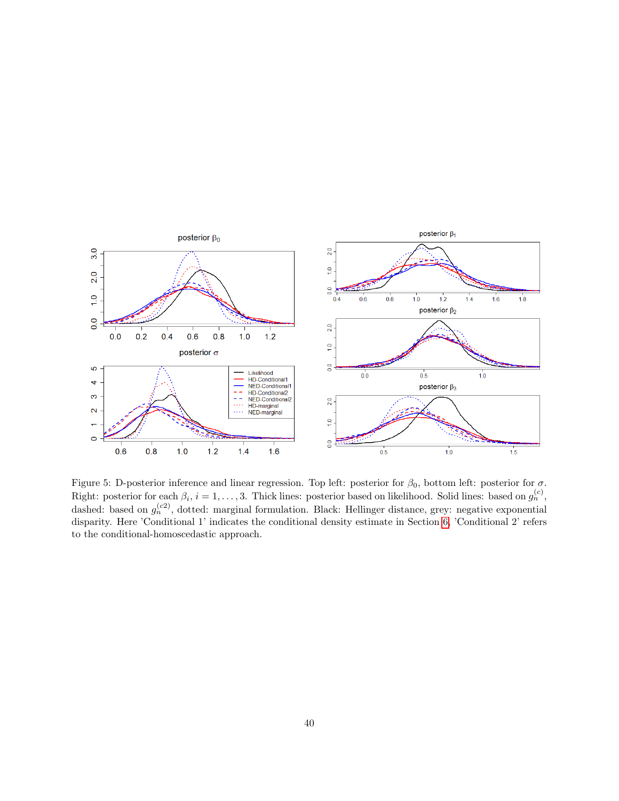

<span id="page-39-0"></span>Figure 5: D-posterior inference and linear regression. Top left: posterior for  $\beta_0$ , bottom left: posterior for  $\sigma$ . Right: posterior for each  $\beta_i$ ,  $i = 1, \ldots, 3$ . Thick lines: posterior based on likelihood. Solid lines: based on  $g_n^{(c)}$ , dashed: based on  $g_n^{(c2)}$ , dotted: marginal formulation. Black: Hellinger distance, grey: negative exponential disparity. Here 'Conditional 1' indicates the conditional density estimate in Section [6,](#page-12-0) 'Conditional 2' refers to the conditional-homoscedastic approach.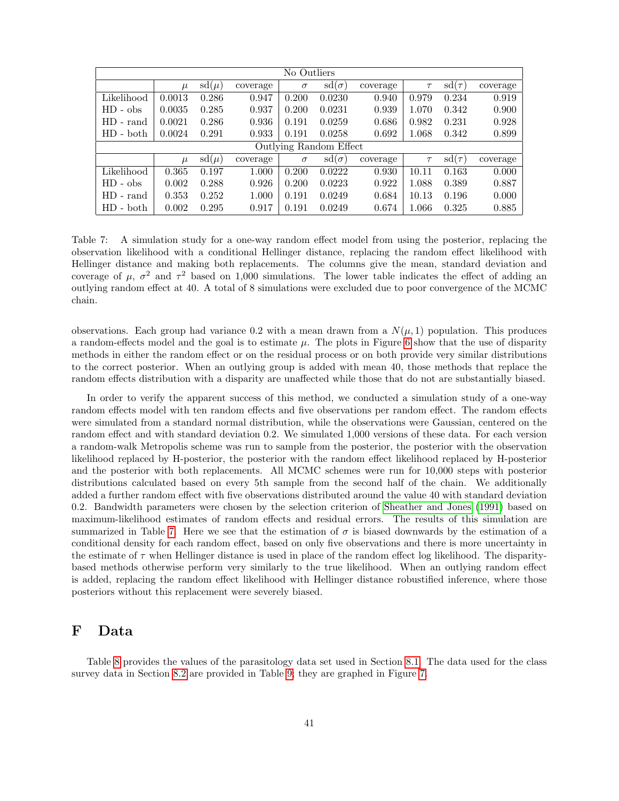|             | No Outliers |           |          |          |                        |          |        |            |          |  |  |  |  |
|-------------|-------------|-----------|----------|----------|------------------------|----------|--------|------------|----------|--|--|--|--|
|             | $\mu$       | $sd(\mu)$ | coverage | $\sigma$ | $sd(\sigma)$           | coverage | $\tau$ | $sd(\tau)$ | coverage |  |  |  |  |
| Likelihood  | 0.0013      | 0.286     | 0.947    | 0.200    | 0.0230                 | 0.940    | 0.979  | 0.234      | 0.919    |  |  |  |  |
| $HD - obs$  | 0.0035      | 0.285     | 0.937    | 0.200    | 0.0231                 | 0.939    | 1.070  | 0.342      | 0.900    |  |  |  |  |
| $HD$ - rand | 0.0021      | 0.286     | 0.936    | 0.191    | 0.0259                 | 0.686    | 0.982  | 0.231      | 0.928    |  |  |  |  |
| $HD - both$ | 0.0024      | 0.291     | 0.933    | 0.191    | 0.0258                 | 0.692    | 1.068  | 0.342      | 0.899    |  |  |  |  |
|             |             |           |          |          | Outlying Random Effect |          |        |            |          |  |  |  |  |
|             | $\mu$       | $sd(\mu)$ | coverage | $\sigma$ | $sd(\sigma)$           | coverage | $\tau$ | $sd(\tau)$ | coverage |  |  |  |  |
| Likelihood  | 0.365       | 0.197     | 1.000    | 0.200    | 0.0222                 | 0.930    | 10.11  | 0.163      | 0.000    |  |  |  |  |
| $HD - obs$  | 0.002       | 0.288     | 0.926    | 0.200    | 0.0223                 | 0.922    | 1.088  | 0.389      | 0.887    |  |  |  |  |
| $HD - rand$ | 0.353       | 0.252     | 1.000    | 0.191    | 0.0249                 | 0.684    | 10.13  | 0.196      | 0.000    |  |  |  |  |
| $HD - both$ | 0.002       | 0.295     | 0.917    | 0.191    | 0.0249                 | 0.674    | 1.066  | 0.325      | 0.885    |  |  |  |  |

<span id="page-40-1"></span>Table 7: A simulation study for a one-way random effect model from using the posterior, replacing the observation likelihood with a conditional Hellinger distance, replacing the random effect likelihood with Hellinger distance and making both replacements. The columns give the mean, standard deviation and coverage of  $\mu$ ,  $\sigma^2$  and  $\tau^2$  based on 1,000 simulations. The lower table indicates the effect of adding an outlying random effect at 40. A total of 8 simulations were excluded due to poor convergence of the MCMC chain.

observations. Each group had variance 0.2 with a mean drawn from a  $N(\mu, 1)$  population. This produces a random-effects model and the goal is to estimate  $\mu$ . The plots in Figure [6](#page-41-0) show that the use of disparity methods in either the random effect or on the residual process or on both provide very similar distributions to the correct posterior. When an outlying group is added with mean 40, those methods that replace the random effects distribution with a disparity are unaffected while those that do not are substantially biased.

In order to verify the apparent success of this method, we conducted a simulation study of a one-way random effects model with ten random effects and five observations per random effect. The random effects were simulated from a standard normal distribution, while the observations were Gaussian, centered on the random effect and with standard deviation 0.2. We simulated 1,000 versions of these data. For each version a random-walk Metropolis scheme was run to sample from the posterior, the posterior with the observation likelihood replaced by H-posterior, the posterior with the random effect likelihood replaced by H-posterior and the posterior with both replacements. All MCMC schemes were run for 10,000 steps with posterior distributions calculated based on every 5th sample from the second half of the chain. We additionally added a further random effect with five observations distributed around the value 40 with standard deviation 0.2. Bandwidth parameters were chosen by the selection criterion of [Sheather and Jones \(1991\)](#page-23-7) based on maximum-likelihood estimates of random effects and residual errors. The results of this simulation are summarized in Table [7.](#page-40-1) Here we see that the estimation of  $\sigma$  is biased downwards by the estimation of a conditional density for each random effect, based on only five observations and there is more uncertainty in the estimate of  $\tau$  when Hellinger distance is used in place of the random effect log likelihood. The disparitybased methods otherwise perform very similarly to the true likelihood. When an outlying random effect is added, replacing the random effect likelihood with Hellinger distance robustified inference, where those posteriors without this replacement were severely biased.

## <span id="page-40-0"></span>F Data

Table [8](#page-41-1) provides the values of the parasitology data set used in Section [8.1.](#page-16-3) The data used for the class survey data in Section [8.2](#page-17-1) are provided in Table [9;](#page-43-1) they are graphed in Figure [7.](#page-42-0)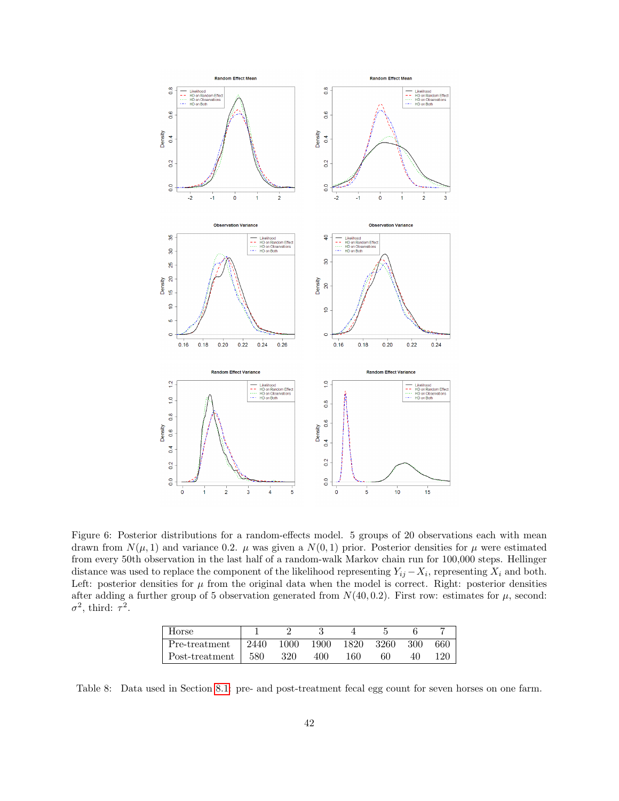

<span id="page-41-0"></span>Figure 6: Posterior distributions for a random-effects model. 5 groups of 20 observations each with mean drawn from  $N(\mu, 1)$  and variance 0.2.  $\mu$  was given a  $N(0, 1)$  prior. Posterior densities for  $\mu$  were estimated from every 50th observation in the last half of a random-walk Markov chain run for 100,000 steps. Hellinger distance was used to replace the component of the likelihood representing  $Y_{ij} - X_i$ , representing  $X_i$  and both. Left: posterior densities for  $\mu$  from the original data when the model is correct. Right: posterior densities after adding a further group of 5 observation generated from  $N(40, 0.2)$ . First row: estimates for  $\mu$ , second:  $\sigma^2$ , third:  $\tau^2$ .

| Horse                |                  |           |     |      |       |     |      |
|----------------------|------------------|-----------|-----|------|-------|-----|------|
| Pre-treatment        | $\frac{2440}{ }$ | 1000 1900 |     | 1820 | -3260 | 300 | 660  |
| Post-treatment   580 |                  | 320       | 400 | 160  |       | 40  | 120. |

<span id="page-41-1"></span>Table 8: Data used in Section [8.1:](#page-16-3) pre- and post-treatment fecal egg count for seven horses on one farm.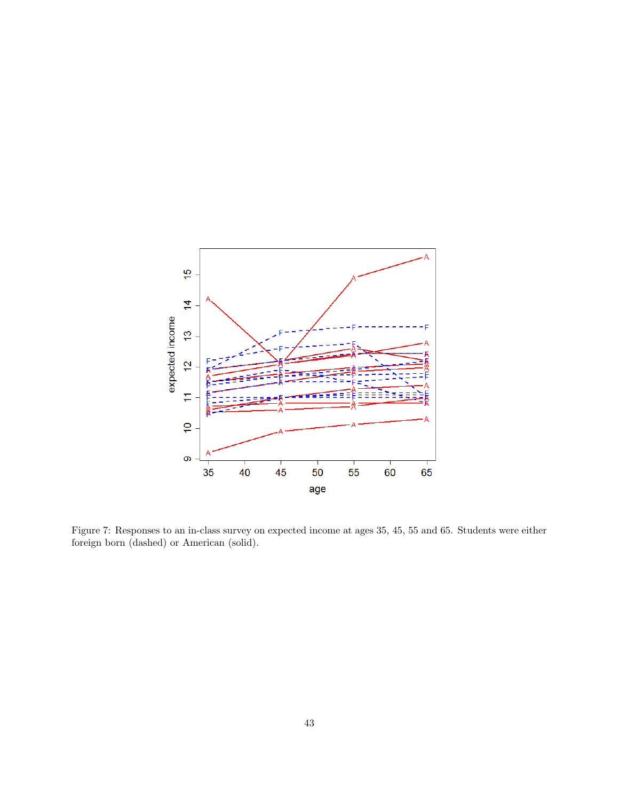

<span id="page-42-0"></span>Figure 7: Responses to an in-class survey on expected income at ages 35, 45, 55 and 65. Students were either foreign born (dashed) or American (solid).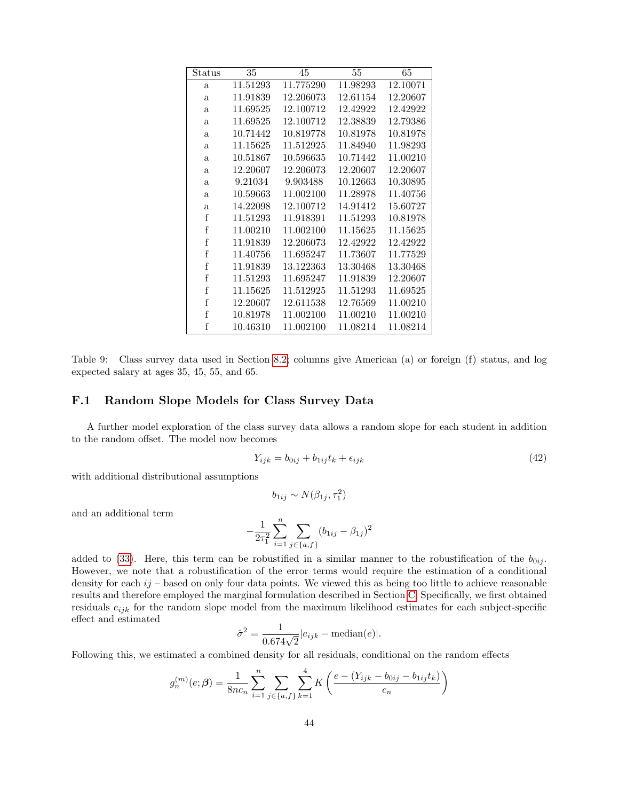| $_{\rm Status}$ | 35       | 45        | 55       | 65       |
|-----------------|----------|-----------|----------|----------|
| a               | 11.51293 | 11.775290 | 11.98293 | 12.10071 |
| a               | 11.91839 | 12.206073 | 12.61154 | 12.20607 |
| a               | 11.69525 | 12.100712 | 12.42922 | 12.42922 |
| a               | 11.69525 | 12.100712 | 12.38839 | 12.79386 |
| a               | 10.71442 | 10.819778 | 10.81978 | 10.81978 |
| a               | 11.15625 | 11.512925 | 11.84940 | 11.98293 |
| a               | 10.51867 | 10.596635 | 10.71442 | 11.00210 |
| a               | 12.20607 | 12.206073 | 12.20607 | 12.20607 |
| $\mathbf{a}$    | 9.21034  | 9.903488  | 10.12663 | 10.30895 |
| a               | 10.59663 | 11.002100 | 11.28978 | 11.40756 |
| a               | 14.22098 | 12.100712 | 14.91412 | 15.60727 |
| f               | 11.51293 | 11.918391 | 11.51293 | 10.81978 |
| f               | 11.00210 | 11.002100 | 11.15625 | 11.15625 |
| f               | 11.91839 | 12.206073 | 12.42922 | 12.42922 |
| f               | 11.40756 | 11.695247 | 11.73607 | 11.77529 |
| f               | 11.91839 | 13.122363 | 13.30468 | 13.30468 |
| f               | 11.51293 | 11.695247 | 11.91839 | 12.20607 |
| f               | 11.15625 | 11.512925 | 11.51293 | 11.69525 |
| f               | 12.20607 | 12.611538 | 12.76569 | 11.00210 |
| f               | 10.81978 | 11.002100 | 11.00210 | 11.00210 |
| f               | 10.46310 | 11.002100 | 11.08214 | 11.08214 |

<span id="page-43-1"></span>Table 9: Class survey data used in Section [8.2;](#page-17-1) columns give American (a) or foreign (f) status, and log expected salary at ages 35, 45, 55, and 65.

### <span id="page-43-0"></span>F.1 Random Slope Models for Class Survey Data

A further model exploration of the class survey data allows a random slope for each student in addition to the random offset. The model now becomes

$$
Y_{ijk} = b_{0ij} + b_{1ij}t_k + \epsilon_{ijk} \tag{42}
$$

with additional distributional assumptions

$$
b_{1ij} \sim N(\beta_{1j}, \tau_1^2)
$$

and an additional term

$$
-\frac{1}{2\tau_1^2}\sum_{i=1}^n\sum_{j\in\{a,f\}}(b_{1ij}-\beta_{1j})^2
$$

added to [\(33\)](#page-18-0). Here, this term can be robustified in a similar manner to the robustification of the  $b_{0ij}$ . However, we note that a robustification of the error terms would require the estimation of a conditional density for each  $ij$  – based on only four data points. We viewed this as being too little to achieve reasonable results and therefore employed the marginal formulation described in Section [C.](#page-31-0) Specifically, we first obtained residuals  $e_{ijk}$  for the random slope model from the maximum likelihood estimates for each subject-specific effect and estimated

$$
\hat{\sigma}^2 = \frac{1}{0.674\sqrt{2}} |e_{ijk} - \text{median}(e)|.
$$

Following this, we estimated a combined density for all residuals, conditional on the random effects

$$
g_n^{(m)}(e; \beta) = \frac{1}{8nc_n} \sum_{i=1}^n \sum_{j \in \{a, f\}} \sum_{k=1}^4 K\left(\frac{e - (Y_{ijk} - b_{0ij} - b_{1ij}t_k)}{c_n}\right)
$$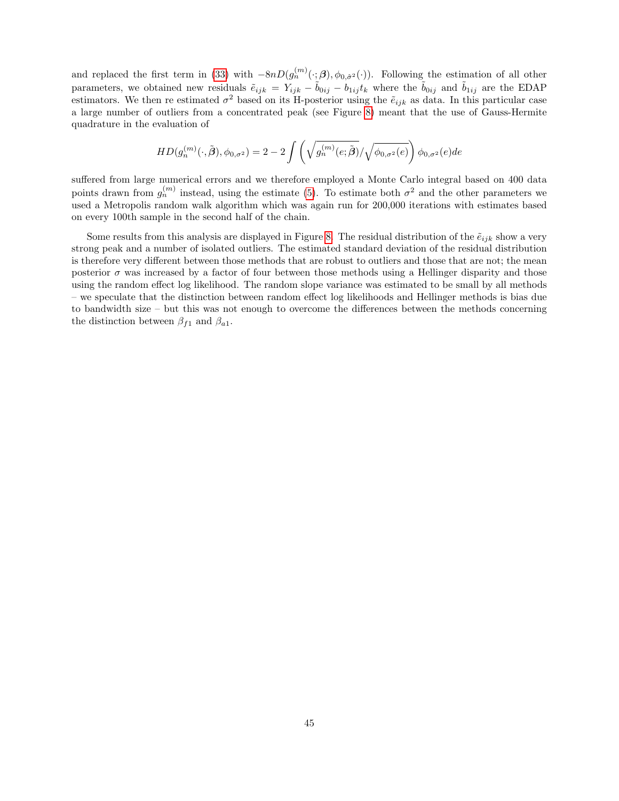and replaced the first term in [\(33\)](#page-18-0) with  $-8nD(g_n^{(m)}(\cdot;\beta), \phi_{0,\hat{\sigma}^2}(\cdot))$ . Following the estimation of all other parameters, we obtained new residuals  $\tilde{e}_{ijk} = Y_{ijk} - \tilde{b}_{0ij} - b_{1ij}t_k$  where the  $\tilde{b}_{0ij}$  and  $\tilde{b}_{1ij}$  are the EDAP estimators. We then re estimated  $\sigma^2$  based on its H-posterior using the  $\tilde{e}_{ijk}$  as data. In this particular case a large number of outliers from a concentrated peak (see Figure [8\)](#page-45-0) meant that the use of Gauss-Hermite quadrature in the evaluation of

$$
HD(g_n^{(m)}(\cdot, \tilde{\boldsymbol{\beta}}), \phi_{0,\sigma^2}) = 2 - 2 \int \left( \sqrt{g_n^{(m)}(e; \tilde{\boldsymbol{\beta}})} / \sqrt{\phi_{0,\sigma^2}(e)} \right) \phi_{0,\sigma^2}(e) de
$$

suffered from large numerical errors and we therefore employed a Monte Carlo integral based on 400 data points drawn from  $g_n^{(m)}$  instead, using the estimate [\(5\)](#page-2-2). To estimate both  $\sigma^2$  and the other parameters we used a Metropolis random walk algorithm which was again run for 200,000 iterations with estimates based on every 100th sample in the second half of the chain.

Some results from this analysis are displayed in Figure [8.](#page-45-0) The residual distribution of the  $\tilde{e}_{ijk}$  show a very strong peak and a number of isolated outliers. The estimated standard deviation of the residual distribution is therefore very different between those methods that are robust to outliers and those that are not; the mean posterior  $\sigma$  was increased by a factor of four between those methods using a Hellinger disparity and those using the random effect log likelihood. The random slope variance was estimated to be small by all methods – we speculate that the distinction between random effect log likelihoods and Hellinger methods is bias due to bandwidth size – but this was not enough to overcome the differences between the methods concerning the distinction between  $\beta_{f1}$  and  $\beta_{a1}$ .